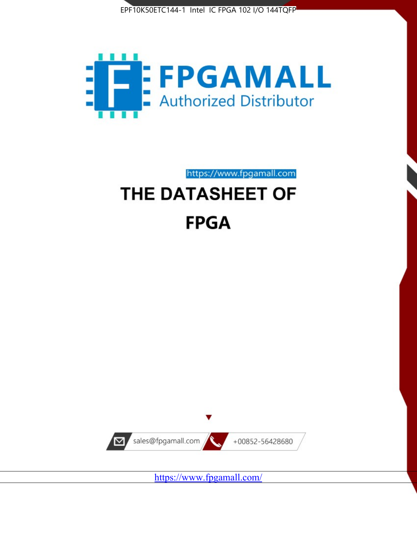



https://www.fpgamall.com

# THE DATASHEET OF **FPGA**



<https://www.fpgamall.com/>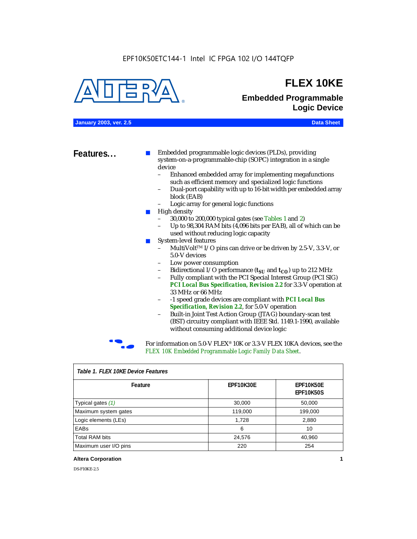#### EPF10K50ETC144-1 Intel IC FPGA 102 I/O 144TQFP



### **FLEX 10KE**

### **Embedded Programmable Logic Device**

**January 2003, ver. 2.5 Data Sheet**

**Features...** ■ Embedded programmable logic devices (PLDs), providing system-on-a-programmable-chip (SOPC) integration in a single device

- Enhanced embedded array for implementing megafunctions such as efficient memory and specialized logic functions
- Dual-port capability with up to 16-bit width per embedded array block (EAB)
- Logic array for general logic functions
- High density
	- 30,000 to 200,000 typical gates (see Tables 1 and 2)
	- Up to 98,304 RAM bits (4,096 bits per EAB), all of which can be used without reducing logic capacity
- System-level features
	- MultiVolt<sup>™</sup> I/O pins can drive or be driven by 2.5-V, 3.3-V, or 5.0-V devices
	- Low power consumption
	- Bidirectional I/O performance  $(t_{SI}$  and  $t_{CO}$ ) up to 212 MHz
	- Fully compliant with the PCI Special Interest Group (PCI SIG) *PCI Local Bus Specification, Revision 2.2* for 3.3-V operation at 33 MHz or 66 MHz
	- -1 speed grade devices are compliant with *PCI Local Bus Specification, Revision 2.2*, for 5.0-V operation
	- Built-in Joint Test Action Group (JTAG) boundary-scan test (BST) circuitry compliant with IEEE Std. 1149.1-1990, available without consuming additional device logic



For information on 5.0-V FLEX<sup>®</sup> 10K or 3.3-V FLEX 10KA devices, see the *FLEX 10K Embedded Programmable Logic Family Data Sheet*.

| iable 1.1 LLA TUNL DEVICET CAULES |           |                               |  |  |
|-----------------------------------|-----------|-------------------------------|--|--|
| Feature                           | EPF10K30E | EPF10K50E<br><b>EPF10K50S</b> |  |  |
| Typical gates (1)                 | 30,000    | 50,000                        |  |  |
| Maximum system gates              | 119,000   | 199,000                       |  |  |
| Logic elements (LEs)              | 1,728     | 2,880                         |  |  |
| EABs                              | 6         | 10                            |  |  |
| <b>Total RAM bits</b>             | 24,576    | 40,960                        |  |  |
| Maximum user I/O pins             | 220       | 254                           |  |  |

#### *Table 1. FLEX 10KE Device Features*

#### **Altera Corporation 1**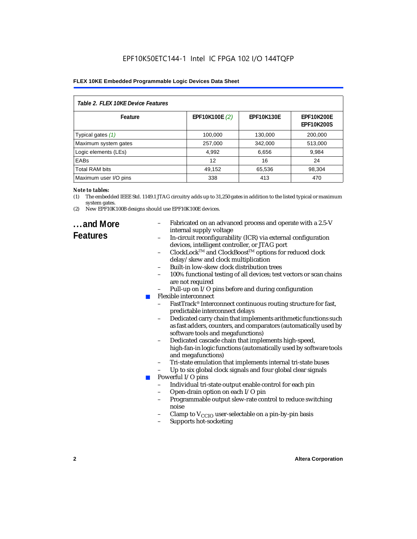| Table 2. FLEX 10KE Device Features |                |                   |                                        |  |
|------------------------------------|----------------|-------------------|----------------------------------------|--|
| Feature                            | EPF10K100E (2) | <b>EPF10K130E</b> | <b>EPF10K200E</b><br><b>EPF10K200S</b> |  |
| Typical gates (1)                  | 100,000        | 130,000           | 200,000                                |  |
| Maximum system gates               | 257,000        | 342,000           | 513,000                                |  |
| Logic elements (LEs)               | 4,992          | 6,656             | 9,984                                  |  |
| <b>EABs</b>                        | 12             | 16                | 24                                     |  |
| <b>Total RAM bits</b>              | 49,152         | 65,536            | 98,304                                 |  |
| Maximum user I/O pins              | 338            | 413               | 470                                    |  |

#### *Note to tables:*

- (1) The embedded IEEE Std. 1149.1 JTAG circuitry adds up to 31,250 gates in addition to the listed typical or maximum system gates.
- (2) New EPF10K100B designs should use EPF10K100E devices.

### **...and More Features**

- Fabricated on an advanced process and operate with a 2.5-V internal supply voltage
- In-circuit reconfigurability (ICR) via external configuration devices, intelligent controller, or JTAG port
- ClockLockTM and ClockBoostTM options for reduced clock delay/skew and clock multiplication
- Built-in low-skew clock distribution trees
- 100% functional testing of all devices; test vectors or scan chains are not required
- Pull-up on I/O pins before and during configuration
- Flexible interconnect
	- FastTrack<sup>®</sup> Interconnect continuous routing structure for fast, predictable interconnect delays
	- Dedicated carry chain that implements arithmetic functions such as fast adders, counters, and comparators (automatically used by software tools and megafunctions)
	- Dedicated cascade chain that implements high-speed, high-fan-in logic functions (automatically used by software tools and megafunctions)
	- Tri-state emulation that implements internal tri-state buses
	- Up to six global clock signals and four global clear signals
	- Powerful I/O pins
		- Individual tri-state output enable control for each pin
		- Open-drain option on each I/O pin
		- Programmable output slew-rate control to reduce switching noise
		- Clamp to  $V_{\text{CCIO}}$  user-selectable on a pin-by-pin basis
		- Supports hot-socketing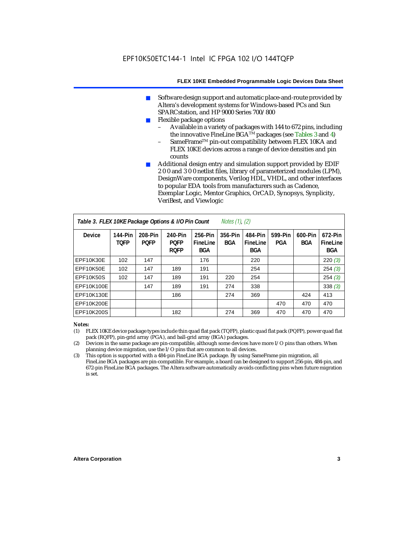- Software design support and automatic place-and-route provided by Altera's development systems for Windows-based PCs and Sun SPARCstation, and HP 9000 Series 700/800
- Flexible package options
	- Available in a variety of packages with 144 to 672 pins, including the innovative FineLine BGA<sup>TM</sup> packages (see Tables 3 and 4)
	- SameFrame™ pin-out compatibility between FLEX 10KA and FLEX 10KE devices across a range of device densities and pin counts
- Additional design entry and simulation support provided by EDIF 2 0 0 and 3 0 0 netlist files, library of parameterized modules (LPM), DesignWare components, Verilog HDL, VHDL, and other interfaces to popular EDA tools from manufacturers such as Cadence, Exemplar Logic, Mentor Graphics, OrCAD, Synopsys, Synplicity, VeriBest, and Viewlogic

| Table 3. FLEX 10KE Package Options & I/O Pin Count<br><i>Notes <math>(1)</math>, <math>(2)</math></i> |                               |                        |                                       |                                   |                |                                   |                |                       |                                   |
|-------------------------------------------------------------------------------------------------------|-------------------------------|------------------------|---------------------------------------|-----------------------------------|----------------|-----------------------------------|----------------|-----------------------|-----------------------------------|
| <b>Device</b>                                                                                         | <b>144-Pin</b><br><b>TOFP</b> | 208-Pin<br><b>POFP</b> | 240-Pin<br><b>PQFP</b><br><b>ROFP</b> | 256-Pin<br>FineLine<br><b>BGA</b> | 356-Pin<br>BGA | 484-Pin<br>FineLine<br><b>BGA</b> | 599-Pin<br>PGA | 600-Pin<br><b>BGA</b> | 672-Pin<br>FineLine<br><b>BGA</b> |
| EPF10K30E                                                                                             | 102                           | 147                    |                                       | 176                               |                | 220                               |                |                       | 220(3)                            |
| EPF10K50E                                                                                             | 102                           | 147                    | 189                                   | 191                               |                | 254                               |                |                       | 254(3)                            |
| <b>EPF10K50S</b>                                                                                      | 102                           | 147                    | 189                                   | 191                               | 220            | 254                               |                |                       | 254(3)                            |
| EPF10K100E                                                                                            |                               | 147                    | 189                                   | 191                               | 274            | 338                               |                |                       | 338(3)                            |
| EPF10K130E                                                                                            |                               |                        | 186                                   |                                   | 274            | 369                               |                | 424                   | 413                               |
| EPF10K200E                                                                                            |                               |                        |                                       |                                   |                |                                   | 470            | 470                   | 470                               |
| EPF10K200S                                                                                            |                               |                        | 182                                   |                                   | 274            | 369                               | 470            | 470                   | 470                               |

#### *Notes:*

- (1) FLEX 10KE device package types include thin quad flat pack (TQFP), plastic quad flat pack (PQFP), power quad flat pack (RQFP), pin-grid array (PGA), and ball-grid array (BGA) packages.
- (2) Devices in the same package are pin-compatible, although some devices have more I/O pins than others. When planning device migration, use the I/O pins that are common to all devices.
- (3) This option is supported with a 484-pin FineLine BGA package. By using SameFrame pin migration, all FineLine BGA packages are pin-compatible. For example, a board can be designed to support 256-pin, 484-pin, and 672-pin FineLine BGA packages. The Altera software automatically avoids conflicting pins when future migration is set.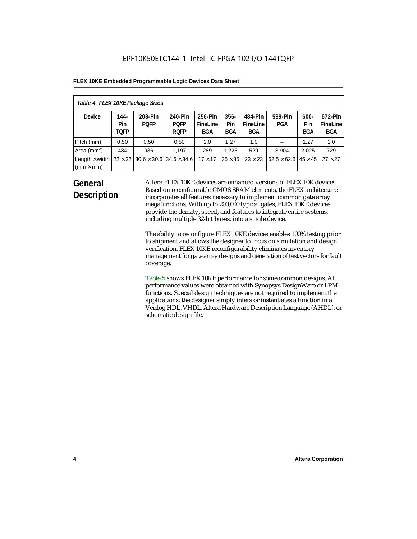| Table 4. FLEX 10KE Package Sizes          |                            |                                                      |                                       |                                   |                       |                            |                                   |                              |                                   |
|-------------------------------------------|----------------------------|------------------------------------------------------|---------------------------------------|-----------------------------------|-----------------------|----------------------------|-----------------------------------|------------------------------|-----------------------------------|
| <b>Device</b>                             | 144-<br>Pin<br><b>TOFP</b> | 208-Pin<br><b>POFP</b>                               | 240-Pin<br><b>POFP</b><br><b>ROFP</b> | 256-Pin<br>FineLine<br><b>BGA</b> | $356 -$<br>Pin<br>BGA | 484-Pin<br>FineLine<br>BGA | 599-Pin<br><b>PGA</b>             | $600 -$<br>Pin<br><b>BGA</b> | 672-Pin<br>FineLine<br><b>BGA</b> |
| Pitch (mm)                                | 0.50                       | 0.50                                                 | 0.50                                  | 1.0                               | 1.27                  | 1.0                        |                                   | 1.27                         | 1.0                               |
| Area $(mm2)$                              | 484                        | 936                                                  | 1.197                                 | 289                               | 1.225                 | 529                        | 3.904                             | 2,025                        | 729                               |
| Length $\times$ width<br>$(mm \times mm)$ |                            | $22 \times 22$ 30.6 $\times$ 30.6 34.6 $\times$ 34.6 |                                       | $17 \times 17$                    | $35 \times 35$        | $23 \times 23$             | $62.5 \times 62.5$ 45 $\times$ 45 |                              | $27 \times 27$                    |

### **General Description**

Altera FLEX 10KE devices are enhanced versions of FLEX 10K devices. Based on reconfigurable CMOS SRAM elements, the FLEX architecture incorporates all features necessary to implement common gate array megafunctions. With up to 200,000 typical gates, FLEX 10KE devices provide the density, speed, and features to integrate entire systems, including multiple 32-bit buses, into a single device.

The ability to reconfigure FLEX 10KE devices enables 100% testing prior to shipment and allows the designer to focus on simulation and design verification. FLEX 10KE reconfigurability eliminates inventory management for gate array designs and generation of test vectors for fault coverage.

Table 5 shows FLEX 10KE performance for some common designs. All performance values were obtained with Synopsys DesignWare or LPM functions. Special design techniques are not required to implement the applications; the designer simply infers or instantiates a function in a Verilog HDL, VHDL, Altera Hardware Description Language (AHDL), or schematic design file.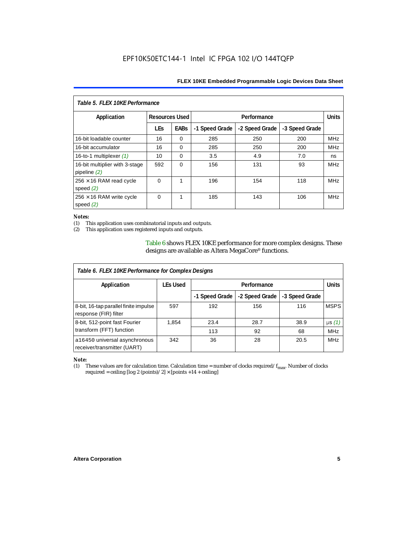| Table 5. FLEX 10KE Performance                   |                       |             |                |                |                |            |  |
|--------------------------------------------------|-----------------------|-------------|----------------|----------------|----------------|------------|--|
| Application                                      | <b>Resources Used</b> |             |                | Performance    |                |            |  |
|                                                  | <b>LEs</b>            | <b>EABs</b> | -1 Speed Grade | -2 Speed Grade | -3 Speed Grade |            |  |
| 16-bit loadable counter                          | 16                    | $\Omega$    | 285            | 250            | 200            | <b>MHz</b> |  |
| 16-bit accumulator                               | 16                    | $\Omega$    | 285            | 250            | 200            | <b>MHz</b> |  |
| 16-to-1 multiplexer $(1)$                        | 10                    | $\Omega$    | 3.5            | 4.9            | 7.0            | ns         |  |
| 16-bit multiplier with 3-stage<br>pipeline $(2)$ | 592                   | $\Omega$    | 156            | 131            | 93             | <b>MHz</b> |  |
| $256 \times 16$ RAM read cycle<br>speed $(2)$    | $\Omega$              | 1           | 196            | 154            | 118            | <b>MHz</b> |  |
| $256 \times 16$ RAM write cycle<br>speed $(2)$   | $\Omega$              | 1           | 185            | 143            | 106            | <b>MHz</b> |  |

#### *Notes:*

(1) This application uses combinatorial inputs and outputs.

This application uses registered inputs and outputs.

Table 6 shows FLEX 10KE performance for more complex designs. These designs are available as Altera MegaCore® functions.

| Table 6. FLEX 10KE Performance for Complex Designs             |                 |                |                |                |              |
|----------------------------------------------------------------|-----------------|----------------|----------------|----------------|--------------|
| Application                                                    | <b>LEs Used</b> | Performance    |                |                | <b>Units</b> |
|                                                                |                 | -1 Speed Grade | -2 Speed Grade | -3 Speed Grade |              |
| 8-bit, 16-tap parallel finite impulse<br>response (FIR) filter | 597             | 192            | 156            | 116            | <b>MSPS</b>  |
| 8-bit, 512-point fast Fourier                                  | 1,854           | 23.4           | 28.7           | 38.9           | $\mu s(1)$   |
| transform (FFT) function                                       |                 | 113            | 92             | 68             | <b>MHz</b>   |
| a16450 universal asynchronous<br>receiver/transmitter (UART)   | 342             | 36             | 28             | 20.5           | <b>MHz</b>   |

## *Note:*<br>(1) 1

These values are for calculation time. Calculation time = number of clocks required/ $f_{max}$ . Number of clocks required = ceiling [log 2 (points)/2]  $\times$  [points +14 + ceiling]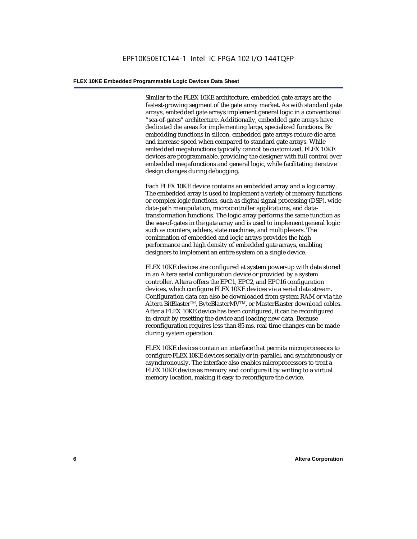Similar to the FLEX 10KE architecture, embedded gate arrays are the fastest-growing segment of the gate array market. As with standard gate arrays, embedded gate arrays implement general logic in a conventional "sea-of-gates" architecture. Additionally, embedded gate arrays have dedicated die areas for implementing large, specialized functions. By embedding functions in silicon, embedded gate arrays reduce die area and increase speed when compared to standard gate arrays. While embedded megafunctions typically cannot be customized, FLEX 10KE devices are programmable, providing the designer with full control over embedded megafunctions and general logic, while facilitating iterative design changes during debugging.

Each FLEX 10KE device contains an embedded array and a logic array. The embedded array is used to implement a variety of memory functions or complex logic functions, such as digital signal processing (DSP), wide data-path manipulation, microcontroller applications, and datatransformation functions. The logic array performs the same function as the sea-of-gates in the gate array and is used to implement general logic such as counters, adders, state machines, and multiplexers. The combination of embedded and logic arrays provides the high performance and high density of embedded gate arrays, enabling designers to implement an entire system on a single device.

FLEX 10KE devices are configured at system power-up with data stored in an Altera serial configuration device or provided by a system controller. Altera offers the EPC1, EPC2, and EPC16 configuration devices, which configure FLEX 10KE devices via a serial data stream. Configuration data can also be downloaded from system RAM or via the Altera BitBlaster™, ByteBlasterMV™, or MasterBlaster download cables. After a FLEX 10KE device has been configured, it can be reconfigured in-circuit by resetting the device and loading new data. Because reconfiguration requires less than 85 ms, real-time changes can be made during system operation.

FLEX 10KE devices contain an interface that permits microprocessors to configure FLEX 10KE devices serially or in-parallel, and synchronously or asynchronously. The interface also enables microprocessors to treat a FLEX 10KE device as memory and configure it by writing to a virtual memory location, making it easy to reconfigure the device.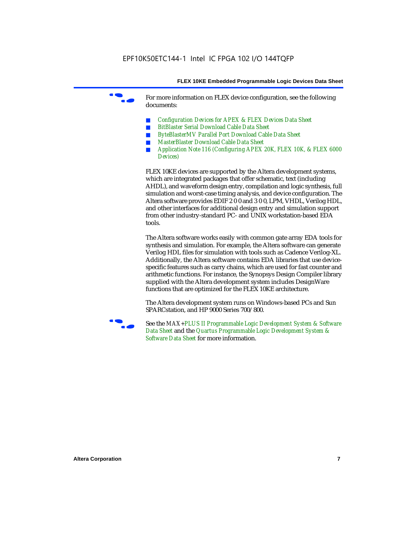For more information on FLEX device configuration, see the following documents:

- *Configuration Devices for APEX & FLEX Devices Data Sheet*
- *BitBlaster Serial Download Cable Data Sheet*
- *ByteBlasterMV Parallel Port Download Cable Data Sheet*
- *MasterBlaster Download Cable Data Sheet*
- *Application Note 116 (Configuring APEX 20K, FLEX 10K, & FLEX 6000 Devices)*

FLEX 10KE devices are supported by the Altera development systems, which are integrated packages that offer schematic, text (including AHDL), and waveform design entry, compilation and logic synthesis, full simulation and worst-case timing analysis, and device configuration. The Altera software provides EDIF 2 0 0 and 3 0 0, LPM, VHDL, Verilog HDL, and other interfaces for additional design entry and simulation support from other industry-standard PC- and UNIX workstation-based EDA tools.

The Altera software works easily with common gate array EDA tools for synthesis and simulation. For example, the Altera software can generate Verilog HDL files for simulation with tools such as Cadence Verilog-XL. Additionally, the Altera software contains EDA libraries that use devicespecific features such as carry chains, which are used for fast counter and arithmetic functions. For instance, the Synopsys Design Compiler library supplied with the Altera development system includes DesignWare functions that are optimized for the FLEX 10KE architecture.

The Altera development system runs on Windows-based PCs and Sun SPARCstation, and HP 9000 Series 700/800.



See the *MAX+PLUS II Programmable Logic Development System & Software Data Sheet* and the *Quartus Programmable Logic Development System & Software Data Sheet* for more information.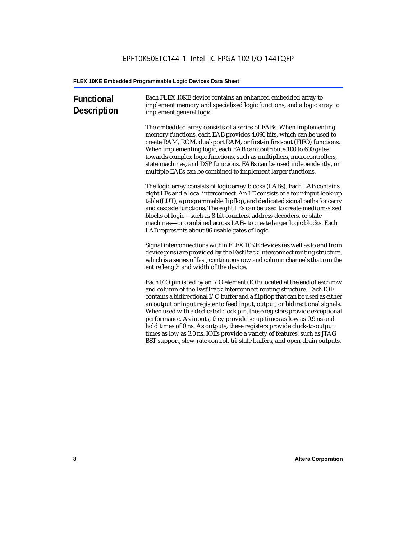| <b>Functional</b><br><b>Description</b> | Each FLEX 10KE device contains an enhanced embedded array to<br>implement memory and specialized logic functions, and a logic array to<br>implement general logic.                                                                                                                                                                                                                                                                                                                                                                                                                                                                                                                                             |
|-----------------------------------------|----------------------------------------------------------------------------------------------------------------------------------------------------------------------------------------------------------------------------------------------------------------------------------------------------------------------------------------------------------------------------------------------------------------------------------------------------------------------------------------------------------------------------------------------------------------------------------------------------------------------------------------------------------------------------------------------------------------|
|                                         | The embedded array consists of a series of EABs. When implementing<br>memory functions, each EAB provides 4,096 bits, which can be used to<br>create RAM, ROM, dual-port RAM, or first-in first-out (FIFO) functions.<br>When implementing logic, each EAB can contribute 100 to 600 gates<br>towards complex logic functions, such as multipliers, microcontrollers,<br>state machines, and DSP functions. EABs can be used independently, or<br>multiple EABs can be combined to implement larger functions.                                                                                                                                                                                                 |
|                                         | The logic array consists of logic array blocks (LABs). Each LAB contains<br>eight LEs and a local interconnect. An LE consists of a four-input look-up<br>table (LUT), a programmable flipflop, and dedicated signal paths for carry<br>and cascade functions. The eight LEs can be used to create medium-sized<br>blocks of logic-such as 8-bit counters, address decoders, or state<br>machines-or combined across LABs to create larger logic blocks. Each<br>LAB represents about 96 usable gates of logic.                                                                                                                                                                                                |
|                                         | Signal interconnections within FLEX 10KE devices (as well as to and from<br>device pins) are provided by the FastTrack Interconnect routing structure,<br>which is a series of fast, continuous row and column channels that run the<br>entire length and width of the device.                                                                                                                                                                                                                                                                                                                                                                                                                                 |
|                                         | Each I/O pin is fed by an I/O element (IOE) located at the end of each row<br>and column of the FastTrack Interconnect routing structure. Each IOE<br>contains a bidirectional I/O buffer and a flipflop that can be used as either<br>an output or input register to feed input, output, or bidirectional signals.<br>When used with a dedicated clock pin, these registers provide exceptional<br>performance. As inputs, they provide setup times as low as 0.9 ns and<br>hold times of 0 ns. As outputs, these registers provide clock-to-output<br>times as low as 3.0 ns. IOEs provide a variety of features, such as JTAG<br>BST support, slew-rate control, tri-state buffers, and open-drain outputs. |
|                                         |                                                                                                                                                                                                                                                                                                                                                                                                                                                                                                                                                                                                                                                                                                                |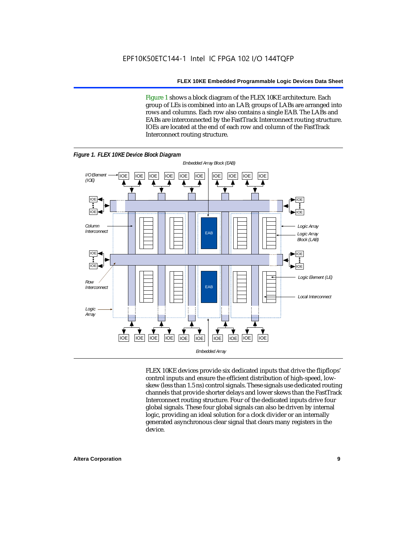Figure 1 shows a block diagram of the FLEX 10KE architecture. Each group of LEs is combined into an LAB; groups of LABs are arranged into rows and columns. Each row also contains a single EAB. The LABs and EABs are interconnected by the FastTrack Interconnect routing structure. IOEs are located at the end of each row and column of the FastTrack Interconnect routing structure.



FLEX 10KE devices provide six dedicated inputs that drive the flipflops' control inputs and ensure the efficient distribution of high-speed, lowskew (less than 1.5 ns) control signals. These signals use dedicated routing channels that provide shorter delays and lower skews than the FastTrack Interconnect routing structure. Four of the dedicated inputs drive four global signals. These four global signals can also be driven by internal logic, providing an ideal solution for a clock divider or an internally generated asynchronous clear signal that clears many registers in the device.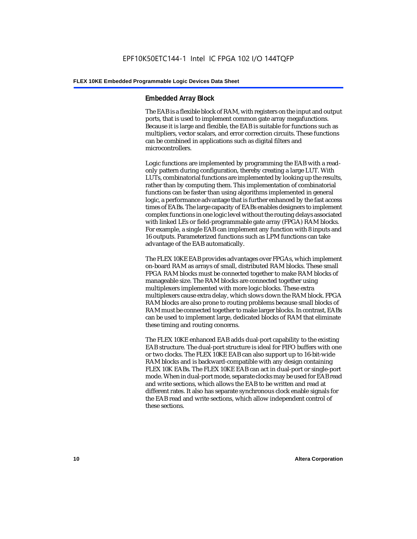#### **Embedded Array Block**

The EAB is a flexible block of RAM, with registers on the input and output ports, that is used to implement common gate array megafunctions. Because it is large and flexible, the EAB is suitable for functions such as multipliers, vector scalars, and error correction circuits. These functions can be combined in applications such as digital filters and microcontrollers.

Logic functions are implemented by programming the EAB with a readonly pattern during configuration, thereby creating a large LUT. With LUTs, combinatorial functions are implemented by looking up the results, rather than by computing them. This implementation of combinatorial functions can be faster than using algorithms implemented in general logic, a performance advantage that is further enhanced by the fast access times of EABs. The large capacity of EABs enables designers to implement complex functions in one logic level without the routing delays associated with linked LEs or field-programmable gate array (FPGA) RAM blocks. For example, a single EAB can implement any function with 8 inputs and 16 outputs. Parameterized functions such as LPM functions can take advantage of the EAB automatically.

The FLEX 10KE EAB provides advantages over FPGAs, which implement on-board RAM as arrays of small, distributed RAM blocks. These small FPGA RAM blocks must be connected together to make RAM blocks of manageable size. The RAM blocks are connected together using multiplexers implemented with more logic blocks. These extra multiplexers cause extra delay, which slows down the RAM block. FPGA RAM blocks are also prone to routing problems because small blocks of RAM must be connected together to make larger blocks. In contrast, EABs can be used to implement large, dedicated blocks of RAM that eliminate these timing and routing concerns.

The FLEX 10KE enhanced EAB adds dual-port capability to the existing EAB structure. The dual-port structure is ideal for FIFO buffers with one or two clocks. The FLEX 10KE EAB can also support up to 16-bit-wide RAM blocks and is backward-compatible with any design containing FLEX 10K EABs. The FLEX 10KE EAB can act in dual-port or single-port mode. When in dual-port mode, separate clocks may be used for EAB read and write sections, which allows the EAB to be written and read at different rates. It also has separate synchronous clock enable signals for the EAB read and write sections, which allow independent control of these sections.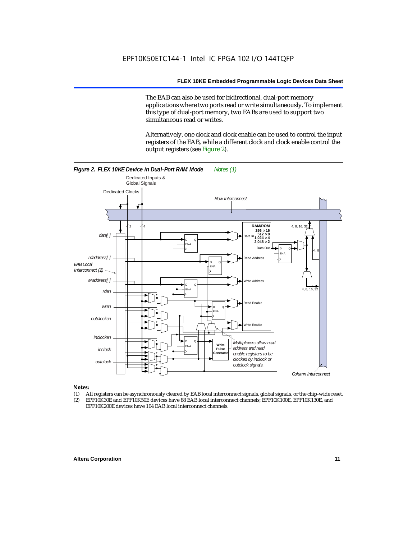The EAB can also be used for bidirectional, dual-port memory applications where two ports read or write simultaneously. To implement this type of dual-port memory, two EABs are used to support two simultaneous read or writes.

Alternatively, one clock and clock enable can be used to control the input registers of the EAB, while a different clock and clock enable control the output registers (see Figure 2).



#### *Notes:*

- (1) All registers can be asynchronously cleared by EAB local interconnect signals, global signals, or the chip-wide reset.
- (2) EPF10K30E and EPF10K50E devices have 88 EAB local interconnect channels; EPF10K100E, EPF10K130E, and EPF10K200E devices have 104 EAB local interconnect channels.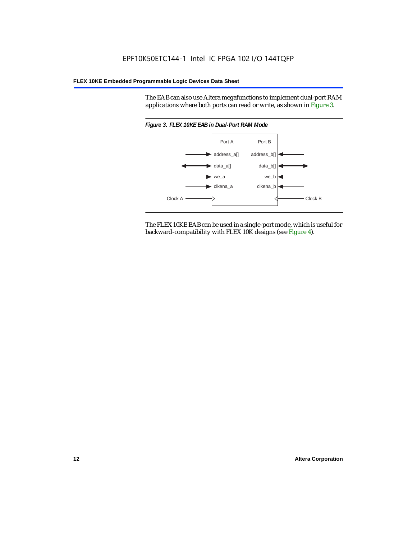The EAB can also use Altera megafunctions to implement dual-port RAM applications where both ports can read or write, as shown in Figure 3.



The FLEX 10KE EAB can be used in a single-port mode, which is useful for backward-compatibility with FLEX 10K designs (see Figure 4).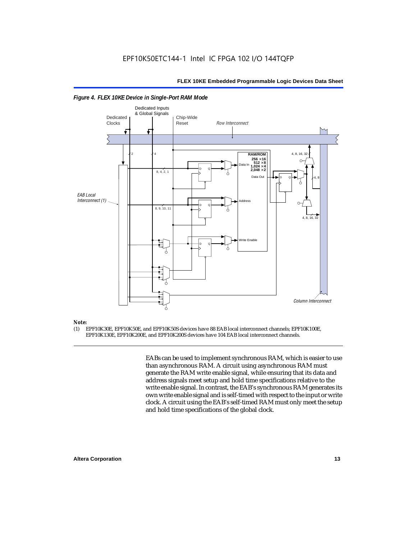

#### *Figure 4. FLEX 10KE Device in Single-Port RAM Mode*

### *Note:*<br>(1) **F**

(1) EPF10K30E, EPF10K50E, and EPF10K50S devices have 88 EAB local interconnect channels; EPF10K100E, EPF10K130E, EPF10K200E, and EPF10K200S devices have 104 EAB local interconnect channels.

> EABs can be used to implement synchronous RAM, which is easier to use than asynchronous RAM. A circuit using asynchronous RAM must generate the RAM write enable signal, while ensuring that its data and address signals meet setup and hold time specifications relative to the write enable signal. In contrast, the EAB's synchronous RAM generates its own write enable signal and is self-timed with respect to the input or write clock. A circuit using the EAB's self-timed RAM must only meet the setup and hold time specifications of the global clock.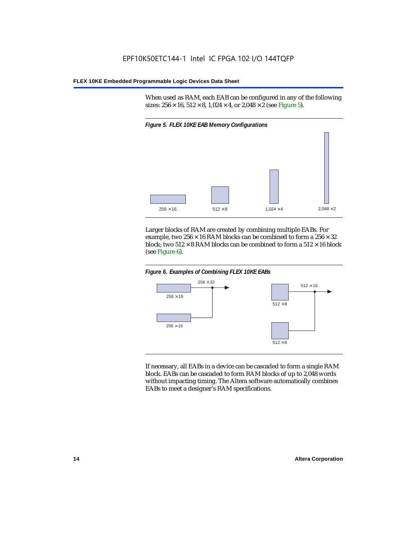When used as RAM, each EAB can be configured in any of the following sizes:  $256 \times 16$ ,  $512 \times 8$ ,  $1,024 \times 4$ , or  $2,048 \times 2$  (see Figure 5).



Larger blocks of RAM are created by combining multiple EABs. For example, two  $256 \times 16$  RAM blocks can be combined to form a  $256 \times 32$ block; two  $512 \times 8$  RAM blocks can be combined to form a  $512 \times 16$  block (see Figure 6).





If necessary, all EABs in a device can be cascaded to form a single RAM block. EABs can be cascaded to form RAM blocks of up to 2,048 words without impacting timing. The Altera software automatically combines EABs to meet a designer's RAM specifications.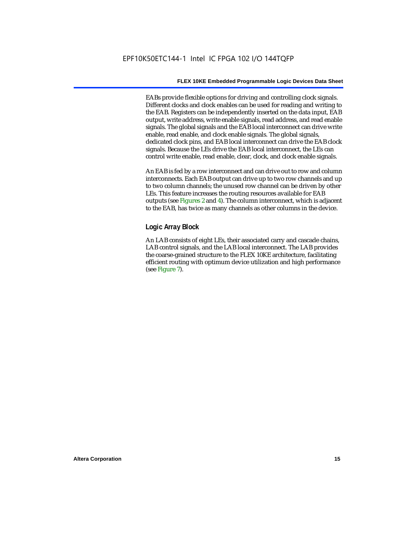EABs provide flexible options for driving and controlling clock signals. Different clocks and clock enables can be used for reading and writing to the EAB. Registers can be independently inserted on the data input, EAB output, write address, write enable signals, read address, and read enable signals. The global signals and the EAB local interconnect can drive write enable, read enable, and clock enable signals. The global signals, dedicated clock pins, and EAB local interconnect can drive the EAB clock signals. Because the LEs drive the EAB local interconnect, the LEs can control write enable, read enable, clear, clock, and clock enable signals.

An EAB is fed by a row interconnect and can drive out to row and column interconnects. Each EAB output can drive up to two row channels and up to two column channels; the unused row channel can be driven by other LEs. This feature increases the routing resources available for EAB outputs (see Figures 2 and 4). The column interconnect, which is adjacent to the EAB, has twice as many channels as other columns in the device.

#### **Logic Array Block**

An LAB consists of eight LEs, their associated carry and cascade chains, LAB control signals, and the LAB local interconnect. The LAB provides the coarse-grained structure to the FLEX 10KE architecture, facilitating efficient routing with optimum device utilization and high performance (see Figure 7).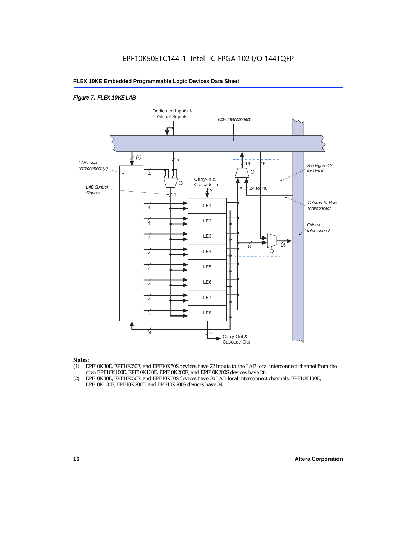#### *Figure 7. FLEX 10KE LAB*



#### *Notes:*

- (1) EPF10K30E, EPF10K50E, and EPF10K50S devices have 22 inputs to the LAB local interconnect channel from the row; EPF10K100E, EPF10K130E, EPF10K200E, and EPF10K200S devices have 26.
- (2) EPF10K30E, EPF10K50E, and EPF10K50S devices have 30 LAB local interconnect channels; EPF10K100E, EPF10K130E, EPF10K200E, and EPF10K200S devices have 34.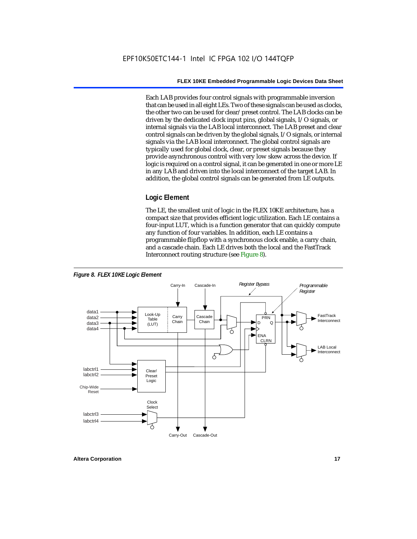Each LAB provides four control signals with programmable inversion that can be used in all eight LEs. Two of these signals can be used as clocks, the other two can be used for clear/preset control. The LAB clocks can be driven by the dedicated clock input pins, global signals, I/O signals, or internal signals via the LAB local interconnect. The LAB preset and clear control signals can be driven by the global signals, I/O signals, or internal signals via the LAB local interconnect. The global control signals are typically used for global clock, clear, or preset signals because they provide asynchronous control with very low skew across the device. If logic is required on a control signal, it can be generated in one or more LE in any LAB and driven into the local interconnect of the target LAB. In addition, the global control signals can be generated from LE outputs.

#### **Logic Element**

The LE, the smallest unit of logic in the FLEX 10KE architecture, has a compact size that provides efficient logic utilization. Each LE contains a four-input LUT, which is a function generator that can quickly compute any function of four variables. In addition, each LE contains a programmable flipflop with a synchronous clock enable, a carry chain, and a cascade chain. Each LE drives both the local and the FastTrack Interconnect routing structure (see Figure 8).

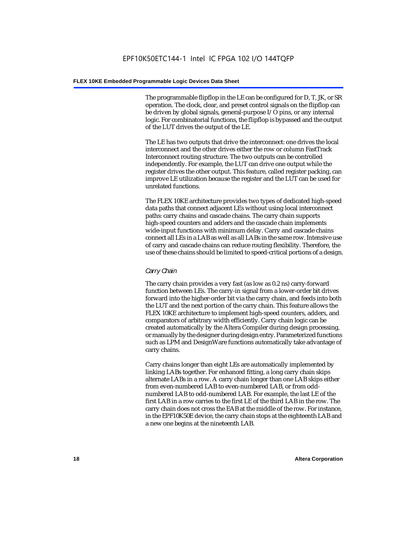The programmable flipflop in the LE can be configured for D, T, JK, or SR operation. The clock, clear, and preset control signals on the flipflop can be driven by global signals, general-purpose I/O pins, or any internal logic. For combinatorial functions, the flipflop is bypassed and the output of the LUT drives the output of the LE.

The LE has two outputs that drive the interconnect: one drives the local interconnect and the other drives either the row or column FastTrack Interconnect routing structure. The two outputs can be controlled independently. For example, the LUT can drive one output while the register drives the other output. This feature, called register packing, can improve LE utilization because the register and the LUT can be used for unrelated functions.

The FLEX 10KE architecture provides two types of dedicated high-speed data paths that connect adjacent LEs without using local interconnect paths: carry chains and cascade chains. The carry chain supports high-speed counters and adders and the cascade chain implements wide-input functions with minimum delay. Carry and cascade chains connect all LEs in a LAB as well as all LABs in the same row. Intensive use of carry and cascade chains can reduce routing flexibility. Therefore, the use of these chains should be limited to speed-critical portions of a design.

#### *Carry Chain*

The carry chain provides a very fast (as low as 0.2 ns) carry-forward function between LEs. The carry-in signal from a lower-order bit drives forward into the higher-order bit via the carry chain, and feeds into both the LUT and the next portion of the carry chain. This feature allows the FLEX 10KE architecture to implement high-speed counters, adders, and comparators of arbitrary width efficiently. Carry chain logic can be created automatically by the Altera Compiler during design processing, or manually by the designer during design entry. Parameterized functions such as LPM and DesignWare functions automatically take advantage of carry chains.

Carry chains longer than eight LEs are automatically implemented by linking LABs together. For enhanced fitting, a long carry chain skips alternate LABs in a row. A carry chain longer than one LAB skips either from even-numbered LAB to even-numbered LAB, or from oddnumbered LAB to odd-numbered LAB. For example, the last LE of the first LAB in a row carries to the first LE of the third LAB in the row. The carry chain does not cross the EAB at the middle of the row. For instance, in the EPF10K50E device, the carry chain stops at the eighteenth LAB and a new one begins at the nineteenth LAB.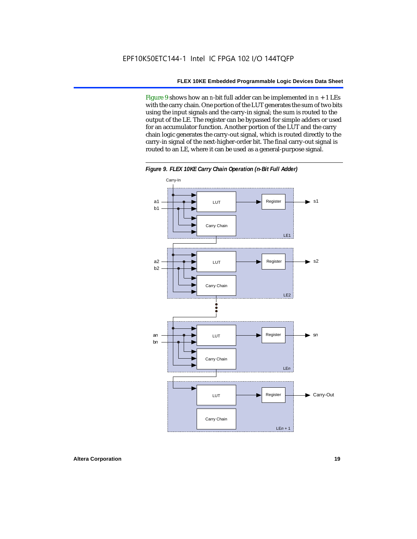Figure 9 shows how an *n*-bit full adder can be implemented in *n* + 1 LEs with the carry chain. One portion of the LUT generates the sum of two bits using the input signals and the carry-in signal; the sum is routed to the output of the LE. The register can be bypassed for simple adders or used for an accumulator function. Another portion of the LUT and the carry chain logic generates the carry-out signal, which is routed directly to the carry-in signal of the next-higher-order bit. The final carry-out signal is routed to an LE, where it can be used as a general-purpose signal.



*Figure 9. FLEX 10KE Carry Chain Operation (n-Bit Full Adder)*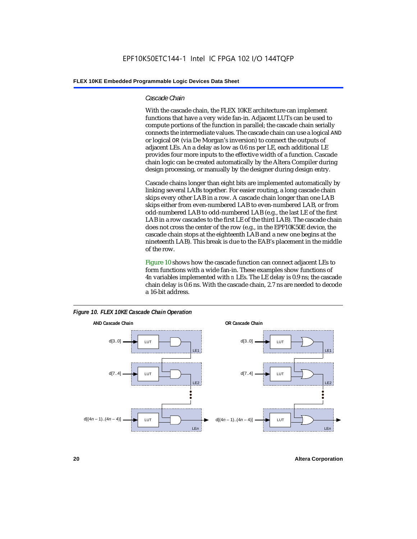#### *Cascade Chain*

With the cascade chain, the FLEX 10KE architecture can implement functions that have a very wide fan-in. Adjacent LUTs can be used to compute portions of the function in parallel; the cascade chain serially connects the intermediate values. The cascade chain can use a logical AND or logical OR (via De Morgan's inversion) to connect the outputs of adjacent LEs. An a delay as low as 0.6 ns per LE, each additional LE provides four more inputs to the effective width of a function. Cascade chain logic can be created automatically by the Altera Compiler during design processing, or manually by the designer during design entry.

Cascade chains longer than eight bits are implemented automatically by linking several LABs together. For easier routing, a long cascade chain skips every other LAB in a row. A cascade chain longer than one LAB skips either from even-numbered LAB to even-numbered LAB, or from odd-numbered LAB to odd-numbered LAB (e.g., the last LE of the first LAB in a row cascades to the first LE of the third LAB). The cascade chain does not cross the center of the row (e.g., in the EPF10K50E device, the cascade chain stops at the eighteenth LAB and a new one begins at the nineteenth LAB). This break is due to the EAB's placement in the middle of the row.

Figure 10 shows how the cascade function can connect adjacent LEs to form functions with a wide fan-in. These examples show functions of 4*n* variables implemented with *n* LEs. The LE delay is 0.9 ns; the cascade chain delay is 0.6 ns. With the cascade chain, 2.7 ns are needed to decode a 16-bit address.



*Figure 10. FLEX 10KE Cascade Chain Operation*

**20 Altera Corporation**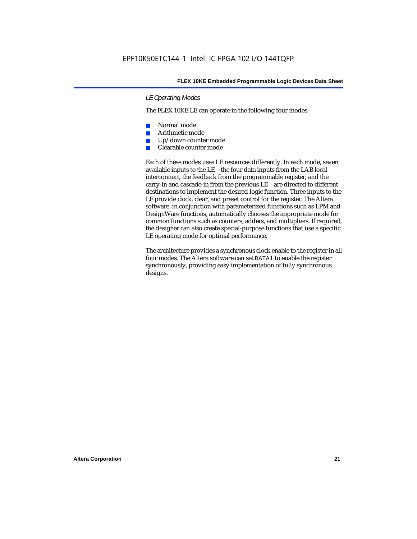#### *LE Operating Modes*

The FLEX 10KE LE can operate in the following four modes:

- Normal mode
- Arithmetic mode
- Up/down counter mode
- Clearable counter mode

Each of these modes uses LE resources differently. In each mode, seven available inputs to the LE—the four data inputs from the LAB local interconnect, the feedback from the programmable register, and the carry-in and cascade-in from the previous LE—are directed to different destinations to implement the desired logic function. Three inputs to the LE provide clock, clear, and preset control for the register. The Altera software, in conjunction with parameterized functions such as LPM and DesignWare functions, automatically chooses the appropriate mode for common functions such as counters, adders, and multipliers. If required, the designer can also create special-purpose functions that use a specific LE operating mode for optimal performance.

The architecture provides a synchronous clock enable to the register in all four modes. The Altera software can set DATA1 to enable the register synchronously, providing easy implementation of fully synchronous designs.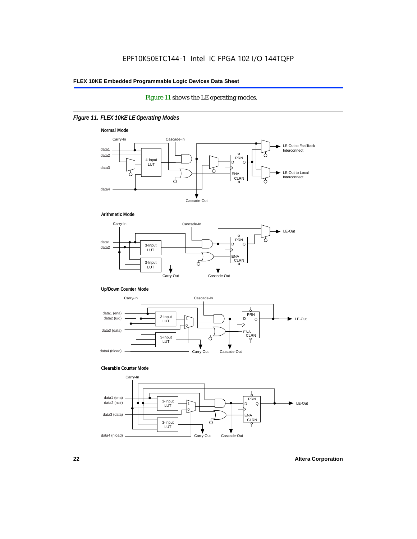#### Figure 11 shows the LE operating modes.

#### *Figure 11. FLEX 10KE LE Operating Modes*









#### **Clearable Counter Mode**

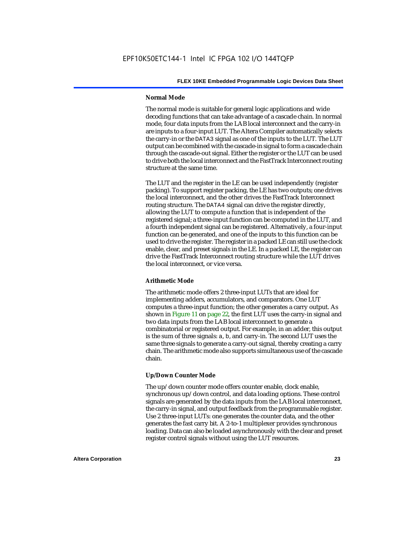#### **Normal Mode**

The normal mode is suitable for general logic applications and wide decoding functions that can take advantage of a cascade chain. In normal mode, four data inputs from the LAB local interconnect and the carry-in are inputs to a four-input LUT. The Altera Compiler automatically selects the carry-in or the DATA3 signal as one of the inputs to the LUT. The LUT output can be combined with the cascade-in signal to form a cascade chain through the cascade-out signal. Either the register or the LUT can be used to drive both the local interconnect and the FastTrack Interconnect routing structure at the same time.

The LUT and the register in the LE can be used independently (register packing). To support register packing, the LE has two outputs; one drives the local interconnect, and the other drives the FastTrack Interconnect routing structure. The DATA4 signal can drive the register directly, allowing the LUT to compute a function that is independent of the registered signal; a three-input function can be computed in the LUT, and a fourth independent signal can be registered. Alternatively, a four-input function can be generated, and one of the inputs to this function can be used to drive the register. The register in a packed LE can still use the clock enable, clear, and preset signals in the LE. In a packed LE, the register can drive the FastTrack Interconnect routing structure while the LUT drives the local interconnect, or vice versa.

#### **Arithmetic Mode**

The arithmetic mode offers 2 three-input LUTs that are ideal for implementing adders, accumulators, and comparators. One LUT computes a three-input function; the other generates a carry output. As shown in Figure 11 on page 22, the first LUT uses the carry-in signal and two data inputs from the LAB local interconnect to generate a combinatorial or registered output. For example, in an adder, this output is the sum of three signals: a, b, and carry-in. The second LUT uses the same three signals to generate a carry-out signal, thereby creating a carry chain. The arithmetic mode also supports simultaneous use of the cascade chain.

#### **Up/Down Counter Mode**

The up/down counter mode offers counter enable, clock enable, synchronous up/down control, and data loading options. These control signals are generated by the data inputs from the LAB local interconnect, the carry-in signal, and output feedback from the programmable register. Use 2 three-input LUTs: one generates the counter data, and the other generates the fast carry bit. A 2-to-1 multiplexer provides synchronous loading. Data can also be loaded asynchronously with the clear and preset register control signals without using the LUT resources.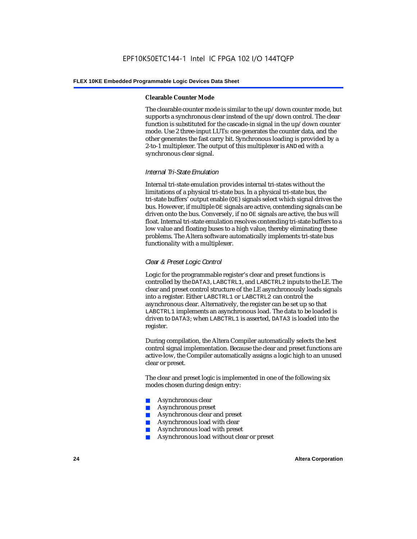#### **Clearable Counter Mode**

The clearable counter mode is similar to the up/down counter mode, but supports a synchronous clear instead of the up/down control. The clear function is substituted for the cascade-in signal in the up/down counter mode. Use 2 three-input LUTs: one generates the counter data, and the other generates the fast carry bit. Synchronous loading is provided by a 2-to-1 multiplexer. The output of this multiplexer is ANDed with a synchronous clear signal.

#### *Internal Tri-State Emulation*

Internal tri-state emulation provides internal tri-states without the limitations of a physical tri-state bus. In a physical tri-state bus, the tri-state buffers' output enable (OE) signals select which signal drives the bus. However, if multiple OE signals are active, contending signals can be driven onto the bus. Conversely, if no OE signals are active, the bus will float. Internal tri-state emulation resolves contending tri-state buffers to a low value and floating buses to a high value, thereby eliminating these problems. The Altera software automatically implements tri-state bus functionality with a multiplexer.

#### *Clear & Preset Logic Control*

Logic for the programmable register's clear and preset functions is controlled by the DATA3, LABCTRL1, and LABCTRL2 inputs to the LE. The clear and preset control structure of the LE asynchronously loads signals into a register. Either LABCTRL1 or LABCTRL2 can control the asynchronous clear. Alternatively, the register can be set up so that LABCTRL1 implements an asynchronous load. The data to be loaded is driven to DATA3; when LABCTRL1 is asserted, DATA3 is loaded into the register.

During compilation, the Altera Compiler automatically selects the best control signal implementation. Because the clear and preset functions are active-low, the Compiler automatically assigns a logic high to an unused clear or preset.

The clear and preset logic is implemented in one of the following six modes chosen during design entry:

- Asynchronous clear
- Asynchronous preset
- Asynchronous clear and preset
- Asynchronous load with clear
- Asynchronous load with preset
- Asynchronous load without clear or preset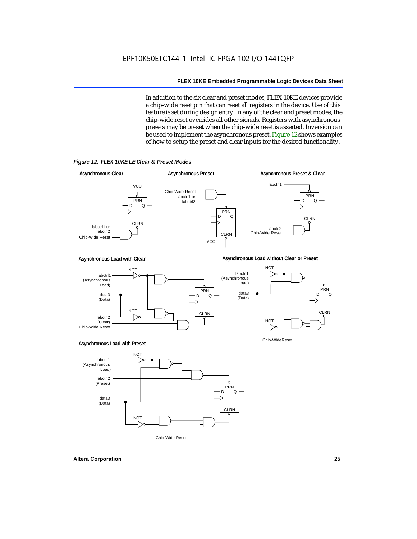In addition to the six clear and preset modes, FLEX 10KE devices provide a chip-wide reset pin that can reset all registers in the device. Use of this feature is set during design entry. In any of the clear and preset modes, the chip-wide reset overrides all other signals. Registers with asynchronous presets may be preset when the chip-wide reset is asserted. Inversion can be used to implement the asynchronous preset. Figure 12 shows examples of how to setup the preset and clear inputs for the desired functionality.



*Figure 12. FLEX 10KE LE Clear & Preset Modes*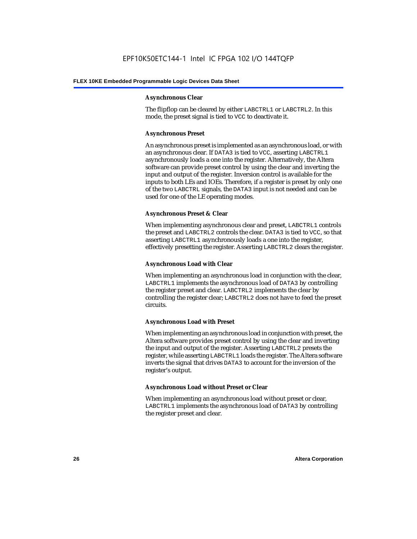#### **Asynchronous Clear**

The flipflop can be cleared by either LABCTRL1 or LABCTRL2. In this mode, the preset signal is tied to VCC to deactivate it.

#### **Asynchronous Preset**

An asynchronous preset is implemented as an asynchronous load, or with an asynchronous clear. If DATA3 is tied to VCC, asserting LABCTRL1 asynchronously loads a one into the register. Alternatively, the Altera software can provide preset control by using the clear and inverting the input and output of the register. Inversion control is available for the inputs to both LEs and IOEs. Therefore, if a register is preset by only one of the two LABCTRL signals, the DATA3 input is not needed and can be used for one of the LE operating modes.

#### **Asynchronous Preset & Clear**

When implementing asynchronous clear and preset, LABCTRL1 controls the preset and LABCTRL2 controls the clear. DATA3 is tied to VCC, so that asserting LABCTRL1 asynchronously loads a one into the register, effectively presetting the register. Asserting LABCTRL2 clears the register.

#### **Asynchronous Load with Clear**

When implementing an asynchronous load in conjunction with the clear, LABCTRL1 implements the asynchronous load of DATA3 by controlling the register preset and clear. LABCTRL2 implements the clear by controlling the register clear; LABCTRL2 does not have to feed the preset circuits.

#### **Asynchronous Load with Preset**

When implementing an asynchronous load in conjunction with preset, the Altera software provides preset control by using the clear and inverting the input and output of the register. Asserting LABCTRL2 presets the register, while asserting LABCTRL1 loads the register. The Altera software inverts the signal that drives DATA3 to account for the inversion of the register's output.

#### **Asynchronous Load without Preset or Clear**

When implementing an asynchronous load without preset or clear, LABCTRL1 implements the asynchronous load of DATA3 by controlling the register preset and clear.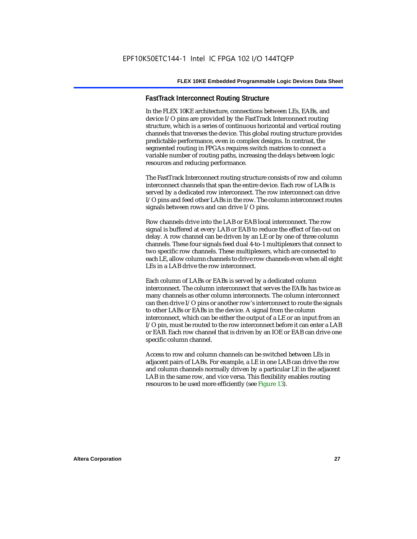#### **FastTrack Interconnect Routing Structure**

In the FLEX 10KE architecture, connections between LEs, EABs, and device I/O pins are provided by the FastTrack Interconnect routing structure, which is a series of continuous horizontal and vertical routing channels that traverses the device. This global routing structure provides predictable performance, even in complex designs. In contrast, the segmented routing in FPGAs requires switch matrices to connect a variable number of routing paths, increasing the delays between logic resources and reducing performance.

The FastTrack Interconnect routing structure consists of row and column interconnect channels that span the entire device. Each row of LABs is served by a dedicated row interconnect. The row interconnect can drive I/O pins and feed other LABs in the row. The column interconnect routes signals between rows and can drive I/O pins.

Row channels drive into the LAB or EAB local interconnect. The row signal is buffered at every LAB or EAB to reduce the effect of fan-out on delay. A row channel can be driven by an LE or by one of three column channels. These four signals feed dual 4-to-1 multiplexers that connect to two specific row channels. These multiplexers, which are connected to each LE, allow column channels to drive row channels even when all eight LEs in a LAB drive the row interconnect.

Each column of LABs or EABs is served by a dedicated column interconnect. The column interconnect that serves the EABs has twice as many channels as other column interconnects. The column interconnect can then drive I/O pins or another row's interconnect to route the signals to other LABs or EABs in the device. A signal from the column interconnect, which can be either the output of a LE or an input from an I/O pin, must be routed to the row interconnect before it can enter a LAB or EAB. Each row channel that is driven by an IOE or EAB can drive one specific column channel.

Access to row and column channels can be switched between LEs in adjacent pairs of LABs. For example, a LE in one LAB can drive the row and column channels normally driven by a particular LE in the adjacent LAB in the same row, and vice versa. This flexibility enables routing resources to be used more efficiently (see Figure 13).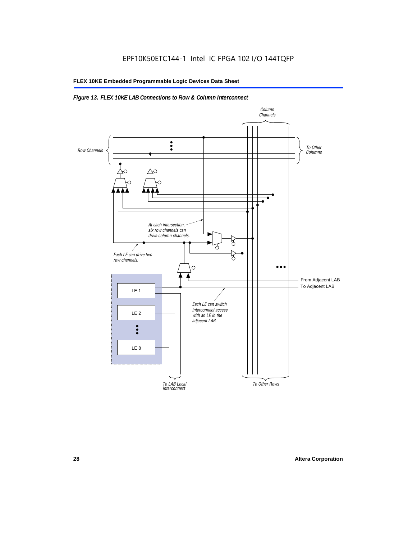#### *Figure 13. FLEX 10KE LAB Connections to Row & Column Interconnect*

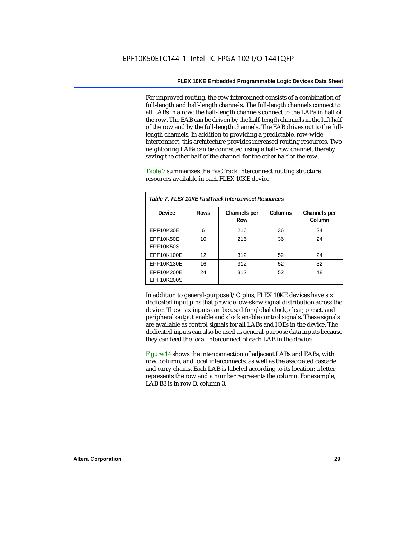For improved routing, the row interconnect consists of a combination of full-length and half-length channels. The full-length channels connect to all LABs in a row; the half-length channels connect to the LABs in half of the row. The EAB can be driven by the half-length channels in the left half of the row and by the full-length channels. The EAB drives out to the fulllength channels. In addition to providing a predictable, row-wide interconnect, this architecture provides increased routing resources. Two neighboring LABs can be connected using a half-row channel, thereby saving the other half of the channel for the other half of the row.

Table 7 summarizes the FastTrack Interconnect routing structure resources available in each FLEX 10KE device.

| Table 7. FLEX 10KE FastTrack Interconnect Resources |             |                     |         |                        |
|-----------------------------------------------------|-------------|---------------------|---------|------------------------|
| Device                                              | <b>Rows</b> | Channels per<br>Row | Columns | Channels per<br>Column |
| <b>EPF10K30E</b>                                    | 6           | 216                 | 36      | 24                     |
| EPF10K50E<br>EPF10K50S                              | 10          | 216                 | 36      | 24                     |
| EPF10K100E                                          | 12          | 312                 | 52      | 24                     |
| EPF10K130E                                          | 16          | 312                 | 52      | 32                     |
| EPF10K200E<br>EPF10K200S                            | 24          | 312                 | 52      | 48                     |

In addition to general-purpose I/O pins, FLEX 10KE devices have six dedicated input pins that provide low-skew signal distribution across the device. These six inputs can be used for global clock, clear, preset, and peripheral output enable and clock enable control signals. These signals are available as control signals for all LABs and IOEs in the device. The dedicated inputs can also be used as general-purpose data inputs because they can feed the local interconnect of each LAB in the device.

Figure 14 shows the interconnection of adjacent LABs and EABs, with row, column, and local interconnects, as well as the associated cascade and carry chains. Each LAB is labeled according to its location: a letter represents the row and a number represents the column. For example, LAB B3 is in row B, column 3.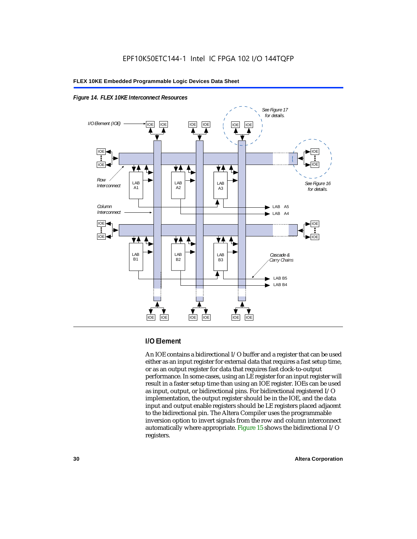



#### **I/O Element**

An IOE contains a bidirectional I/O buffer and a register that can be used either as an input register for external data that requires a fast setup time, or as an output register for data that requires fast clock-to-output performance. In some cases, using an LE register for an input register will result in a faster setup time than using an IOE register. IOEs can be used as input, output, or bidirectional pins. For bidirectional registered I/O implementation, the output register should be in the IOE, and the data input and output enable registers should be LE registers placed adjacent to the bidirectional pin. The Altera Compiler uses the programmable inversion option to invert signals from the row and column interconnect automatically where appropriate. Figure 15 shows the bidirectional I/O registers.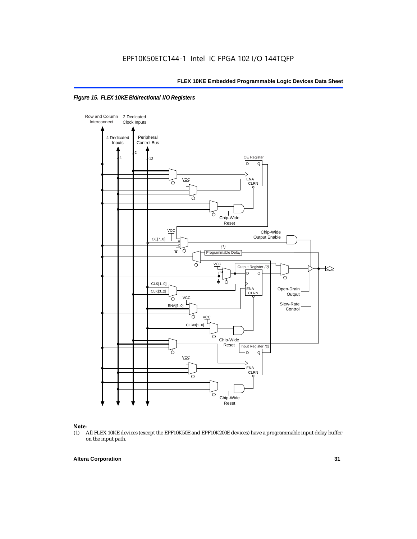



### *Note:*<br>(1) *A*

(1) All FLEX 10KE devices (except the EPF10K50E and EPF10K200E devices) have a programmable input delay buffer on the input path.

#### **Altera Corporation 31**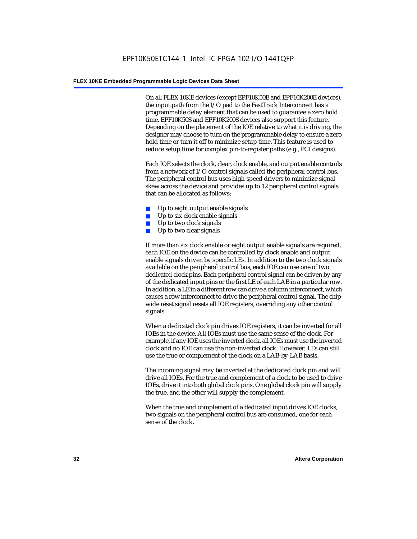On all FLEX 10KE devices (except EPF10K50E and EPF10K200E devices), the input path from the I/O pad to the FastTrack Interconnect has a programmable delay element that can be used to guarantee a zero hold time. EPF10K50S and EPF10K200S devices also support this feature. Depending on the placement of the IOE relative to what it is driving, the designer may choose to turn on the programmable delay to ensure a zero hold time or turn it off to minimize setup time. This feature is used to reduce setup time for complex pin-to-register paths (e.g., PCI designs).

Each IOE selects the clock, clear, clock enable, and output enable controls from a network of I/O control signals called the peripheral control bus. The peripheral control bus uses high-speed drivers to minimize signal skew across the device and provides up to 12 peripheral control signals that can be allocated as follows:

- Up to eight output enable signals
- Up to six clock enable signals
- Up to two clock signals
- Up to two clear signals

If more than six clock enable or eight output enable signals are required, each IOE on the device can be controlled by clock enable and output enable signals driven by specific LEs. In addition to the two clock signals available on the peripheral control bus, each IOE can use one of two dedicated clock pins. Each peripheral control signal can be driven by any of the dedicated input pins or the first LE of each LAB in a particular row. In addition, a LE in a different row can drive a column interconnect, which causes a row interconnect to drive the peripheral control signal. The chipwide reset signal resets all IOE registers, overriding any other control signals.

When a dedicated clock pin drives IOE registers, it can be inverted for all IOEs in the device. All IOEs must use the same sense of the clock. For example, if any IOE uses the inverted clock, all IOEs must use the inverted clock and no IOE can use the non-inverted clock. However, LEs can still use the true or complement of the clock on a LAB-by-LAB basis.

The incoming signal may be inverted at the dedicated clock pin and will drive all IOEs. For the true and complement of a clock to be used to drive IOEs, drive it into both global clock pins. One global clock pin will supply the true, and the other will supply the complement.

When the true and complement of a dedicated input drives IOE clocks, two signals on the peripheral control bus are consumed, one for each sense of the clock.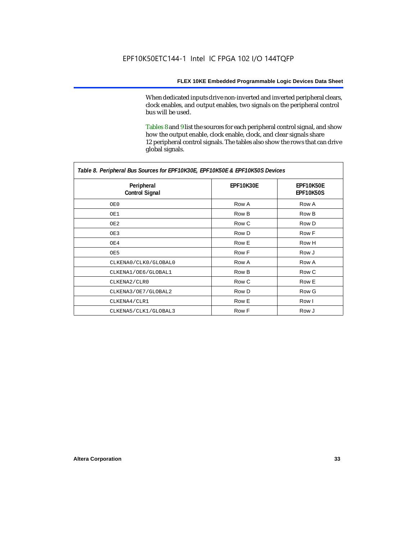When dedicated inputs drive non-inverted and inverted peripheral clears, clock enables, and output enables, two signals on the peripheral control bus will be used.

Tables 8 and 9 list the sources for each peripheral control signal, and show how the output enable, clock enable, clock, and clear signals share 12 peripheral control signals. The tables also show the rows that can drive global signals.

| Table 8. Peripheral Bus Sources for EPF10K30E, EPF10K50E & EPF10K50S Devices |                  |                        |  |  |
|------------------------------------------------------------------------------|------------------|------------------------|--|--|
| Peripheral<br><b>Control Signal</b>                                          | <b>EPF10K30E</b> | EPF10K50E<br>EPF10K50S |  |  |
| OE0                                                                          | Row A            | Row A                  |  |  |
| OE1                                                                          | Row B            | Row B                  |  |  |
| OE2                                                                          | Row C            | Row D                  |  |  |
| OE3                                                                          | Row D            | Row F                  |  |  |
| OE4                                                                          | Row E            | Row H                  |  |  |
| OE5                                                                          | Row F            | Row J                  |  |  |
| CLKENA0/CLK0/GLOBAL0                                                         | Row A            | Row A                  |  |  |
| CLKENA1/OE6/GLOBAL1                                                          | Row B            | Row C                  |  |  |
| CLKENA2/CLR0                                                                 | Row C            | Row E                  |  |  |
| CLKENA3/OE7/GLOBAL2                                                          | Row D            | Row G                  |  |  |
| CLKENA4/CLR1                                                                 | Row E            | Row I                  |  |  |
| CLKENA5/CLK1/GLOBAL3                                                         | Row F            | Row J                  |  |  |

*Table 8. Peripheral Bus Sources for EPF10K30E, EPF10K50E & EPF10K50S Devices*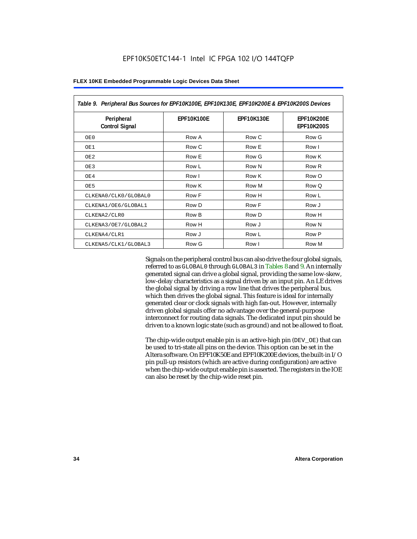| Table 9. Peripheral Bus Sources for EPF10K100E, EPF10K130E, EPF10K200E & EPF10K200S Devices |                   |                   |                                        |  |
|---------------------------------------------------------------------------------------------|-------------------|-------------------|----------------------------------------|--|
| Peripheral<br><b>Control Signal</b>                                                         | <b>EPF10K100E</b> | <b>EPF10K130E</b> | <b>EPF10K200E</b><br><b>EPF10K200S</b> |  |
| OE0                                                                                         | Row A             | Row C             | Row G                                  |  |
| OE1                                                                                         | Row C             | Row E             | Row I                                  |  |
| OE <sub>2</sub>                                                                             | Row E             | Row G             | Row K                                  |  |
| OE3                                                                                         | Row L             | Row N             | Row <sub>R</sub>                       |  |
| OE4                                                                                         | Row I             | Row K             | Row O                                  |  |
| OE5                                                                                         | Row K             | Row M             | Row Q                                  |  |
| CLKENA0/CLK0/GLOBAL0                                                                        | Row F             | Row H             | Row L                                  |  |
| CLKENA1/OE6/GLOBAL1                                                                         | Row D             | Row F             | Row J                                  |  |
| CLKENA2/CLR0                                                                                | Row B             | Row D             | Row H                                  |  |
| CLKENA3/OE7/GLOBAL2                                                                         | Row H             | Row J             | Row N                                  |  |
| CLKENA4/CLR1                                                                                | Row J             | Row L             | Row P                                  |  |
| CLKENA5/CLK1/GLOBAL3                                                                        | Row G             | Row I             | Row M                                  |  |

Signals on the peripheral control bus can also drive the four global signals, referred to as GLOBAL0 through GLOBAL3 in Tables 8 and 9. An internally generated signal can drive a global signal, providing the same low-skew, low-delay characteristics as a signal driven by an input pin. An LE drives the global signal by driving a row line that drives the peripheral bus, which then drives the global signal. This feature is ideal for internally generated clear or clock signals with high fan-out. However, internally driven global signals offer no advantage over the general-purpose interconnect for routing data signals. The dedicated input pin should be driven to a known logic state (such as ground) and not be allowed to float.

The chip-wide output enable pin is an active-high pin (DEV\_OE) that can be used to tri-state all pins on the device. This option can be set in the Altera software. On EPF10K50E and EPF10K200E devices, the built-in I/O pin pull-up resistors (which are active during configuration) are active when the chip-wide output enable pin is asserted. The registers in the IOE can also be reset by the chip-wide reset pin.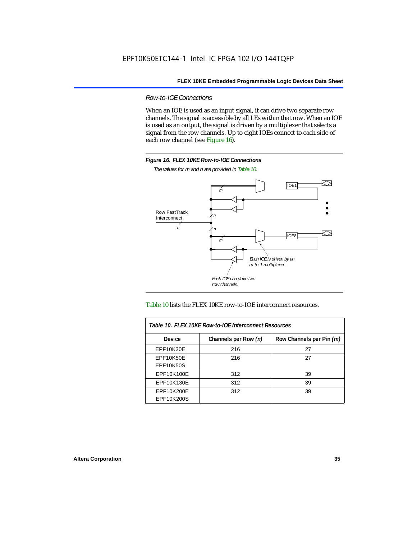*Row-to-IOE Connections*

When an IOE is used as an input signal, it can drive two separate row channels. The signal is accessible by all LEs within that row. When an IOE is used as an output, the signal is driven by a multiplexer that selects a signal from the row channels. Up to eight IOEs connect to each side of each row channel (see Figure 16).



*The values for m and n are provided in Table 10.*





| Table 10. FLEX 10KE Row-to-IOE Interconnect Resources |                      |                          |  |  |  |
|-------------------------------------------------------|----------------------|--------------------------|--|--|--|
| Device                                                | Channels per Row (n) | Row Channels per Pin (m) |  |  |  |
| EPF10K30E                                             | 216                  | 27                       |  |  |  |
| EPF10K50E                                             | 216                  | 27                       |  |  |  |
| <b>EPF10K50S</b>                                      |                      |                          |  |  |  |
| EPF10K100E                                            | 312                  | 39                       |  |  |  |
| EPF10K130E                                            | 312                  | 39                       |  |  |  |
| EPF10K200E<br>EPF10K200S                              | 312                  | 39                       |  |  |  |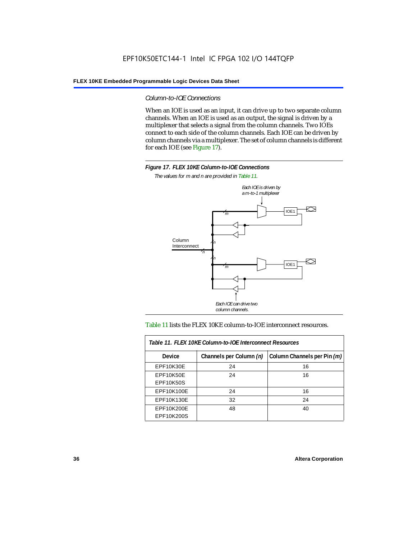### *Column-to-IOE Connections*

When an IOE is used as an input, it can drive up to two separate column channels. When an IOE is used as an output, the signal is driven by a multiplexer that selects a signal from the column channels. Two IOEs connect to each side of the column channels. Each IOE can be driven by column channels via a multiplexer. The set of column channels is different for each IOE (see Figure 17).



*The values for m and n are provided in Table 11.*



#### Table 11 lists the FLEX 10KE column-to-IOE interconnect resources.

| Table 11. FLEX 10KE Column-to-IOE Interconnect Resources |                         |                             |  |  |  |
|----------------------------------------------------------|-------------------------|-----------------------------|--|--|--|
| <b>Device</b>                                            | Channels per Column (n) | Column Channels per Pin (m) |  |  |  |
| EPF10K30E                                                | 24                      | 16                          |  |  |  |
| EPF10K50E<br><b>EPF10K50S</b>                            | 24                      | 16                          |  |  |  |
| EPF10K100E                                               | 24                      | 16                          |  |  |  |
| EPF10K130E                                               | 32                      | 24                          |  |  |  |
| EPF10K200E<br>EPF10K200S                                 | 48                      | 40                          |  |  |  |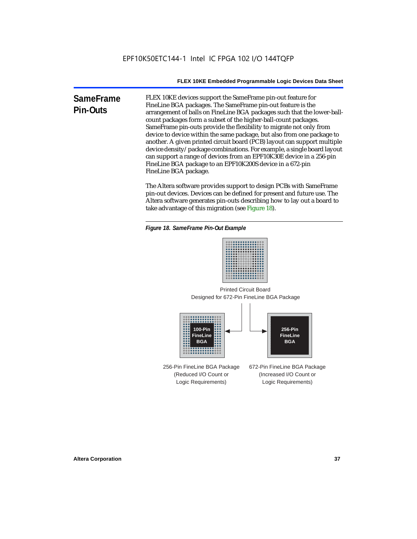**SameFrame Pin-Outs** FLEX 10KE devices support the SameFrame pin-out feature for FineLine BGA packages. The SameFrame pin-out feature is the arrangement of balls on FineLine BGA packages such that the lower-ballcount packages form a subset of the higher-ball-count packages. SameFrame pin-outs provide the flexibility to migrate not only from device to device within the same package, but also from one package to another. A given printed circuit board (PCB) layout can support multiple device density/package combinations. For example, a single board layout can support a range of devices from an EPF10K30E device in a 256-pin FineLine BGA package to an EPF10K200S device in a 672-pin FineLine BGA package.

> The Altera software provides support to design PCBs with SameFrame pin-out devices. Devices can be defined for present and future use. The Altera software generates pin-outs describing how to lay out a board to take advantage of this migration (see Figure 18).





Designed for 672-Pin FineLine BGA Package Printed Circuit Board



256-Pin FineLine BGA Package (Reduced I/O Count or Logic Requirements) 672-Pin FineLine BGA Package (Increased I/O Count or Logic Requirements)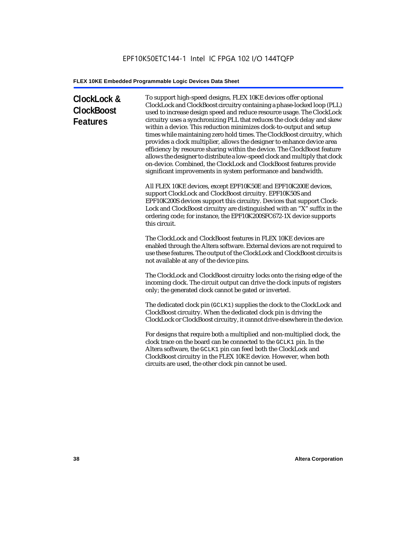# **ClockLock & ClockBoost Features**

To support high-speed designs, FLEX 10KE devices offer optional ClockLock and ClockBoost circuitry containing a phase-locked loop (PLL) used to increase design speed and reduce resource usage. The ClockLock circuitry uses a synchronizing PLL that reduces the clock delay and skew within a device. This reduction minimizes clock-to-output and setup times while maintaining zero hold times. The ClockBoost circuitry, which provides a clock multiplier, allows the designer to enhance device area efficiency by resource sharing within the device. The ClockBoost feature allows the designer to distribute a low-speed clock and multiply that clock on-device. Combined, the ClockLock and ClockBoost features provide significant improvements in system performance and bandwidth.

All FLEX 10KE devices, except EPF10K50E and EPF10K200E devices, support ClockLock and ClockBoost circuitry. EPF10K50S and EPF10K200S devices support this circuitry. Devices that support Clock-Lock and ClockBoost circuitry are distinguished with an "X" suffix in the ordering code; for instance, the EPF10K200SFC672-1X device supports this circuit.

The ClockLock and ClockBoost features in FLEX 10KE devices are enabled through the Altera software. External devices are not required to use these features. The output of the ClockLock and ClockBoost circuits is not available at any of the device pins.

The ClockLock and ClockBoost circuitry locks onto the rising edge of the incoming clock. The circuit output can drive the clock inputs of registers only; the generated clock cannot be gated or inverted.

The dedicated clock pin (GCLK1) supplies the clock to the ClockLock and ClockBoost circuitry. When the dedicated clock pin is driving the ClockLock or ClockBoost circuitry, it cannot drive elsewhere in the device.

For designs that require both a multiplied and non-multiplied clock, the clock trace on the board can be connected to the GCLK1 pin. In the Altera software, the GCLK1 pin can feed both the ClockLock and ClockBoost circuitry in the FLEX 10KE device. However, when both circuits are used, the other clock pin cannot be used.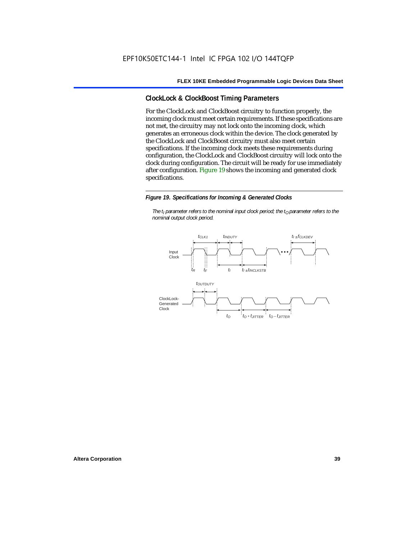## **ClockLock & ClockBoost Timing Parameters**

For the ClockLock and ClockBoost circuitry to function properly, the incoming clock must meet certain requirements. If these specifications are not met, the circuitry may not lock onto the incoming clock, which generates an erroneous clock within the device. The clock generated by the ClockLock and ClockBoost circuitry must also meet certain specifications. If the incoming clock meets these requirements during configuration, the ClockLock and ClockBoost circuitry will lock onto the clock during configuration. The circuit will be ready for use immediately after configuration. Figure 19 shows the incoming and generated clock specifications.

#### *Figure 19. Specifications for Incoming & Generated Clocks*

*The t<sub>I</sub> parameter refers to the nominal input clock period; the t<sub>0</sub> parameter refers to the nominal output clock period.*

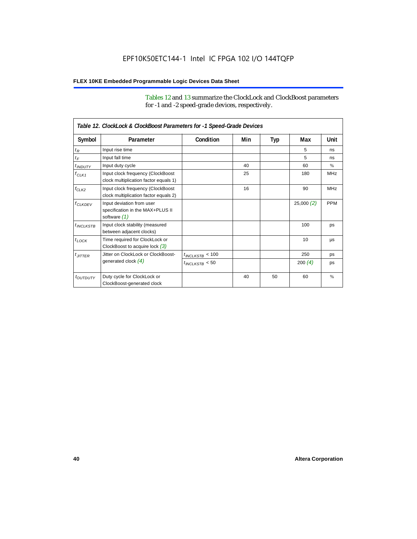Tables 12 and 13 summarize the ClockLock and ClockBoost parameters for -1 and -2 speed-grade devices, respectively.

|                       | Table 12. ClockLock & ClockBoost Parameters for -1 Speed-Grade Devices        |                      |     |     |                 |               |
|-----------------------|-------------------------------------------------------------------------------|----------------------|-----|-----|-----------------|---------------|
| Symbol                | Parameter                                                                     | Condition            | Min | Typ | Max             | Unit          |
| $t_R$                 | Input rise time                                                               |                      |     |     | 5               | ns            |
| $t_F$                 | Input fall time                                                               |                      |     |     | 5               | ns            |
| $t$ <sub>INDUTY</sub> | Input duty cycle                                                              |                      | 40  |     | 60              | $\frac{9}{6}$ |
| $f_{CLK1}$            | Input clock frequency (ClockBoost<br>clock multiplication factor equals 1)    |                      | 25  |     | 180             | <b>MHz</b>    |
| $f_{CLK2}$            | Input clock frequency (ClockBoost<br>clock multiplication factor equals 2)    |                      | 16  |     | 90              | <b>MHz</b>    |
| $f_{CLKDEV}$          | Input deviation from user<br>specification in the MAX+PLUS II<br>software (1) |                      |     |     | 25,000(2)       | <b>PPM</b>    |
| $t_{INCLKSTB}$        | Input clock stability (measured<br>between adjacent clocks)                   |                      |     |     | 100             | ps            |
| $t_{LOCK}$            | Time required for ClockLock or<br>ClockBoost to acquire lock $(3)$            |                      |     |     | 10 <sup>1</sup> | μs            |
| $t_{JITTER}$          | Jitter on ClockLock or ClockBoost-                                            | $t_{INCLKSTB} < 100$ |     |     | 250             | ps            |
|                       | generated clock $(4)$                                                         | $t_{INCLEKSTB}$ < 50 |     |     | 200(4)          | ps            |
| <i>toutbuty</i>       | Duty cycle for ClockLock or<br>ClockBoost-generated clock                     |                      | 40  | 50  | 60              | $\frac{9}{6}$ |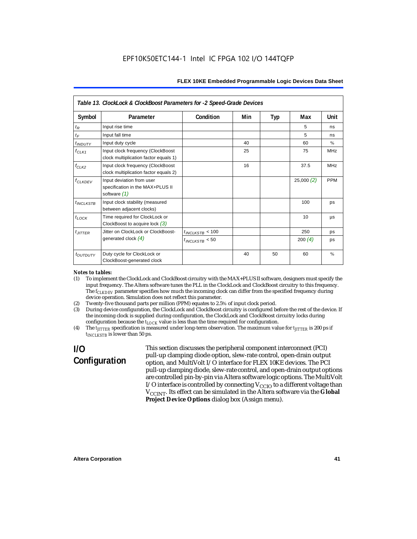|                           | Table 13. ClockLock & ClockBoost Parameters for -2 Speed-Grade Devices        |                      |     |     |           |            |
|---------------------------|-------------------------------------------------------------------------------|----------------------|-----|-----|-----------|------------|
| Symbol                    | Parameter                                                                     | Condition            | Min | Typ | Max       | Unit       |
| $t_{R}$                   | Input rise time                                                               |                      |     |     | 5         | ns         |
| $t_F$                     | Input fall time                                                               |                      |     |     | 5         | ns         |
| $t_{INDUTY}$              | Input duty cycle                                                              |                      | 40  |     | 60        | $\%$       |
| $f_{CLK1}$                | Input clock frequency (ClockBoost<br>clock multiplication factor equals 1)    |                      | 25  |     | 75        | <b>MHz</b> |
| $f_{CLK2}$                | Input clock frequency (ClockBoost<br>clock multiplication factor equals 2)    |                      | 16  |     | 37.5      | <b>MHz</b> |
| <b>f<sub>CLKDEV</sub></b> | Input deviation from user<br>specification in the MAX+PLUS II<br>software (1) |                      |     |     | 25,000(2) | <b>PPM</b> |
| $t_{INCLKSTB}$            | Input clock stability (measured<br>between adjacent clocks)                   |                      |     |     | 100       | ps         |
| $t_{LOCK}$                | Time required for ClockLock or<br>ClockBoost to acquire lock $(3)$            |                      |     |     | 10        | μs         |
| $t_{JITTER}$              | Jitter on ClockLock or ClockBoost-                                            | $t_{INCLKSTB}$ < 100 |     |     | 250       | ps         |
|                           | generated clock $(4)$                                                         | $t_{INCIKSTB}$ < 50  |     |     | 200 $(4)$ | ps         |
| t <sub>OUTDUTY</sub>      | Duty cycle for ClockLock or<br>ClockBoost-generated clock                     |                      | 40  | 50  | 60        | $\%$       |

#### *Notes to tables:*

- (1) To implement the ClockLock and ClockBoost circuitry with the MAX+PLUS II software, designers must specify the input frequency. The Altera software tunes the PLL in the ClockLock and ClockBoost circuitry to this frequency. The *f<sub>CLKDEV</sub>* parameter specifies how much the incoming clock can differ from the specified frequency during device operation. Simulation does not reflect this parameter.
- (2) Twenty-five thousand parts per million (PPM) equates to 2.5% of input clock period.<br>(3) During device configuration, the ClockLock and ClockBoost circuitry is configured b
- (3) During device configuration, the ClockLock and ClockBoost circuitry is configured before the rest of the device. If the incoming clock is supplied during configuration, the ClockLock and ClockBoost circuitry locks during configuration because the  $t_{LOCK}$  value is less than the time required for configuration.
- (4) The *tJITTER* specification is measured under long-term observation. The maximum value for *tJITTER* is 200 ps if  $t_{INCI KSTB}$  is lower than 50 ps.

# **I/O Configuration**

This section discusses the peripheral component interconnect (PCI) pull-up clamping diode option, slew-rate control, open-drain output option, and MultiVolt I/O interface for FLEX 10KE devices. The PCI pull-up clamping diode, slew-rate control, and open-drain output options are controlled pin-by-pin via Altera software logic options. The MultiVolt I/O interface is controlled by connecting  $V_{CCIO}$  to a different voltage than V<sub>CCINT</sub>. Its effect can be simulated in the Altera software via the Global **Project Device Options** dialog box (Assign menu).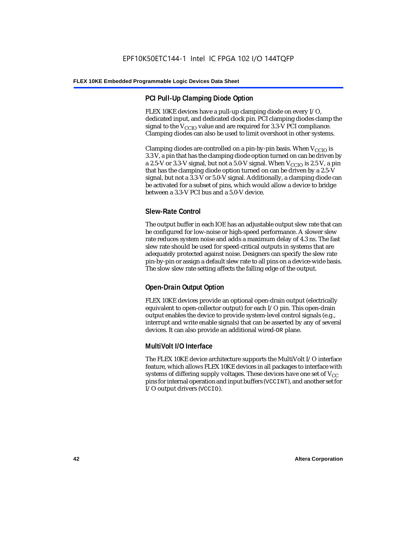## **PCI Pull-Up Clamping Diode Option**

FLEX 10KE devices have a pull-up clamping diode on every I/O, dedicated input, and dedicated clock pin. PCI clamping diodes clamp the signal to the  $V_{\text{CCIO}}$  value and are required for 3.3-V PCI compliance. Clamping diodes can also be used to limit overshoot in other systems.

Clamping diodes are controlled on a pin-by-pin basis. When  $V_{CCIO}$  is 3.3 V, a pin that has the clamping diode option turned on can be driven by a 2.5-V or 3.3-V signal, but not a 5.0-V signal. When  $V_{CCIO}$  is 2.5 V, a pin that has the clamping diode option turned on can be driven by a 2.5-V signal, but not a 3.3-V or 5.0-V signal. Additionally, a clamping diode can be activated for a subset of pins, which would allow a device to bridge between a 3.3-V PCI bus and a 5.0-V device.

## **Slew-Rate Control**

The output buffer in each IOE has an adjustable output slew rate that can be configured for low-noise or high-speed performance. A slower slew rate reduces system noise and adds a maximum delay of 4.3 ns. The fast slew rate should be used for speed-critical outputs in systems that are adequately protected against noise. Designers can specify the slew rate pin-by-pin or assign a default slew rate to all pins on a device-wide basis. The slow slew rate setting affects the falling edge of the output.

## **Open-Drain Output Option**

FLEX 10KE devices provide an optional open-drain output (electrically equivalent to open-collector output) for each I/O pin. This open-drain output enables the device to provide system-level control signals (e.g., interrupt and write enable signals) that can be asserted by any of several devices. It can also provide an additional wired-OR plane.

## **MultiVolt I/O Interface**

The FLEX 10KE device architecture supports the MultiVolt I/O interface feature, which allows FLEX 10KE devices in all packages to interface with systems of differing supply voltages. These devices have one set of  $V_{CC}$ pins for internal operation and input buffers (VCCINT), and another set for I/O output drivers (VCCIO).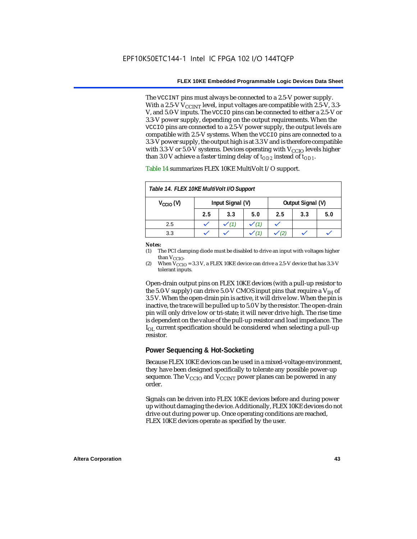The VCCINT pins must always be connected to a 2.5-V power supply. With a 2.5-V  $V_{CCMT}$  level, input voltages are compatible with 2.5-V, 3.3-V, and 5.0-V inputs. The VCCIO pins can be connected to either a 2.5-V or 3.3-V power supply, depending on the output requirements. When the VCCIO pins are connected to a 2.5-V power supply, the output levels are compatible with 2.5-V systems. When the VCCIO pins are connected to a 3.3-V power supply, the output high is at 3.3 V and is therefore compatible with 3.3-V or 5.0-V systems. Devices operating with  $V_{CCIO}$  levels higher than 3.0 V achieve a faster timing delay of  $t_{OD2}$  instead of  $t_{OD1}$ .

| Table 14. FLEX 10KE MultiVolt I/O Support |                  |     |     |                   |     |     |
|-------------------------------------------|------------------|-----|-----|-------------------|-----|-----|
| $V_{\text{CCIO}}(V)$                      | Input Signal (V) |     |     | Output Signal (V) |     |     |
|                                           | 2.5              | 3.3 | 5.0 | 2.5               | 3.3 | 5.0 |
| 2.5                                       |                  |     |     |                   |     |     |
| 3.3                                       |                  |     |     |                   |     |     |

Table 14 summarizes FLEX 10KE MultiVolt I/O support.

#### *Notes:*

(1) The PCI clamping diode must be disabled to drive an input with voltages higher than  $V_{CCIO}$ .

(2) When  $V_{\text{CCIO}} = 3.3$  V, a FLEX 10KE device can drive a 2.5-V device that has 3.3-V tolerant inputs.

Open-drain output pins on FLEX 10KE devices (with a pull-up resistor to the 5.0-V supply) can drive 5.0-V CMOS input pins that require a  $V_{\text{H}}$  of 3.5 V. When the open-drain pin is active, it will drive low. When the pin is inactive, the trace will be pulled up to 5.0 V by the resistor. The open-drain pin will only drive low or tri-state; it will never drive high. The rise time is dependent on the value of the pull-up resistor and load impedance. The  $I_{\text{OL}}$  current specification should be considered when selecting a pull-up resistor.

### **Power Sequencing & Hot-Socketing**

Because FLEX 10KE devices can be used in a mixed-voltage environment, they have been designed specifically to tolerate any possible power-up sequence. The  $V_{\text{CCIO}}$  and  $V_{\text{CCINT}}$  power planes can be powered in any order.

Signals can be driven into FLEX 10KE devices before and during power up without damaging the device. Additionally, FLEX 10KE devices do not drive out during power up. Once operating conditions are reached, FLEX 10KE devices operate as specified by the user.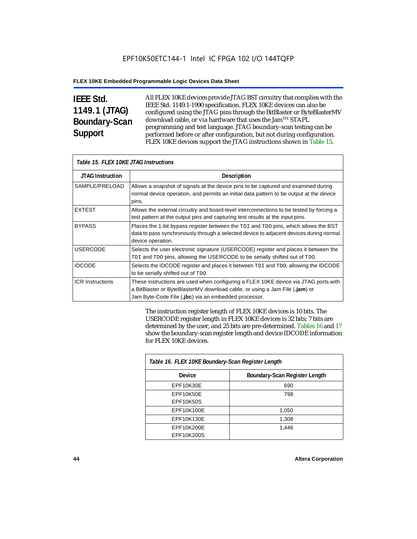# **IEEE Std. 1149.1 (JTAG) Boundary-Scan Support**

All FLEX 10KE devices provide JTAG BST circuitry that complies with the IEEE Std. 1149.1-1990 specification. FLEX 10KE devices can also be configured using the JTAG pins through the BitBlaster or ByteBlasterMV download cable, or via hardware that uses the Jam™ STAPL programming and test language. JTAG boundary-scan testing can be performed before or after configuration, but not during configuration. FLEX 10KE devices support the JTAG instructions shown in Table 15.

| Table 15. FLEX 10KE JTAG Instructions |                                                                                                                                                                                                                            |  |  |  |
|---------------------------------------|----------------------------------------------------------------------------------------------------------------------------------------------------------------------------------------------------------------------------|--|--|--|
| <b>JTAG Instruction</b>               | <b>Description</b>                                                                                                                                                                                                         |  |  |  |
| SAMPLE/PRELOAD                        | Allows a snapshot of signals at the device pins to be captured and examined during<br>normal device operation, and permits an initial data pattern to be output at the device<br>pins.                                     |  |  |  |
| <b>EXTEST</b>                         | Allows the external circuitry and board-level interconnections to be tested by forcing a<br>test pattern at the output pins and capturing test results at the input pins.                                                  |  |  |  |
| <b>BYPASS</b>                         | Places the 1-bit bypass register between the TDI and TDO pins, which allows the BST<br>data to pass synchronously through a selected device to adjacent devices during normal<br>device operation.                         |  |  |  |
| <b>USERCODE</b>                       | Selects the user electronic signature (USERCODE) register and places it between the<br>TDI and TDO pins, allowing the USERCODE to be serially shifted out of TDO.                                                          |  |  |  |
| <b>IDCODE</b>                         | Selects the IDCODE register and places it between TDI and TDO, allowing the IDCODE<br>to be serially shifted out of TDO.                                                                                                   |  |  |  |
| <b>ICR Instructions</b>               | These instructions are used when configuring a FLEX 10KE device via JTAG ports with<br>a BitBlaster or ByteBlasterMV download cable, or using a Jam File (.jam) or<br>Jam Byte-Code File (.jbc) via an embedded processor. |  |  |  |

The instruction register length of FLEX 10KE devices is 10 bits. The USERCODE register length in FLEX 10KE devices is 32 bits; 7 bits are determined by the user, and 25 bits are pre-determined. Tables 16 and 17 show the boundary-scan register length and device IDCODE information for FLEX 10KE devices.

| Table 16. FLEX 10KE Boundary-Scan Register Length |                               |  |  |  |
|---------------------------------------------------|-------------------------------|--|--|--|
| Device                                            | Boundary-Scan Register Length |  |  |  |
| EPF10K30E                                         | 690                           |  |  |  |
| EPF10K50E<br><b>EPF10K50S</b>                     | 798                           |  |  |  |
| EPF10K100E                                        | 1,050                         |  |  |  |
| EPF10K130E                                        | 1,308                         |  |  |  |
| EPF10K200E<br>EPF10K200S                          | 1.446                         |  |  |  |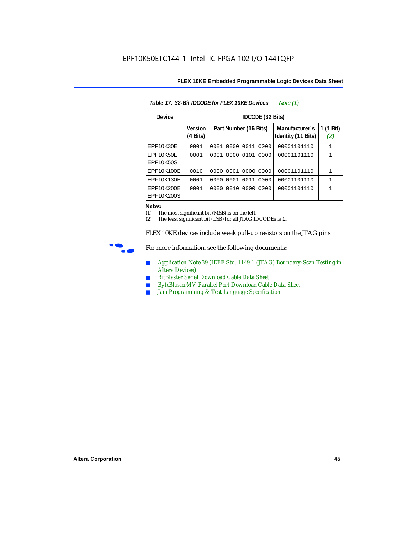| Table 17. 32-Bit IDCODE for FLEX 10KE Devices<br>Note (1) |                            |                              |                                      |                  |  |  |  |
|-----------------------------------------------------------|----------------------------|------------------------------|--------------------------------------|------------------|--|--|--|
| Device                                                    |                            | <b>IDCODE</b> (32 Bits)      |                                      |                  |  |  |  |
|                                                           | <b>Version</b><br>(4 Bits) | Part Number (16 Bits)        | Manufacturer's<br>Identity (11 Bits) | 1 (1 Bit)<br>(2) |  |  |  |
| EPF10K30E                                                 | 0001                       | 0000<br>0011<br>0001<br>0000 | 00001101110                          | $\mathbf{1}$     |  |  |  |
| EPF10K50E<br>EPF10K50S                                    | 0001                       | 0000<br>0101<br>0001<br>0000 | 00001101110                          | 1                |  |  |  |
| EPF10K100E                                                | 0010                       | 0001 0000<br>0000<br>0000    | 00001101110                          | $\mathbf{1}$     |  |  |  |
| EPF10K130E                                                | 0001                       | 0001<br>0011<br>0000<br>0000 | 00001101110                          | 1                |  |  |  |
| EPF10K200E<br>EPF10K200S                                  | 0001                       | 0010<br>0000<br>0000<br>0000 | 00001101110                          | 1                |  |  |  |

#### *Notes:*

(1) The most significant bit (MSB) is on the left.

(2) The least significant bit (LSB) for all JTAG IDCODEs is 1.

FLEX 10KE devices include weak pull-up resistors on the JTAG pins.



For more information, see the following documents:

- *Application Note 39 (IEEE Std. 1149.1 (JTAG) Boundary-Scan Testing in Altera Devices)*
- *BitBlaster Serial Download Cable Data Sheet*
- *ByteBlasterMV Parallel Port Download Cable Data Sheet*
- *Jam Programming & Test Language Specification*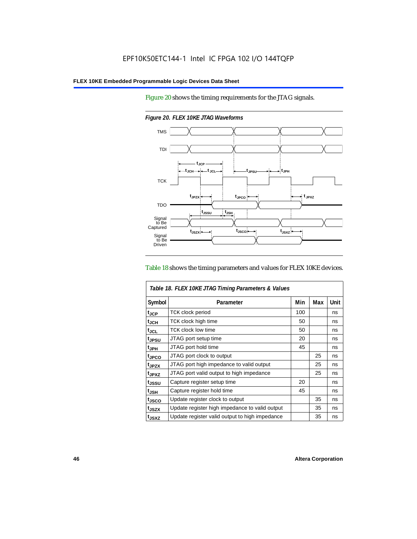Figure 20 shows the timing requirements for the JTAG signals.



*Figure 20. FLEX 10KE JTAG Waveforms*

#### Table 18 shows the timing parameters and values for FLEX 10KE devices.

|                    | Table 18. FLEX 10KE JTAG Timing Parameters & Values |     |     |             |
|--------------------|-----------------------------------------------------|-----|-----|-------------|
| Symbol             | Parameter                                           | Min | Max | <b>Unit</b> |
| t <sub>JCP</sub>   | <b>TCK clock period</b>                             | 100 |     | ns          |
| $t_{JCH}$          | TCK clock high time                                 | 50  |     | ns          |
| $t_{\rm JCL}$      | <b>TCK clock low time</b>                           | 50  |     | ns          |
| tjpsu              | JTAG port setup time                                | 20  |     | ns          |
| t <sub>JPH</sub>   | JTAG port hold time                                 | 45  |     | ns          |
| t <sub>JPCO</sub>  | JTAG port clock to output                           |     | 25  | ns          |
| t <sub>.IPZX</sub> | JTAG port high impedance to valid output            |     | 25  | ns          |
| t <sub>JPXZ</sub>  | JTAG port valid output to high impedance            |     | 25  | ns          |
| tjssu              | Capture register setup time                         | 20  |     | ns          |
| $t_{JSH}$          | Capture register hold time                          | 45  |     | ns          |
| t <sub>JSCO</sub>  | Update register clock to output                     |     | 35  | ns          |
| t <sub>JSZX</sub>  | Update register high impedance to valid output      |     | 35  | ns          |
| t <sub>JSXZ</sub>  | Update register valid output to high impedance      |     | 35  | ns          |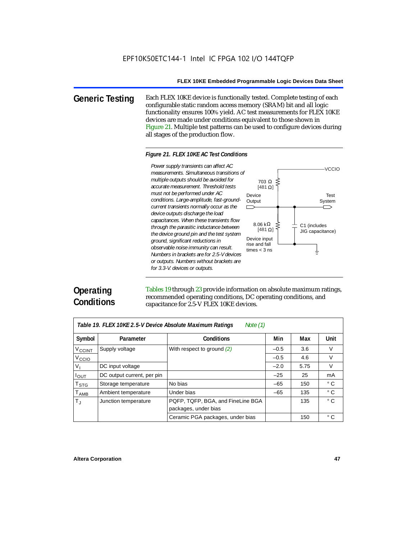**Generic Testing** Each FLEX 10KE device is functionally tested. Complete testing of each configurable static random access memory (SRAM) bit and all logic functionality ensures 100% yield. AC test measurements for FLEX 10KE devices are made under conditions equivalent to those shown in Figure 21. Multiple test patterns can be used to configure devices during all stages of the production flow.

#### *Figure 21. FLEX 10KE AC Test Conditions*

*measurements. Simultaneous transitions of multiple outputs should be avoided for accurate measurement. Threshold tests must not be performed under AC conditions. Large-amplitude, fast-groundcurrent transients normally occur as the device outputs discharge the load capacitances. When these transients flow through the parasitic inductance between the device ground pin and the test system ground, significant reductions in observable noise immunity can result. Numbers in brackets are for 2.5-V devices or outputs. Numbers without brackets are for 3.3-V. devices or outputs.*



# **Operating Conditions**

Tables 19 through 23 provide information on absolute maximum ratings, recommended operating conditions, DC operating conditions, and capacitance for 2.5-V FLEX 10KE devices.

| Note $(1)$<br>Table 19. FLEX 10KE 2.5-V Device Absolute Maximum Ratings |                            |                                   |        |      |              |  |
|-------------------------------------------------------------------------|----------------------------|-----------------------------------|--------|------|--------------|--|
| Symbol                                                                  | Parameter                  | <b>Conditions</b>                 | Min    | Max  | Unit         |  |
| V <sub>CCINT</sub>                                                      | Supply voltage             | With respect to ground $(2)$      | $-0.5$ | 3.6  | V            |  |
| V <sub>CCIO</sub>                                                       |                            |                                   | $-0.5$ | 4.6  | $\vee$       |  |
| V <sub>1</sub>                                                          | DC input voltage           |                                   | $-2.0$ | 5.75 | $\vee$       |  |
| $I_{OUT}$                                                               | DC output current, per pin |                                   | $-25$  | 25   | mA           |  |
| <b>T</b> <sub>STG</sub>                                                 | Storage temperature        | No bias                           | $-65$  | 150  | $^{\circ}$ C |  |
| $T_{AMB}$                                                               | Ambient temperature        | Under bias                        | $-65$  | 135  | $^{\circ}$ C |  |
| $T_{\rm J}$                                                             | Junction temperature       | PQFP, TQFP, BGA, and FineLine BGA |        | 135  | $^{\circ}$ C |  |
|                                                                         |                            | packages, under bias              |        |      |              |  |
|                                                                         |                            | Ceramic PGA packages, under bias  |        | 150  | $^{\circ}$ C |  |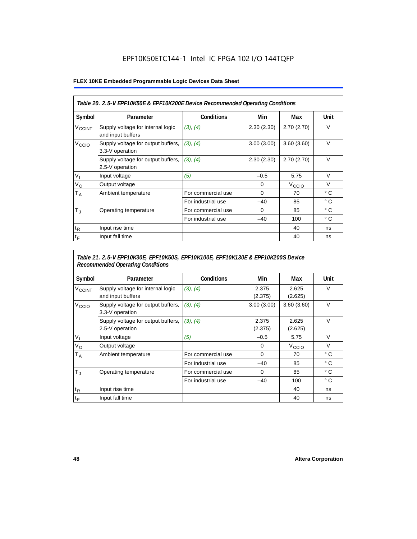## EPF10K50ETC144-1 Intel IC FPGA 102 I/O 144TQFP

### **FLEX 10KE Embedded Programmable Logic Devices Data Sheet**

|                          | Table 20. 2.5-V EPF10K50E & EPF10K200E Device Recommended Operating Conditions |                    |            |                   |              |  |  |
|--------------------------|--------------------------------------------------------------------------------|--------------------|------------|-------------------|--------------|--|--|
| Symbol                   | Parameter                                                                      | <b>Conditions</b>  | Min        | Max               | Unit         |  |  |
| <b>V<sub>CCINT</sub></b> | Supply voltage for internal logic<br>and input buffers                         | (3), (4)           | 2.30(2.30) | 2.70(2.70)        | $\vee$       |  |  |
| V <sub>CCIO</sub>        | Supply voltage for output buffers,<br>3.3-V operation                          | (3), (4)           | 3.00(3.00) | 3.60(3.60)        | $\vee$       |  |  |
|                          | Supply voltage for output buffers,<br>2.5-V operation                          | (3), (4)           | 2.30(2.30) | 2.70(2.70)        | $\vee$       |  |  |
| $V_{1}$                  | Input voltage                                                                  | (5)                | $-0.5$     | 5.75              | $\vee$       |  |  |
| $V_{\rm O}$              | Output voltage                                                                 |                    | 0          | V <sub>ccio</sub> | $\vee$       |  |  |
| $T_A$                    | Ambient temperature                                                            | For commercial use | $\Omega$   | 70                | $^{\circ}$ C |  |  |
|                          |                                                                                | For industrial use | $-40$      | 85                | $^{\circ}$ C |  |  |
| $T_{\rm J}$              | Operating temperature                                                          | For commercial use | $\Omega$   | 85                | °C           |  |  |
|                          |                                                                                | For industrial use | $-40$      | 100               | ° C          |  |  |
| $t_{R}$                  | Input rise time                                                                |                    |            | 40                | ns           |  |  |
| $t_F$                    | Input fall time                                                                |                    |            | 40                | ns           |  |  |

## *Table 21. 2.5-V EPF10K30E, EPF10K50S, EPF10K100E, EPF10K130E & EPF10K200S Device Recommended Operating Conditions*

| Symbol                   | Parameter                                              | <b>Conditions</b>  | Min              | Max               | Unit         |
|--------------------------|--------------------------------------------------------|--------------------|------------------|-------------------|--------------|
| <b>V<sub>CCINT</sub></b> | Supply voltage for internal logic<br>and input buffers | (3), (4)           | 2.375<br>(2.375) | 2.625<br>(2.625)  | $\vee$       |
| V <sub>CCIO</sub>        | Supply voltage for output buffers,<br>3.3-V operation  | (3), (4)           | 3.00(3.00)       | 3.60(3.60)        | $\vee$       |
|                          | Supply voltage for output buffers,<br>2.5-V operation  | (3), (4)           | 2.375<br>(2.375) | 2.625<br>(2.625)  | $\vee$       |
| $V_{1}$                  | Input voltage                                          | (5)                | $-0.5$           | 5.75              | $\vee$       |
| $V_{\rm O}$              | Output voltage                                         |                    | $\mathbf 0$      | V <sub>ccio</sub> | $\vee$       |
| $T_A$                    | Ambient temperature                                    | For commercial use | 0                | 70                | ° C          |
|                          |                                                        | For industrial use | $-40$            | 85                | $^{\circ}$ C |
| $T_{\rm J}$              | Operating temperature                                  | For commercial use | $\mathbf 0$      | 85                | $^{\circ}$ C |
|                          |                                                        | For industrial use | $-40$            | 100               | $^{\circ}$ C |
| $t_{R}$                  | Input rise time                                        |                    |                  | 40                | ns           |
| $t_F$                    | Input fall time                                        |                    |                  | 40                | ns           |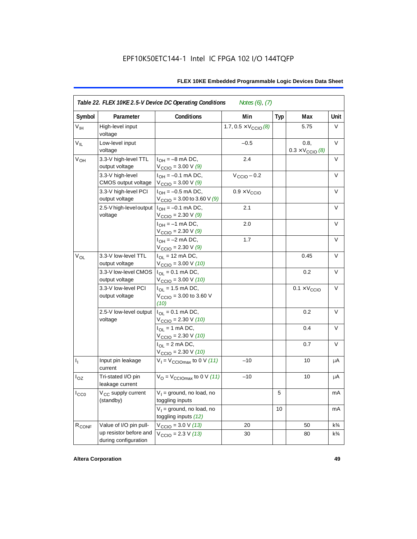| Symbol            | Parameter                                      | <b>Conditions</b>                                                              | Min                                  | <b>Typ</b> | Max                                      | <b>Unit</b>    |
|-------------------|------------------------------------------------|--------------------------------------------------------------------------------|--------------------------------------|------------|------------------------------------------|----------------|
| $V_{IH}$          | High-level input<br>voltage                    |                                                                                | 1.7, $0.5 \times V_{\text{CCIO}}(8)$ |            | 5.75                                     | V              |
| $V_{IL}$          | Low-level input<br>voltage                     |                                                                                | $-0.5$                               |            | 0.8,<br>$0.3 \times V_{\text{CCIO}}$ (8) | V              |
| $V_{OH}$          | 3.3-V high-level TTL<br>output voltage         | $I_{OH} = -8$ mA DC,<br>$V_{\text{CCIO}} = 3.00 V (9)$                         | 2.4                                  |            |                                          | V              |
|                   | 3.3-V high-level<br>CMOS output voltage        | $I_{OH} = -0.1$ mA DC,<br>$V_{\text{CCIO}} = 3.00 V (9)$                       | $V_{\text{CCIO}} - 0.2$              |            |                                          | V              |
|                   | 3.3-V high-level PCI<br>output voltage         | $I_{OH} = -0.5$ mA DC,<br>$V_{\text{CCIO}} = 3.00$ to 3.60 V (9)               | $0.9 \times V_{\text{CCIO}}$         |            |                                          | V              |
|                   | 2.5-V high-level output<br>voltage             | $I_{OH} = -0.1$ mA DC,<br>$V_{\text{CCIO}} = 2.30 \text{ V} (9)$               | 2.1                                  |            |                                          | $\vee$         |
|                   |                                                | $I_{OH} = -1$ mA DC,<br>$V_{\text{CCIO}} = 2.30 \text{ V} (9)$                 | 2.0                                  |            |                                          | $\vee$         |
|                   |                                                | $I_{OH} = -2$ mA DC,<br>V <sub>CCIO</sub> = 2.30 V <i>(9)</i>                  | 1.7                                  |            |                                          | $\vee$         |
| $V_{OL}$          | 3.3-V low-level TTL<br>output voltage          | $I_{\text{OI}} = 12 \text{ mA DC},$<br>$V_{\text{CCIO}} = 3.00 \text{ V} (10)$ |                                      |            | 0.45                                     | V              |
|                   | 3.3-V low-level CMOS<br>output voltage         | $I_{OL} = 0.1$ mA DC,<br>$V_{\text{CCIO}} = 3.00 V (10)$                       |                                      |            | 0.2                                      | $\vee$         |
|                   | 3.3-V low-level PCI<br>output voltage          | $I_{\Omega I}$ = 1.5 mA DC,<br>$V_{\text{CCIO}} = 3.00$ to 3.60 V<br>(10)      |                                      |            | $0.1 \times V_{\text{CCIO}}$             | V              |
|                   | 2.5-V low-level output<br>voltage              | $I_{\Omega I} = 0.1$ mA DC,<br>$V_{\text{CCIO}} = 2.30 \text{ V} (10)$         |                                      |            | 0.2                                      | $\vee$         |
|                   |                                                | $I_{OL}$ = 1 mA DC,<br>$V_{\text{CCIO}} = 2.30 V (10)$                         |                                      |            | 0.4                                      | $\vee$         |
|                   |                                                | $I_{OL}$ = 2 mA DC,<br>$V_{\text{CCIO}} = 2.30 V (10)$                         |                                      |            | 0.7                                      | V              |
| $I_1$             | Input pin leakage<br>current                   | $V_1 = V_{\text{CCIOMAX}}$ to 0 V (11)                                         | $-10$                                |            | 10                                       | μA             |
| $I_{OZ}$          | Tri-stated I/O pin<br>leakage current          | $V_{\text{O}} = V_{\text{CCIOMax}}$ to 0 V (11)                                | $-10$                                |            | 10                                       | μA             |
| $I_{CC0}$         | V <sub>CC</sub> supply current<br>(standby)    | $V_1$ = ground, no load, no<br>toggling inputs                                 |                                      | 5          |                                          | mA             |
|                   |                                                | $V_1$ = ground, no load, no<br>toggling inputs (12)                            |                                      | 10         |                                          | mA             |
| R <sub>CONF</sub> | Value of I/O pin pull-                         | $V_{\text{CCIO}} = 3.0 \text{ V} (13)$                                         | 20                                   |            | 50                                       | $k\frac{3}{4}$ |
|                   | up resistor before and<br>during configuration | $V_{\text{CCIO}} = 2.3 V (13)$                                                 | 30                                   |            | 80                                       | $k\frac{3}{4}$ |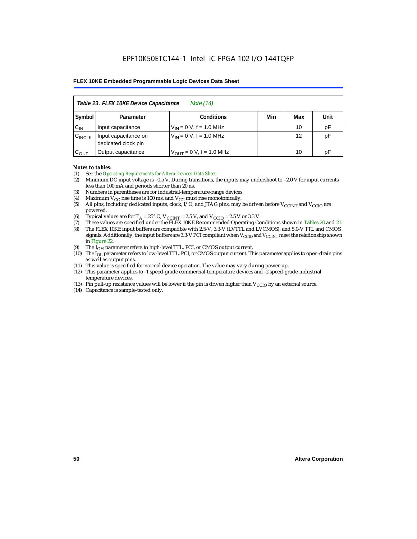|                    | Table 23. FLEX 10KE Device Capacitance<br>Note (14) |                              |     |     |      |  |  |  |
|--------------------|-----------------------------------------------------|------------------------------|-----|-----|------|--|--|--|
| Symbol             | Parameter                                           | <b>Conditions</b>            | Min | Max | Unit |  |  |  |
| $C_{IN}$           | Input capacitance                                   | $V_{IN} = 0 V$ , f = 1.0 MHz |     | 10  | pF   |  |  |  |
| $C_{\text{INCLK}}$ | Input capacitance on<br>dedicated clock pin         | $V_{IN} = 0 V$ , f = 1.0 MHz |     | 12  | pF   |  |  |  |
| $C_{OUT}$          | Output capacitance                                  | $V_{OUT} = 0 V, f = 1.0 MHz$ |     | 10  | рF   |  |  |  |

#### *Notes to tables:*

- (1) See the *Operating Requirements for Altera Devices Data Sheet*.
- (2) Minimum DC input voltage is –0.5 V. During transitions, the inputs may undershoot to –2.0 V for input currents less than 100 mA and periods shorter than 20 ns.
- (3) Numbers in parentheses are for industrial-temperature-range devices.
- (4) Maximum  $V_{CC}$  rise time is 100 ms, and  $V_{CC}$  must rise monotonically.<br>(5) All pins, including dedicated inputs, clock, I/O, and JTAG pins, may
- All pins, including dedicated inputs, clock, I/O, and JTAG pins, may be driven before  $V_{CCTNT}$  and  $V_{CCTO}$  are powered.
- (6) Typical values are for  $T_A = 25^\circ$  C,  $V_{CClNT} = 2.5$  V, and  $V_{CClO} = 2.5$  V or 3.3 V.<br>(7) These values are specified under the FLEX 10KE Recommended Operating Co
- (7) These values are specified under the FLEX 10KE Recommended Operating Conditions shown in Tables 20 and 21.<br>(8) The FLEX 10KE input buffers are compatible with 2.5-V. 3.3-V (LVTTL and LVCMOS), and 5.0-V TTL and CMOS (8) The FLEX 10KE input buffers are compatible with 2.5-V, 3.3-V (LVTTL and LVCMOS), and 5.0-V TTL and CMOS
- signals. Additionally, the input buffers are 3.3-V PCI compliant when  $V_{CCIO}$  and  $V_{CCIVT}$  meet the relationship shown in Figure 22.
- (9) The  $I<sub>OH</sub>$  parameter refers to high-level TTL, PCI, or CMOS output current.
- (10) The IOL parameter refers to low-level TTL, PCI, or CMOS output current. This parameter applies to open-drain pins as well as output pins.
- (11) This value is specified for normal device operation. The value may vary during power-up.
- (12) This parameter applies to -1 speed-grade commercial-temperature devices and -2 speed-grade-industrial temperature devices.
- (13) Pin pull-up resistance values will be lower if the pin is driven higher than  $V_{CCIO}$  by an external source.
- (14) Capacitance is sample-tested only.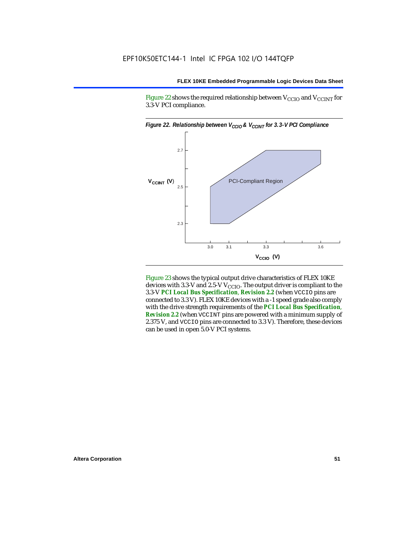Figure 22 shows the required relationship between  $V_{\text{CCIO}}$  and  $V_{\text{CCINT}}$  for 3.3-V PCI compliance.



Figure 23 shows the typical output drive characteristics of FLEX 10KE devices with 3.3-V and 2.5-V  $V_{\text{CCIO}}$ . The output driver is compliant to the 3.3-V *PCI Local Bus Specification*, *Revision 2.2* (when VCCIO pins are connected to 3.3 V). FLEX 10KE devices with a -1 speed grade also comply with the drive strength requirements of the *PCI Local Bus Specification*, *Revision 2.2* (when VCCINT pins are powered with a minimum supply of 2.375 V, and VCCIO pins are connected to 3.3 V). Therefore, these devices can be used in open 5.0-V PCI systems.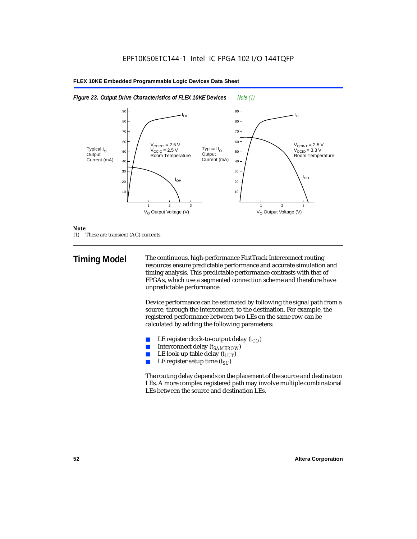



#### *Note:*

(1) These are transient (AC) currents.

**Timing Model** The continuous, high-performance FastTrack Interconnect routing resources ensure predictable performance and accurate simulation and timing analysis. This predictable performance contrasts with that of FPGAs, which use a segmented connection scheme and therefore have unpredictable performance.

> Device performance can be estimated by following the signal path from a source, through the interconnect, to the destination. For example, the registered performance between two LEs on the same row can be calculated by adding the following parameters:

- LE register clock-to-output delay  $(t_{CO})$
- **■** Interconnect delay  $(t_{SAMEROW})$ <br> **■** I.E look-up table delay  $(t_{LUT})$
- LE look-up table delay  $(t_{LUT})$
- LE register setup time  $(t_{SI})$

The routing delay depends on the placement of the source and destination LEs. A more complex registered path may involve multiple combinatorial LEs between the source and destination LEs.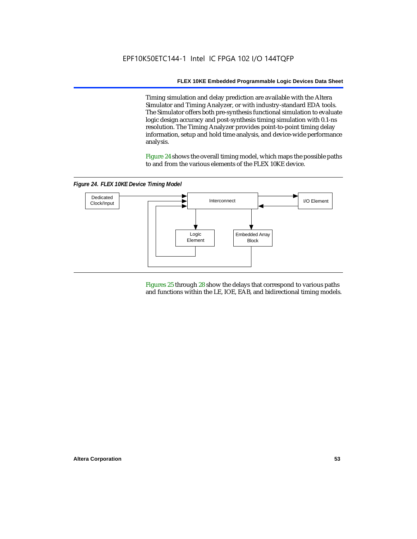Timing simulation and delay prediction are available with the Altera Simulator and Timing Analyzer, or with industry-standard EDA tools. The Simulator offers both pre-synthesis functional simulation to evaluate logic design accuracy and post-synthesis timing simulation with 0.1-ns resolution. The Timing Analyzer provides point-to-point timing delay information, setup and hold time analysis, and device-wide performance analysis.

Figure 24 shows the overall timing model, which maps the possible paths to and from the various elements of the FLEX 10KE device.

*Figure 24. FLEX 10KE Device Timing Model*



Figures 25 through 28 show the delays that correspond to various paths and functions within the LE, IOE, EAB, and bidirectional timing models.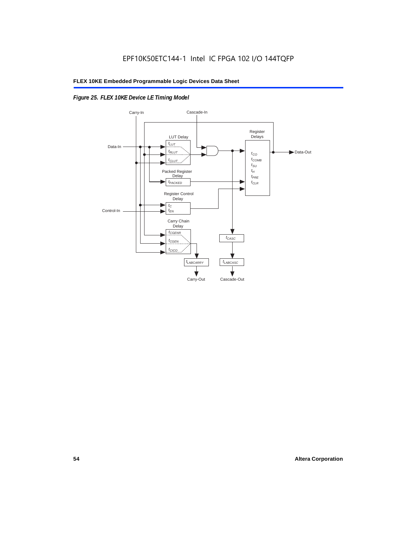## *Figure 25. FLEX 10KE Device LE Timing Model*

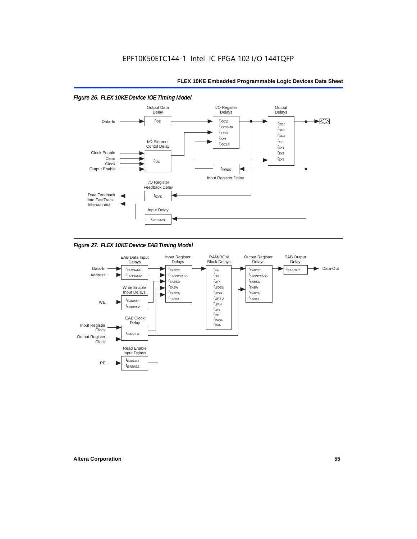

*Figure 27. FLEX 10KE Device EAB Timing Model*

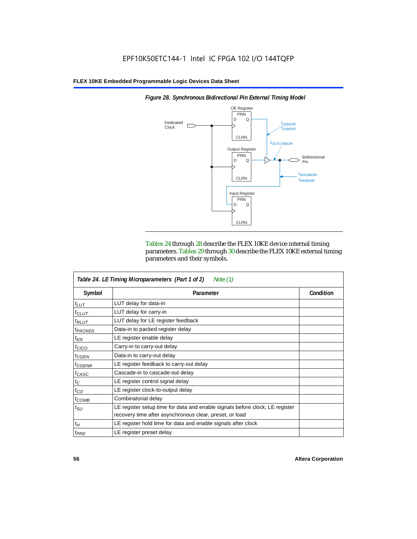

Tables 24 through 28 describe the FLEX 10KE device internal timing parameters. Tables 29 through 30 describe the FLEX 10KE external timing

| Table 24. LE Timing Microparameters (Part 1 of 2)<br>Note (1) |                                                                              |           |  |  |  |  |
|---------------------------------------------------------------|------------------------------------------------------------------------------|-----------|--|--|--|--|
| Symbol                                                        | Parameter                                                                    | Condition |  |  |  |  |
| $t_{LUT}$                                                     | LUT delay for data-in                                                        |           |  |  |  |  |
| $t_{CLUT}$                                                    | LUT delay for carry-in                                                       |           |  |  |  |  |
| $t_{RLUT}$                                                    | LUT delay for LE register feedback                                           |           |  |  |  |  |
| <sup>t</sup> PACKED                                           | Data-in to packed register delay                                             |           |  |  |  |  |
| $t_{EN}$                                                      | LE register enable delay                                                     |           |  |  |  |  |
| $t_{CICO}$                                                    | Carry-in to carry-out delay                                                  |           |  |  |  |  |
| $t_{GEN}$                                                     | Data-in to carry-out delay                                                   |           |  |  |  |  |
| $t_{\text{GENR}}$                                             | LE register feedback to carry-out delay                                      |           |  |  |  |  |
| $t_{CASC}$                                                    | Cascade-in to cascade-out delay                                              |           |  |  |  |  |
| $t_C$                                                         | LE register control signal delay                                             |           |  |  |  |  |
| $t_{CO}$                                                      | LE register clock-to-output delay                                            |           |  |  |  |  |
| $t_{COMB}$                                                    | Combinatorial delay                                                          |           |  |  |  |  |
| $t_{\rm SU}$                                                  | LE register setup time for data and enable signals before clock; LE register |           |  |  |  |  |
|                                                               | recovery time after asynchronous clear, preset, or load                      |           |  |  |  |  |
| $t_H$                                                         | LE register hold time for data and enable signals after clock                |           |  |  |  |  |
| $t_{PRE}$                                                     | LE register preset delay                                                     |           |  |  |  |  |

parameters and their symbols.

*Figure 28. Synchronous Bidirectional Pin External Timing Model*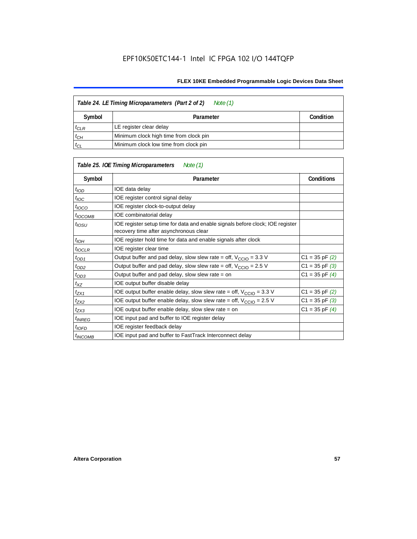| Table 24. LE Timing Microparameters (Part 2 of 2)<br>Note (1) |                                        |           |  |  |
|---------------------------------------------------------------|----------------------------------------|-----------|--|--|
| Symbol                                                        | Parameter                              | Condition |  |  |
| $t_{CLR}$                                                     | LE register clear delay                |           |  |  |
| $t_{CH}$                                                      | Minimum clock high time from clock pin |           |  |  |
| $t_{CL}$                                                      | Minimum clock low time from clock pin  |           |  |  |

|                          | Table 25. IOE Timing Microparameters<br>Note (1)                                                                         |                    |
|--------------------------|--------------------------------------------------------------------------------------------------------------------------|--------------------|
| Symbol                   | Parameter                                                                                                                | <b>Conditions</b>  |
| $t_{\mathit{IOD}}$       | IOE data delay                                                                                                           |                    |
| $t_{\text{IOC}}$         | IOE register control signal delay                                                                                        |                    |
| $t_{\text{IOCO}}$        | IOE register clock-to-output delay                                                                                       |                    |
| <sup>t</sup> IOCOMB      | IOE combinatorial delay                                                                                                  |                    |
| $t_{IOSU}$               | IOE register setup time for data and enable signals before clock; IOE register<br>recovery time after asynchronous clear |                    |
| t <sub>IOH</sub>         | IOE register hold time for data and enable signals after clock                                                           |                    |
| $t_{IOCLR}$              | IOE register clear time                                                                                                  |                    |
| $t_{OD1}$                | Output buffer and pad delay, slow slew rate = off, $V_{\text{CCIO}} = 3.3 \text{ V}$                                     | $C1 = 35$ pF $(2)$ |
| $t_{OD2}$                | Output buffer and pad delay, slow slew rate = off, $V_{\text{CCIO}} = 2.5$ V                                             | $C1 = 35$ pF $(3)$ |
| $t_{OD3}$                | Output buffer and pad delay, slow slew rate $=$ on                                                                       | $C1 = 35$ pF $(4)$ |
| $t_{XZ}$                 | IOE output buffer disable delay                                                                                          |                    |
| $t_{ZX1}$                | IOE output buffer enable delay, slow slew rate = off, $V_{\text{CCIO}} = 3.3 \text{ V}$                                  | $C1 = 35$ pF $(2)$ |
| $t_{ZX2}$                | IOE output buffer enable delay, slow slew rate = off, $V_{\text{CCIO}} = 2.5 V$                                          | $C1 = 35$ pF $(3)$ |
| $t_{ZX3}$                | IOE output buffer enable delay, slow slew rate = on                                                                      | $C1 = 35$ pF $(4)$ |
| <i>t<sub>INREG</sub></i> | IOE input pad and buffer to IOE register delay                                                                           |                    |
| $t_{IOFD}$               | IOE register feedback delay                                                                                              |                    |
| <sup>t</sup> INCOMB      | IOE input pad and buffer to FastTrack Interconnect delay                                                                 |                    |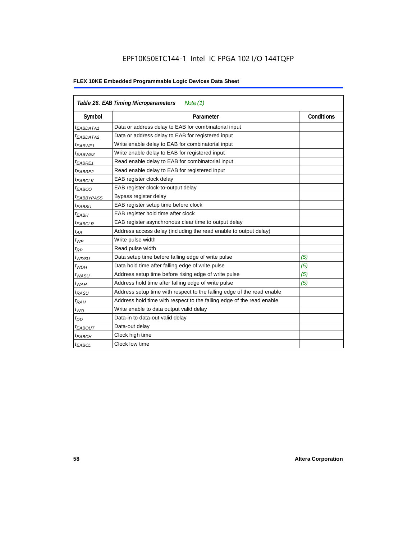## EPF10K50ETC144-1 Intel IC FPGA 102 I/O 144TQFP

|                        | Table 26. EAB Timing Microparameters<br>Note $(1)$                     |                   |
|------------------------|------------------------------------------------------------------------|-------------------|
| Symbol                 | Parameter                                                              | <b>Conditions</b> |
| $t_{EABDATA1}$         | Data or address delay to EAB for combinatorial input                   |                   |
| <sup>t</sup> EABDATA2  | Data or address delay to EAB for registered input                      |                   |
| t <sub>EABWE1</sub>    | Write enable delay to EAB for combinatorial input                      |                   |
| t <sub>EABWE2</sub>    | Write enable delay to EAB for registered input                         |                   |
| <sup>t</sup> EABRE1    | Read enable delay to EAB for combinatorial input                       |                   |
| t <sub>EABRE2</sub>    | Read enable delay to EAB for registered input                          |                   |
| $t_{EABCLK}$           | EAB register clock delay                                               |                   |
| $t_{EABCO}$            | EAB register clock-to-output delay                                     |                   |
| <sup>t</sup> EABBYPASS | Bypass register delay                                                  |                   |
| t <sub>EABSU</sub>     | EAB register setup time before clock                                   |                   |
| t <sub>EABH</sub>      | EAB register hold time after clock                                     |                   |
| $t_{EABCLR}$           | EAB register asynchronous clear time to output delay                   |                   |
| $t_{AA}$               | Address access delay (including the read enable to output delay)       |                   |
| $t_{WP}$               | Write pulse width                                                      |                   |
| $t_{RP}$               | Read pulse width                                                       |                   |
| $t_{WDSU}$             | Data setup time before falling edge of write pulse                     | (5)               |
| $t_{WDH}$              | Data hold time after falling edge of write pulse                       | (5)               |
| $t_{WASU}$             | Address setup time before rising edge of write pulse                   | (5)               |
| $t_{WAH}$              | Address hold time after falling edge of write pulse                    | (5)               |
| t <sub>RASU</sub>      | Address setup time with respect to the falling edge of the read enable |                   |
| $t_{RAH}$              | Address hold time with respect to the falling edge of the read enable  |                   |
| $t_{WO}$               | Write enable to data output valid delay                                |                   |
| $t_{DD}$               | Data-in to data-out valid delay                                        |                   |
| <sup>t</sup> EABOUT    | Data-out delay                                                         |                   |
| <sup>t</sup> EABCH     | Clock high time                                                        |                   |
| <sup>t</sup> EABCL     | Clock low time                                                         |                   |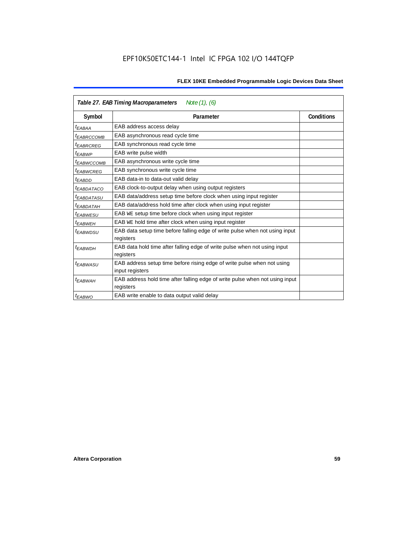|                        | Table 27. EAB Timing Macroparameters<br>Note (1), (6)                                     |                   |
|------------------------|-------------------------------------------------------------------------------------------|-------------------|
| Symbol                 | Parameter                                                                                 | <b>Conditions</b> |
| <sup>t</sup> EABAA     | EAB address access delay                                                                  |                   |
| <sup>I</sup> EABRCCOMB | EAB asynchronous read cycle time                                                          |                   |
| <sup>t</sup> EABRCREG  | EAB synchronous read cycle time                                                           |                   |
| <sup>t</sup> EABWP     | EAB write pulse width                                                                     |                   |
| <sup>t</sup> ЕАВWССОМВ | EAB asynchronous write cycle time                                                         |                   |
| <sup>t</sup> EABWCREG  | EAB synchronous write cycle time                                                          |                   |
| <sup>t</sup> EABDD     | EAB data-in to data-out valid delay                                                       |                   |
| <sup>I</sup> EABDATACO | EAB clock-to-output delay when using output registers                                     |                   |
| <sup>I</sup> EABDATASU | EAB data/address setup time before clock when using input register                        |                   |
| <sup>t</sup> EABDATAH  | EAB data/address hold time after clock when using input register                          |                   |
| <sup>t</sup> EABWESU   | EAB WE setup time before clock when using input register                                  |                   |
| <sup>t</sup> EABWEH    | EAB WE hold time after clock when using input register                                    |                   |
| <sup>t</sup> EABWDSU   | EAB data setup time before falling edge of write pulse when not using input               |                   |
|                        | registers                                                                                 |                   |
| t <sub>EABWDH</sub>    | EAB data hold time after falling edge of write pulse when not using input                 |                   |
|                        | registers                                                                                 |                   |
| <sup>t</sup> EABWASU   | EAB address setup time before rising edge of write pulse when not using                   |                   |
|                        | input registers                                                                           |                   |
| <sup>t</sup> EABWAH    | EAB address hold time after falling edge of write pulse when not using input<br>registers |                   |
| <sup>t</sup> EABWO     | EAB write enable to data output valid delay                                               |                   |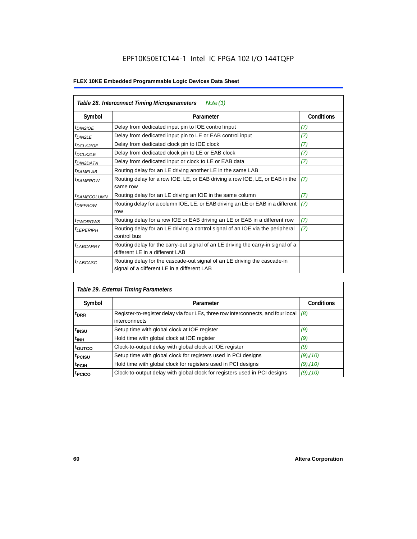|                            | Table 28. Interconnect Timing Microparameters<br>Note $(1)$                                                             |                   |
|----------------------------|-------------------------------------------------------------------------------------------------------------------------|-------------------|
| Symbol                     | Parameter                                                                                                               | <b>Conditions</b> |
| <i>t<sub>DIN2IOE</sub></i> | Delay from dedicated input pin to IOE control input                                                                     | (7)               |
| $t_{DIN2LE}$               | Delay from dedicated input pin to LE or EAB control input                                                               | (7)               |
| <sup>t</sup> DCLK2IOE      | Delay from dedicated clock pin to IOE clock                                                                             | (7)               |
| $t_{DCLK2LE}$              | Delay from dedicated clock pin to LE or EAB clock                                                                       | (7)               |
| <sup>t</sup> DIN2DATA      | Delay from dedicated input or clock to LE or EAB data                                                                   | (7)               |
| <sup>t</sup> SAMELAB       | Routing delay for an LE driving another LE in the same LAB                                                              |                   |
| <i>t</i> SAMEROW           | Routing delay for a row IOE, LE, or EAB driving a row IOE, LE, or EAB in the<br>same row                                | (7)               |
| <sup>I</sup> SAMECOLUMN    | Routing delay for an LE driving an IOE in the same column                                                               | (7)               |
| <i>t<sub>DIFFROW</sub></i> | Routing delay for a column IOE, LE, or EAB driving an LE or EAB in a different<br>row                                   | (7)               |
| <i>t</i> TWOROWS           | Routing delay for a row IOE or EAB driving an LE or EAB in a different row                                              | (7)               |
| <sup>t</sup> LEPERIPH      | Routing delay for an LE driving a control signal of an IOE via the peripheral<br>control bus                            | (7)               |
| $t_{LABCARRY}$             | Routing delay for the carry-out signal of an LE driving the carry-in signal of a<br>different LE in a different LAB     |                   |
| $t_{LABCASC}$              | Routing delay for the cascade-out signal of an LE driving the cascade-in<br>signal of a different LE in a different LAB |                   |

| Table 29. External Timing Parameters |                                                                                                   |                   |  |  |  |  |
|--------------------------------------|---------------------------------------------------------------------------------------------------|-------------------|--|--|--|--|
| Symbol                               | Parameter                                                                                         | <b>Conditions</b> |  |  |  |  |
| <sup>t</sup> DRR                     | Register-to-register delay via four LEs, three row interconnects, and four local<br>interconnects | (8)               |  |  |  |  |
| t <sub>insu</sub>                    | Setup time with global clock at IOE register                                                      | (9)               |  |  |  |  |
| $t_{\rm INH}$                        | Hold time with global clock at IOE register                                                       | (9)               |  |  |  |  |
| toutco                               | Clock-to-output delay with global clock at IOE register                                           | (9)               |  |  |  |  |
| t <sub>PCISU</sub>                   | Setup time with global clock for registers used in PCI designs                                    | $(9)$ , $(10)$    |  |  |  |  |
| <sup>t</sup> PCIH                    | Hold time with global clock for registers used in PCI designs                                     | $(9)$ , $(10)$    |  |  |  |  |
| <sup>T</sup> PCICO                   | Clock-to-output delay with global clock for registers used in PCI designs                         | $(9)$ , $(10)$    |  |  |  |  |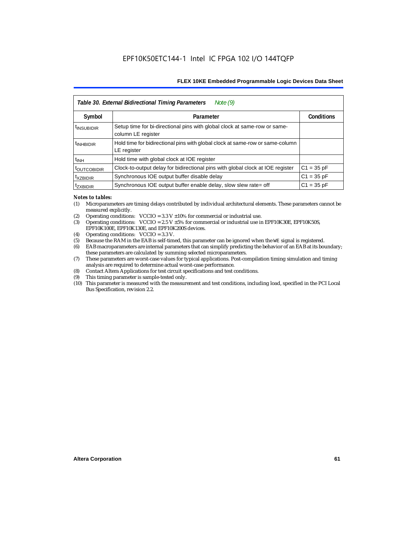|                           | Note $(9)$<br>Table 30. External Bidirectional Timing Parameters                                |                   |
|---------------------------|-------------------------------------------------------------------------------------------------|-------------------|
| Symbol                    | Parameter                                                                                       | <b>Conditions</b> |
| <sup>t</sup> INSUBIDIR    | Setup time for bi-directional pins with global clock at same-row or same-<br>column LE register |                   |
| <sup>t</sup> INHBIDIR     | Hold time for bidirectional pins with global clock at same-row or same-column<br>LE register    |                   |
| <sup>t</sup> INH          | Hold time with global clock at IOE register                                                     |                   |
| <b><i>LOUTCOBIDIR</i></b> | Clock-to-output delay for bidirectional pins with global clock at IOE register                  | $C1 = 35 pF$      |
| <sup>t</sup> xzbidir      | Synchronous IOE output buffer disable delay                                                     | $C1 = 35 pF$      |
| <sup>T</sup> ZXBIDIR      | Synchronous IOE output buffer enable delay, slow slew rate= off                                 | $C1 = 35 pF$      |

#### *Notes to tables:*

- (1) Microparameters are timing delays contributed by individual architectural elements. These parameters cannot be measured explicitly.
- (2) Operating conditions:  $VCCIO = 3.3 V ±10%$  for commercial or industrial use.<br>(3) Operating conditions:  $VCCIO = 2.5 V ±5%$  for commercial or industrial use in
- Operating conditions: VCCIO =  $2.5$  V  $\pm 5$ % for commercial or industrial use in EPF10K30E, EPF10K50S, EPF10K100E, EPF10K130E, and EPF10K200S devices.
- (4) Operating conditions: VCCIO = 3.3 V.
- (5) Because the RAM in the EAB is self-timed, this parameter can be ignored when the WE signal is registered.<br>(6) EAB macroparameters are internal parameters that can simplify predicting the behavior of an EAB at its bor
- EAB macroparameters are internal parameters that can simplify predicting the behavior of an EAB at its boundary; these parameters are calculated by summing selected microparameters.
- (7) These parameters are worst-case values for typical applications. Post-compilation timing simulation and timing analysis are required to determine actual worst-case performance.
- (8) Contact Altera Applications for test circuit specifications and test conditions.
- (9) This timing parameter is sample-tested only.
- (10) This parameter is measured with the measurement and test conditions, including load, specified in the PCI Local Bus Specification, revision 2.2.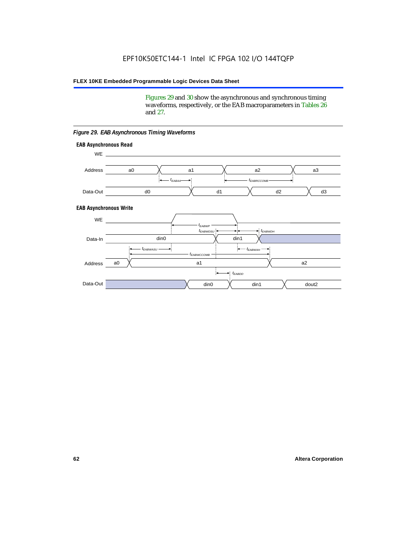Figures 29 and 30 show the asynchronous and synchronous timing waveforms, respectively, or the EAB macroparameters in Tables 26 and 27.

**EAB Asynchronous Write EAB Asynchronous Read** WE. a0 d0 d3  $t_{EABRCCOMB}$ a1 *《*、 a2 *《*、 a3 d2  $t_{FABA}$ d1 Address Data-Out WE a0 din1  $\chi$  dout2  $t_{EABDD}$ a1 a2 din1 din0  $t_{EABWCCOMB}$  $t_{EABWASU}$   $\longrightarrow$  $t_{EABWDSU}$  +  $\longrightarrow$   $t_{EABWDH}$  $t_{EABWP}$ Data-In din0 Address Data-Out

#### *Figure 29. EAB Asynchronous Timing Waveforms*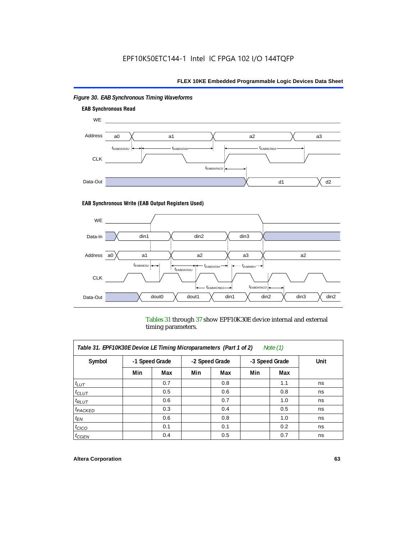

## *Figure 30. EAB Synchronous Timing Waveforms*

### **EAB Synchronous Write (EAB Output Registers Used)**



Tables 31 through 37 show EPF10K30E device internal and external timing parameters.

| Table 31. EPF10K30E Device LE Timing Microparameters (Part 1 of 2)<br>Note $(1)$ |     |                |     |                |                |     |      |
|----------------------------------------------------------------------------------|-----|----------------|-----|----------------|----------------|-----|------|
| Symbol                                                                           |     | -1 Speed Grade |     | -2 Speed Grade | -3 Speed Grade |     | Unit |
|                                                                                  | Min | Max            | Min | Max            | Min            | Max |      |
| $t_{LUT}$                                                                        |     | 0.7            |     | 0.8            |                | 1.1 | ns   |
| $t_{CLUT}$                                                                       |     | 0.5            |     | 0.6            |                | 0.8 | ns   |
| $t_{RLUT}$                                                                       |     | 0.6            |     | 0.7            |                | 1.0 | ns   |
| <sup>t</sup> PACKED                                                              |     | 0.3            |     | 0.4            |                | 0.5 | ns   |
| $t_{EN}$                                                                         |     | 0.6            |     | 0.8            |                | 1.0 | ns   |
| $t_{CICO}$                                                                       |     | 0.1            |     | 0.1            |                | 0.2 | ns   |
| $t_{GEN}$                                                                        |     | 0.4            |     | 0.5            |                | 0.7 | ns   |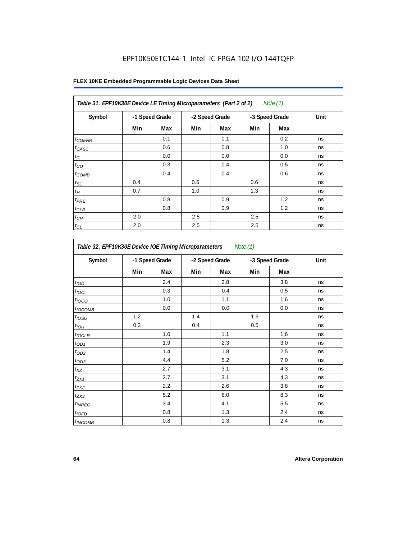## EPF10K50ETC144-1 Intel IC FPGA 102 I/O 144TQFP

| Table 31. EPF10K30E Device LE Timing Microparameters (Part 2 of 2)<br>Note (1) |     |                |     |                |     |                |      |
|--------------------------------------------------------------------------------|-----|----------------|-----|----------------|-----|----------------|------|
| Symbol                                                                         |     | -1 Speed Grade |     | -2 Speed Grade |     | -3 Speed Grade | Unit |
|                                                                                | Min | Max            | Min | Max            | Min | Max            |      |
| $t_{GENR}$                                                                     |     | 0.1            |     | 0.1            |     | 0.2            | ns   |
| $t_{CASC}$                                                                     |     | 0.6            |     | 0.8            |     | 1.0            | ns   |
| $t_C$                                                                          |     | 0.0            |     | 0.0            |     | 0.0            | ns   |
| $t_{CO}$                                                                       |     | 0.3            |     | 0.4            |     | 0.5            | ns   |
| $t_{COMB}$                                                                     |     | 0.4            |     | 0.4            |     | 0.6            | ns   |
| $t_{\text{SU}}$                                                                | 0.4 |                | 0.6 |                | 0.6 |                | ns   |
| $t_{\mathcal{H}}$                                                              | 0.7 |                | 1.0 |                | 1.3 |                | ns   |
| $t_{PRE}$                                                                      |     | 0.8            |     | 0.9            |     | 1.2            | ns   |
| $t_{CLR}$                                                                      |     | 0.8            |     | 0.9            |     | 1.2            | ns   |
| $t_{\mathit{CH}}$                                                              | 2.0 |                | 2.5 |                | 2.5 |                | ns   |
| $t_{CL}$                                                                       | 2.0 |                | 2.5 |                | 2.5 |                | ns   |

| Symbol            |     | -1 Speed Grade |     | -2 Speed Grade |     | -3 Speed Grade | Unit |  |
|-------------------|-----|----------------|-----|----------------|-----|----------------|------|--|
|                   | Min | Max            | Min | Max            | Min | Max            |      |  |
| t <sub>IOD</sub>  |     | 2.4            |     | 2.8            |     | 3.8            | ns   |  |
| $t_{\text{IOC}}$  |     | 0.3            |     | 0.4            |     | 0.5            | ns   |  |
| $t_{IOCO}$        |     | 1.0            |     | 1.1            |     | 1.6            | ns   |  |
| $t_{IOCOMB}$      |     | 0.0            |     | 0.0            |     | 0.0            | ns   |  |
| t <sub>iOSU</sub> | 1.2 |                | 1.4 |                | 1.9 |                | ns   |  |
| $t_{IOL}$         | 0.3 |                | 0.4 |                | 0.5 |                | ns   |  |
| $t_{IOCLR}$       |     | 1.0            |     | 1.1            |     | 1.6            | ns   |  |
| $t_{OD1}$         |     | 1.9            |     | 2.3            |     | 3.0            | ns   |  |
| $t_{OD2}$         |     | 1.4            |     | 1.8            |     | 2.5            | ns   |  |
| $t_{OD3}$         |     | 4.4            |     | 5.2            |     | 7.0            | ns   |  |
| $t_{XZ}$          |     | 2.7            |     | 3.1            |     | 4.3            | ns   |  |
| $t_{ZX1}$         |     | 2.7            |     | 3.1            |     | 4.3            | ns   |  |
| $t_{ZX2}$         |     | 2.2            |     | 2.6            |     | 3.8            | ns   |  |
| $t_{ZX3}$         |     | 5.2            |     | 6.0            |     | 8.3            | ns   |  |
| $t_{INREG}$       |     | 3.4            |     | 4.1            |     | 5.5            | ns   |  |
| $t_{IOFD}$        |     | 0.8            |     | 1.3            |     | 2.4            | ns   |  |
| $t_{INCOMB}$      |     | 0.8            |     | 1.3            |     | 2.4            | ns   |  |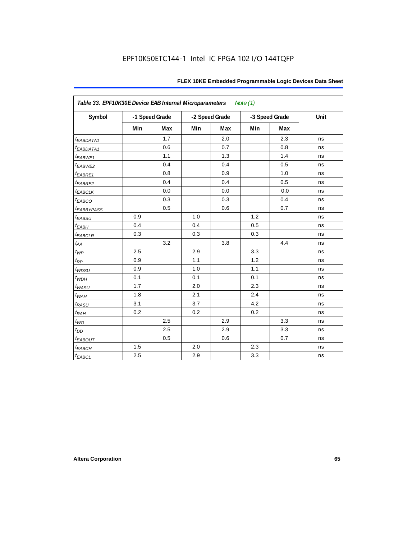| Table 33. EPF10K30E Device EAB Internal Microparameters<br>Note $(1)$ |     |                |     |                |     |                |      |  |  |
|-----------------------------------------------------------------------|-----|----------------|-----|----------------|-----|----------------|------|--|--|
| Symbol                                                                |     | -1 Speed Grade |     | -2 Speed Grade |     | -3 Speed Grade | Unit |  |  |
|                                                                       | Min | Max            | Min | Max            | Min | Max            |      |  |  |
| <i>EABDATA1</i>                                                       |     | 1.7            |     | 2.0            |     | 2.3            | ns   |  |  |
| $t_{EABDATA1}$                                                        |     | 0.6            |     | 0.7            |     | 0.8            | ns   |  |  |
| t <sub>EABWE1</sub>                                                   |     | 1.1            |     | 1.3            |     | 1.4            | ns   |  |  |
| t <sub>EABWE2</sub>                                                   |     | 0.4            |     | 0.4            |     | 0.5            | ns   |  |  |
| t <sub>EABRE1</sub>                                                   |     | 0.8            |     | 0.9            |     | 1.0            | ns   |  |  |
| $t_{EABRE2}$                                                          |     | 0.4            |     | 0.4            |     | 0.5            | ns   |  |  |
| <b><i>EABCLK</i></b>                                                  |     | 0.0            |     | 0.0            |     | 0.0            | ns   |  |  |
| t <sub>EABCO</sub>                                                    |     | 0.3            |     | 0.3            |     | 0.4            | ns   |  |  |
| <i><b>LEABBYPASS</b></i>                                              |     | 0.5            |     | 0.6            |     | 0.7            | ns   |  |  |
| t <sub>EABSU</sub>                                                    | 0.9 |                | 1.0 |                | 1.2 |                | ns   |  |  |
| $t_{EABH}$                                                            | 0.4 |                | 0.4 |                | 0.5 |                | ns   |  |  |
| $t_{EABCLR}$                                                          | 0.3 |                | 0.3 |                | 0.3 |                | ns   |  |  |
| $t_{AA}$                                                              |     | 3.2            |     | 3.8            |     | 4.4            | ns   |  |  |
| $t_{WP}$                                                              | 2.5 |                | 2.9 |                | 3.3 |                | ns   |  |  |
| $t_{\mathsf{RP}}$                                                     | 0.9 |                | 1.1 |                | 1.2 |                | ns   |  |  |
| $t_{WDSU}$                                                            | 0.9 |                | 1.0 |                | 1.1 |                | ns   |  |  |
| $t_{WDH}$                                                             | 0.1 |                | 0.1 |                | 0.1 |                | ns   |  |  |
| $t_{WASU}$                                                            | 1.7 |                | 2.0 |                | 2.3 |                | ns   |  |  |
| $t_{WAH}$                                                             | 1.8 |                | 2.1 |                | 2.4 |                | ns   |  |  |
| $t_{RASU}$                                                            | 3.1 |                | 3.7 |                | 4.2 |                | ns   |  |  |
| $t_{RAH}$                                                             | 0.2 |                | 0.2 |                | 0.2 |                | ns   |  |  |
| $t_{WO}$                                                              |     | 2.5            |     | 2.9            |     | 3.3            | ns   |  |  |
| $t_{DD}$                                                              |     | 2.5            |     | 2.9            |     | 3.3            | ns   |  |  |
| $t_{EABOUT}$                                                          |     | 0.5            |     | 0.6            |     | 0.7            | ns   |  |  |
| $t_{EABCH}$                                                           | 1.5 |                | 2.0 |                | 2.3 |                | ns   |  |  |
| $t_{EABCL}$                                                           | 2.5 |                | 2.9 |                | 3.3 |                | ns   |  |  |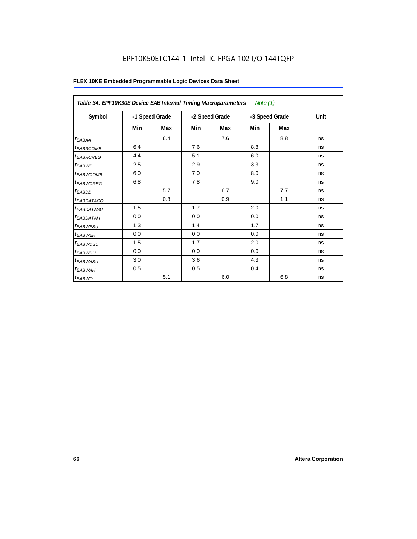## EPF10K50ETC144-1 Intel IC FPGA 102 I/O 144TQFP

|                            | Table 34. EPF10K30E Device EAB Internal Timing Macroparameters<br>Note $(1)$ |     |                |     |     |                |      |  |  |  |
|----------------------------|------------------------------------------------------------------------------|-----|----------------|-----|-----|----------------|------|--|--|--|
| Symbol                     | -1 Speed Grade                                                               |     | -2 Speed Grade |     |     | -3 Speed Grade | Unit |  |  |  |
|                            | Min                                                                          | Max | Min            | Max | Min | Max            |      |  |  |  |
| $t_{EABA}$                 |                                                                              | 6.4 |                | 7.6 |     | 8.8            | ns   |  |  |  |
| <sup>t</sup> EABRCOMB      | 6.4                                                                          |     | 7.6            |     | 8.8 |                | ns   |  |  |  |
| <sup>t</sup> EABRCREG      | 4.4                                                                          |     | 5.1            |     | 6.0 |                | ns   |  |  |  |
| $t_{EABWP}$                | 2.5                                                                          |     | 2.9            |     | 3.3 |                | ns   |  |  |  |
| <sup>t</sup> EABWCOMB      | 6.0                                                                          |     | 7.0            |     | 8.0 |                | ns   |  |  |  |
| <sup>t</sup> EABWCREG      | 6.8                                                                          |     | 7.8            |     | 9.0 |                | ns   |  |  |  |
| $t_{EABDD}$                |                                                                              | 5.7 |                | 6.7 |     | 7.7            | ns   |  |  |  |
| <sup>t</sup> EABDATACO     |                                                                              | 0.8 |                | 0.9 |     | 1.1            | ns   |  |  |  |
| <sup>t</sup> EABDATASU     | 1.5                                                                          |     | 1.7            |     | 2.0 |                | ns   |  |  |  |
| <sup>t</sup> EABDATAH      | 0.0                                                                          |     | 0.0            |     | 0.0 |                | ns   |  |  |  |
| <i>t<sub>EABWESU</sub></i> | 1.3                                                                          |     | 1.4            |     | 1.7 |                | ns   |  |  |  |
| <sup>t</sup> EABWEH        | 0.0                                                                          |     | 0.0            |     | 0.0 |                | ns   |  |  |  |
| t <sub>EABWDSU</sub>       | 1.5                                                                          |     | 1.7            |     | 2.0 |                | ns   |  |  |  |
| t <sub>EABWDH</sub>        | 0.0                                                                          |     | 0.0            |     | 0.0 |                | ns   |  |  |  |
| t <sub>EABWASU</sub>       | 3.0                                                                          |     | 3.6            |     | 4.3 |                | ns   |  |  |  |
| <sup>t</sup> EABWAH        | 0.5                                                                          |     | 0.5            |     | 0.4 |                | ns   |  |  |  |
| $t_{EABWO}$                |                                                                              | 5.1 |                | 6.0 |     | 6.8            | ns   |  |  |  |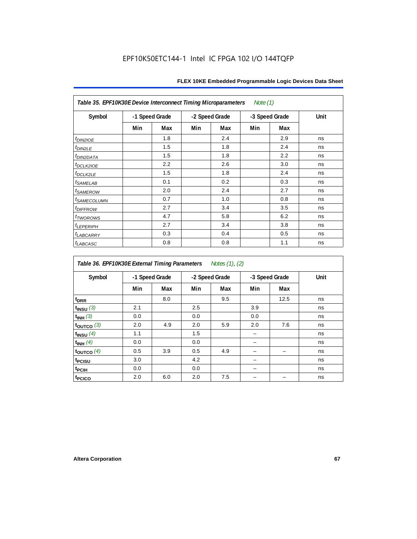| Table 35. EPF10K30E Device Interconnect Timing Microparameters<br>Note $(1)$ |                |     |     |                |     |                |      |  |  |
|------------------------------------------------------------------------------|----------------|-----|-----|----------------|-----|----------------|------|--|--|
| Symbol                                                                       | -1 Speed Grade |     |     | -2 Speed Grade |     | -3 Speed Grade | Unit |  |  |
|                                                                              | Min            | Max | Min | Max            | Min | Max            |      |  |  |
| $tD$ IN2IOE                                                                  |                | 1.8 |     | 2.4            |     | 2.9            | ns   |  |  |
| t <sub>DIN2LE</sub>                                                          |                | 1.5 |     | 1.8            |     | 2.4            | ns   |  |  |
| <sup>t</sup> DIN2DATA                                                        |                | 1.5 |     | 1.8            |     | 2.2            | ns   |  |  |
| t <sub>DCLK2IOE</sub>                                                        |                | 2.2 |     | 2.6            |     | 3.0            | ns   |  |  |
| <sup>t</sup> DCLK2LE                                                         |                | 1.5 |     | 1.8            |     | 2.4            | ns   |  |  |
| <i>t</i> SAMELAB                                                             |                | 0.1 |     | 0.2            |     | 0.3            | ns   |  |  |
| <i>t</i> SAMEROW                                                             |                | 2.0 |     | 2.4            |     | 2.7            | ns   |  |  |
| <i>t<sub>SAMECOLUMN</sub></i>                                                |                | 0.7 |     | 1.0            |     | 0.8            | ns   |  |  |
| <i>t<sub>DIFFROW</sub></i>                                                   |                | 2.7 |     | 3.4            |     | 3.5            | ns   |  |  |
| <i>t</i> TWOROWS                                                             |                | 4.7 |     | 5.8            |     | 6.2            | ns   |  |  |
| <b><i>LEPERIPH</i></b>                                                       |                | 2.7 |     | 3.4            |     | 3.8            | ns   |  |  |
| <b><i>LABCARRY</i></b>                                                       |                | 0.3 |     | 0.4            |     | 0.5            | ns   |  |  |
| <sup>t</sup> LABCASC                                                         |                | 0.8 |     | 0.8            |     | 1.1            | ns   |  |  |

| Notes (1), (2)<br>Table 36. EPF10K30E External Timing Parameters |     |                |     |                |     |                |      |  |  |  |
|------------------------------------------------------------------|-----|----------------|-----|----------------|-----|----------------|------|--|--|--|
| Symbol                                                           |     | -1 Speed Grade |     | -2 Speed Grade |     | -3 Speed Grade | Unit |  |  |  |
|                                                                  | Min | Max            | Min | Max            | Min | Max            |      |  |  |  |
| $t_{DRR}$                                                        |     | 8.0            |     | 9.5            |     | 12.5           | ns   |  |  |  |
| $t_{INSU}$ (3)                                                   | 2.1 |                | 2.5 |                | 3.9 |                | ns   |  |  |  |
| $t_{INH}$ (3)                                                    | 0.0 |                | 0.0 |                | 0.0 |                | ns   |  |  |  |
| $t_{OUTCO}$ (3)                                                  | 2.0 | 4.9            | 2.0 | 5.9            | 2.0 | 7.6            | ns   |  |  |  |
| $t_{INSU}$ (4)                                                   | 1.1 |                | 1.5 |                |     |                | ns   |  |  |  |
| $t_{INH}$ (4)                                                    | 0.0 |                | 0.0 |                |     |                | ns   |  |  |  |
| $t_{\text{OUTCO}}$ (4)                                           | 0.5 | 3.9            | 0.5 | 4.9            |     |                | ns   |  |  |  |
| t <sub>PCISU</sub>                                               | 3.0 |                | 4.2 |                |     |                | ns   |  |  |  |
| t <sub>PCIH</sub>                                                | 0.0 |                | 0.0 |                |     |                | ns   |  |  |  |
| t <sub>PCICO</sub>                                               | 2.0 | 6.0            | 2.0 | 7.5            |     |                | ns   |  |  |  |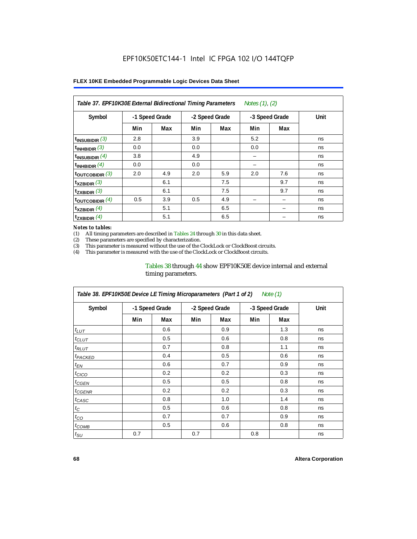| Notes (1), (2)<br>Table 37. EPF10K30E External Bidirectional Timing Parameters |     |                                  |     |                |     |     |      |  |  |
|--------------------------------------------------------------------------------|-----|----------------------------------|-----|----------------|-----|-----|------|--|--|
| Symbol                                                                         |     | -1 Speed Grade<br>-2 Speed Grade |     | -3 Speed Grade |     |     | Unit |  |  |
|                                                                                | Min | Max                              | Min | Max            | Min | Max |      |  |  |
| $t_{INSUBIDIR}$ (3)                                                            | 2.8 |                                  | 3.9 |                | 5.2 |     | ns   |  |  |
| $t_{INHBIDIR}$ (3)                                                             | 0.0 |                                  | 0.0 |                | 0.0 |     | ns   |  |  |
| $t_{INSUBIDIR}(4)$                                                             | 3.8 |                                  | 4.9 |                | -   |     | ns   |  |  |
| $t_{INHBIDIR}$ $(4)$                                                           | 0.0 |                                  | 0.0 |                |     |     | ns   |  |  |
| $t_{\text{OUTCOBIDIR}}$ (3)                                                    | 2.0 | 4.9                              | 2.0 | 5.9            | 2.0 | 7.6 | ns   |  |  |
| $t_{XZBIDIR}$ (3)                                                              |     | 6.1                              |     | 7.5            |     | 9.7 | ns   |  |  |
| $t_{ZXBIDIR}$ (3)                                                              |     | 6.1                              |     | 7.5            |     | 9.7 | ns   |  |  |
| $t_{\text{OUTCOBIDIR}}(4)$                                                     | 0.5 | 3.9                              | 0.5 | 4.9            |     |     | ns   |  |  |
| $t_{XZBIDIR}$ (4)                                                              |     | 5.1                              |     | 6.5            |     |     | ns   |  |  |
| $t_{ZXBIDIR}$ (4)                                                              |     | 5.1                              |     | 6.5            |     |     | ns   |  |  |

#### *Notes to tables:*

(1) All timing parameters are described in Tables 24 through 30 in this data sheet.<br>(2) These parameters are specified by characterization.

(2) These parameters are specified by characterization.<br>(3) This parameter is measured without the use of the C

This parameter is measured without the use of the ClockLock or ClockBoost circuits.

(4) This parameter is measured with the use of the ClockLock or ClockBoost circuits.

### Tables 38 through 44 show EPF10K50E device internal and external timing parameters.

| Table 38. EPF10K50E Device LE Timing Microparameters (Part 1 of 2)<br>Note (1) |     |                |     |                |     |                |      |  |  |
|--------------------------------------------------------------------------------|-----|----------------|-----|----------------|-----|----------------|------|--|--|
| Symbol                                                                         |     | -1 Speed Grade |     | -2 Speed Grade |     | -3 Speed Grade | Unit |  |  |
|                                                                                | Min | Max            | Min | Max            | Min | Max            |      |  |  |
| $t_{LUT}$                                                                      |     | 0.6            |     | 0.9            |     | 1.3            | ns   |  |  |
| $t_{CLUT}$                                                                     |     | 0.5            |     | 0.6            |     | 0.8            | ns   |  |  |
| $t_{RLUT}$                                                                     |     | 0.7            |     | 0.8            |     | 1.1            | ns   |  |  |
| <b><i>t<sub>PACKED</sub></i></b>                                               |     | 0.4            |     | 0.5            |     | 0.6            | ns   |  |  |
| $t_{EN}$                                                                       |     | 0.6            |     | 0.7            |     | 0.9            | ns   |  |  |
| $t_{CICO}$                                                                     |     | 0.2            |     | 0.2            |     | 0.3            | ns   |  |  |
| $t_{GEN}$                                                                      |     | 0.5            |     | 0.5            |     | 0.8            | ns   |  |  |
| <sup>t</sup> CGENR                                                             |     | 0.2            |     | 0.2            |     | 0.3            | ns   |  |  |
| t <sub>CASC</sub>                                                              |     | 0.8            |     | 1.0            |     | 1.4            | ns   |  |  |
| $t_C$                                                                          |     | 0.5            |     | 0.6            |     | 0.8            | ns   |  |  |
| $t_{CO}$                                                                       |     | 0.7            |     | 0.7            |     | 0.9            | ns   |  |  |
| $t_{\text{COMB}}$                                                              |     | 0.5            |     | 0.6            |     | 0.8            | ns   |  |  |
| $t_{\text{SU}}$                                                                | 0.7 |                | 0.7 |                | 0.8 |                | ns   |  |  |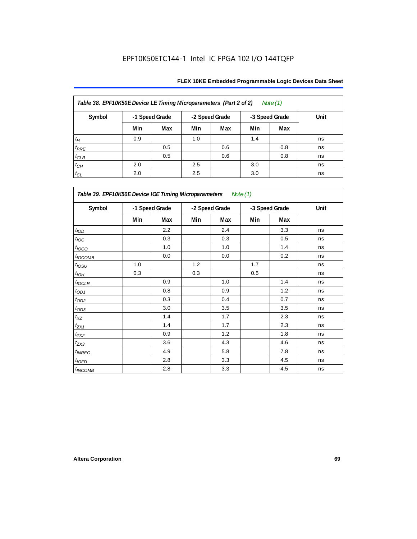| Table 38. EPF10K50E Device LE Timing Microparameters (Part 2 of 2)<br>Note $(1)$ |                |     |     |                |     |                |      |  |  |
|----------------------------------------------------------------------------------|----------------|-----|-----|----------------|-----|----------------|------|--|--|
| Symbol                                                                           | -1 Speed Grade |     |     | -2 Speed Grade |     | -3 Speed Grade | Unit |  |  |
|                                                                                  | Min            | Max | Min | Max            | Min | Max            |      |  |  |
| $t_H$                                                                            | 0.9            |     | 1.0 |                | 1.4 |                | ns   |  |  |
| $t_{PRE}$                                                                        |                | 0.5 |     | 0.6            |     | 0.8            | ns   |  |  |
| $t_{CLR}$                                                                        |                | 0.5 |     | 0.6            |     | 0.8            | ns   |  |  |
| $t_{CH}$                                                                         | 2.0            |     | 2.5 |                | 3.0 |                | ns   |  |  |
| $t_{CL}$                                                                         | 2.0            |     | 2.5 |                | 3.0 |                | ns   |  |  |

| Table 39. EPF10K50E Device IOE Timing Microparameters Note (1) |                |     |                |     |                |     |      |  |  |
|----------------------------------------------------------------|----------------|-----|----------------|-----|----------------|-----|------|--|--|
| Symbol                                                         | -1 Speed Grade |     | -2 Speed Grade |     | -3 Speed Grade |     | Unit |  |  |
|                                                                | Min            | Max | Min            | Max | Min            | Max |      |  |  |
| t <sub>IOD</sub>                                               |                | 2.2 |                | 2.4 |                | 3.3 | ns   |  |  |
| $t_{\text{loc}}$                                               |                | 0.3 |                | 0.3 |                | 0.5 | ns   |  |  |
| $t_{IOCO}$                                                     |                | 1.0 |                | 1.0 |                | 1.4 | ns   |  |  |
| $t_{IOCOMB}$                                                   |                | 0.0 |                | 0.0 |                | 0.2 | ns   |  |  |
| $t_{IOSU}$                                                     | 1.0            |     | 1.2            |     | 1.7            |     | ns   |  |  |
| $t_{IOM}$                                                      | 0.3            |     | 0.3            |     | 0.5            |     | ns   |  |  |
| $t_{IOCLR}$                                                    |                | 0.9 |                | 1.0 |                | 1.4 | ns   |  |  |
| $t_{OD1}$                                                      |                | 0.8 |                | 0.9 |                | 1.2 | ns   |  |  |
| $t_{OD2}$                                                      |                | 0.3 |                | 0.4 |                | 0.7 | ns   |  |  |
| $t_{OD3}$                                                      |                | 3.0 |                | 3.5 |                | 3.5 | ns   |  |  |
| $t_{\mathsf{XZ}}$                                              |                | 1.4 |                | 1.7 |                | 2.3 | ns   |  |  |
| $t_{ZX1}$                                                      |                | 1.4 |                | 1.7 |                | 2.3 | ns   |  |  |
| $t_{ZX2}$                                                      |                | 0.9 |                | 1.2 |                | 1.8 | ns   |  |  |
| $t_{ZX3}$                                                      |                | 3.6 |                | 4.3 |                | 4.6 | ns   |  |  |
| $t_{INREG}$                                                    |                | 4.9 |                | 5.8 |                | 7.8 | ns   |  |  |
| $t_{IOFD}$                                                     |                | 2.8 |                | 3.3 |                | 4.5 | ns   |  |  |
| $t_{INCOMB}$                                                   |                | 2.8 |                | 3.3 |                | 4.5 | ns   |  |  |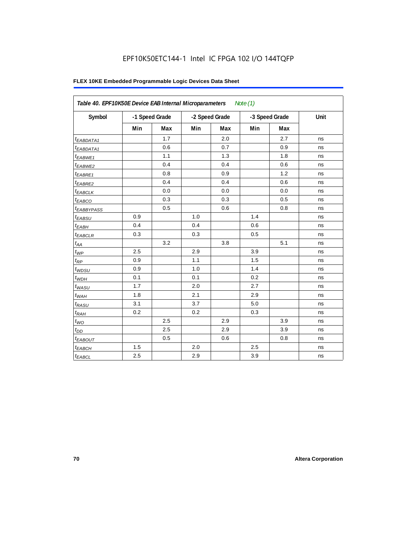## EPF10K50ETC144-1 Intel IC FPGA 102 I/O 144TQFP

| Table 40. EPF10K50E Device EAB Internal Microparameters<br>Note $(1)$ |                |     |                |     |                |     |      |  |  |
|-----------------------------------------------------------------------|----------------|-----|----------------|-----|----------------|-----|------|--|--|
| Symbol                                                                | -1 Speed Grade |     | -2 Speed Grade |     | -3 Speed Grade |     | Unit |  |  |
|                                                                       | Min            | Max | Min            | Max | Min            | Max |      |  |  |
| <sup>t</sup> EABDATA1                                                 |                | 1.7 |                | 2.0 |                | 2.7 | ns   |  |  |
| $t_{EABDATA1}$                                                        |                | 0.6 |                | 0.7 |                | 0.9 | ns   |  |  |
| <sup>t</sup> EABWE1                                                   |                | 1.1 |                | 1.3 |                | 1.8 | ns   |  |  |
| <sup>t</sup> EABWE2                                                   |                | 0.4 |                | 0.4 |                | 0.6 | ns   |  |  |
| t <sub>EABRE1</sub>                                                   |                | 0.8 |                | 0.9 |                | 1.2 | ns   |  |  |
| $t_{EABRE2}$                                                          |                | 0.4 |                | 0.4 |                | 0.6 | ns   |  |  |
| t <sub>EABCLK</sub>                                                   |                | 0.0 |                | 0.0 |                | 0.0 | ns   |  |  |
| t <sub>EABCO</sub>                                                    |                | 0.3 |                | 0.3 |                | 0.5 | ns   |  |  |
| <sup>t</sup> EABBYPASS                                                |                | 0.5 |                | 0.6 |                | 0.8 | ns   |  |  |
| t <sub>EABSU</sub>                                                    | 0.9            |     | 1.0            |     | 1.4            |     | ns   |  |  |
| $t_{EABH}$                                                            | 0.4            |     | 0.4            |     | 0.6            |     | ns   |  |  |
| $t_{EABCLR}$                                                          | 0.3            |     | 0.3            |     | 0.5            |     | ns   |  |  |
| $t_{AA}$                                                              |                | 3.2 |                | 3.8 |                | 5.1 | ns   |  |  |
| $t_{WP}$                                                              | 2.5            |     | 2.9            |     | 3.9            |     | ns   |  |  |
| $t_{\mathsf{RP}}$                                                     | 0.9            |     | 1.1            |     | 1.5            |     | ns   |  |  |
| $t_{W\!D\!S\!U}$                                                      | 0.9            |     | 1.0            |     | 1.4            |     | ns   |  |  |
| $t_{WDH}$                                                             | 0.1            |     | 0.1            |     | 0.2            |     | ns   |  |  |
| $t_{WASU}$                                                            | 1.7            |     | 2.0            |     | 2.7            |     | ns   |  |  |
| $t_{WAH}$                                                             | 1.8            |     | 2.1            |     | 2.9            |     | ns   |  |  |
| $t_{RASU}$                                                            | 3.1            |     | 3.7            |     | 5.0            |     | ns   |  |  |
| t <sub>RAH</sub>                                                      | 0.2            |     | 0.2            |     | 0.3            |     | ns   |  |  |
| $t_{WO}$                                                              |                | 2.5 |                | 2.9 |                | 3.9 | ns   |  |  |
| $t_{DD}$                                                              |                | 2.5 |                | 2.9 |                | 3.9 | ns   |  |  |
| <b><i>EABOUT</i></b>                                                  |                | 0.5 |                | 0.6 |                | 0.8 | ns   |  |  |
| $t_{EABCH}$                                                           | 1.5            |     | 2.0            |     | 2.5            |     | ns   |  |  |
| $t_{EABCL}$                                                           | 2.5            |     | 2.9            |     | 3.9            |     | ns   |  |  |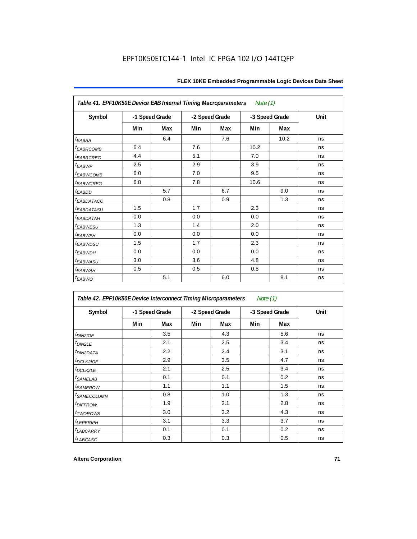| Table 41. EPF10K50E Device EAB Internal Timing Macroparameters<br>Note (1) |                |     |                |     |      |                |      |  |  |  |
|----------------------------------------------------------------------------|----------------|-----|----------------|-----|------|----------------|------|--|--|--|
| Symbol                                                                     | -1 Speed Grade |     | -2 Speed Grade |     |      | -3 Speed Grade | Unit |  |  |  |
|                                                                            | Min            | Max | Min            | Max | Min  | Max            |      |  |  |  |
| $t_{EABA}$                                                                 |                | 6.4 |                | 7.6 |      | 10.2           | ns   |  |  |  |
| t <sub>EABRCOMB</sub>                                                      | 6.4            |     | 7.6            |     | 10.2 |                | ns   |  |  |  |
| <sup>t</sup> EABRCREG                                                      | 4.4            |     | 5.1            |     | 7.0  |                | ns   |  |  |  |
| t <sub>EABWP</sub>                                                         | 2.5            |     | 2.9            |     | 3.9  |                | ns   |  |  |  |
| <sup>t</sup> EABWCOMB                                                      | 6.0            |     | 7.0            |     | 9.5  |                | ns   |  |  |  |
| t <sub>EABWCREG</sub>                                                      | 6.8            |     | 7.8            |     | 10.6 |                | ns   |  |  |  |
| t <sub>EABDD</sub>                                                         |                | 5.7 |                | 6.7 |      | 9.0            | ns   |  |  |  |
| <sup>t</sup> EABDATACO                                                     |                | 0.8 |                | 0.9 |      | 1.3            | ns   |  |  |  |
| <sup>t</sup> EABDATASU                                                     | 1.5            |     | 1.7            |     | 2.3  |                | ns   |  |  |  |
| <sup>t</sup> EABDATAH                                                      | 0.0            |     | 0.0            |     | 0.0  |                | ns   |  |  |  |
| <i>t<sub>EABWESU</sub></i>                                                 | 1.3            |     | 1.4            |     | 2.0  |                | ns   |  |  |  |
| <sup>t</sup> EABWEH                                                        | 0.0            |     | 0.0            |     | 0.0  |                | ns   |  |  |  |
| t <sub>EABWDSU</sub>                                                       | 1.5            |     | 1.7            |     | 2.3  |                | ns   |  |  |  |
| <sup>t</sup> EABWDH                                                        | 0.0            |     | 0.0            |     | 0.0  |                | ns   |  |  |  |
| t <sub>EABWASU</sub>                                                       | 3.0            |     | 3.6            |     | 4.8  |                | ns   |  |  |  |
| $t_{EABWAH}$                                                               | 0.5            |     | 0.5            |     | 0.8  |                | ns   |  |  |  |
| $t_{EABWO}$                                                                |                | 5.1 |                | 6.0 |      | 8.1            | ns   |  |  |  |

| Table 42. EPF10K50E Device Interconnect Timing Microparameters |                |     |                |     | Note $(1)$     |     |      |
|----------------------------------------------------------------|----------------|-----|----------------|-----|----------------|-----|------|
| Symbol                                                         | -1 Speed Grade |     | -2 Speed Grade |     | -3 Speed Grade |     | Unit |
|                                                                | Min            | Max | Min            | Max | Min            | Max |      |
| $t_{DINZIOE}$                                                  |                | 3.5 |                | 4.3 |                | 5.6 | ns   |
| t <sub>DIN2LE</sub>                                            |                | 2.1 |                | 2.5 |                | 3.4 | ns   |
| <sup>t</sup> DIN2DATA                                          |                | 2.2 |                | 2.4 |                | 3.1 | ns   |
| <sup>t</sup> DCLK2IOE                                          |                | 2.9 |                | 3.5 |                | 4.7 | ns   |
| t <sub>DCLK2LE</sub>                                           |                | 2.1 |                | 2.5 |                | 3.4 | ns   |
| <sup>t</sup> SAMELAB                                           |                | 0.1 |                | 0.1 |                | 0.2 | ns   |
| <sup>t</sup> SAMEROW                                           |                | 1.1 |                | 1.1 |                | 1.5 | ns   |
| <sup>t</sup> SAMECOLUMN                                        |                | 0.8 |                | 1.0 |                | 1.3 | ns   |
| <i>t<sub>DIFFROW</sub></i>                                     |                | 1.9 |                | 2.1 |                | 2.8 | ns   |
| <sup>t</sup> TWOROWS                                           |                | 3.0 |                | 3.2 |                | 4.3 | ns   |
| <b><i>LEPERIPH</i></b>                                         |                | 3.1 |                | 3.3 |                | 3.7 | ns   |
| <b><i>LABCARRY</i></b>                                         |                | 0.1 |                | 0.1 |                | 0.2 | ns   |
| t <sub>LABCASC</sub>                                           |                | 0.3 |                | 0.3 |                | 0.5 | ns   |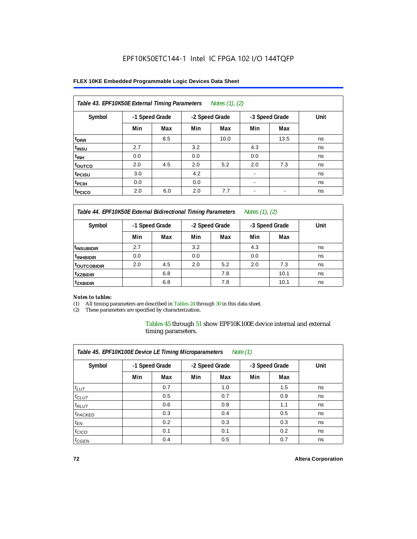#### **FLEX 10KE Embedded Programmable Logic Devices Data Sheet**

| Table 43. EPF10K50E External Timing Parameters<br>Notes $(1)$ , $(2)$ |                |     |     |                |                          |                |      |  |  |  |
|-----------------------------------------------------------------------|----------------|-----|-----|----------------|--------------------------|----------------|------|--|--|--|
| Symbol                                                                | -1 Speed Grade |     |     | -2 Speed Grade |                          | -3 Speed Grade | Unit |  |  |  |
|                                                                       | Min            | Max | Min | Max            | Min                      | Max            |      |  |  |  |
| t <sub>DRR</sub>                                                      |                | 8.5 |     | 10.0           |                          | 13.5           | ns   |  |  |  |
| t <sub>insu</sub>                                                     | 2.7            |     | 3.2 |                | 4.3                      |                | ns   |  |  |  |
| $t_{\rm INH}$                                                         | 0.0            |     | 0.0 |                | 0.0                      |                | ns   |  |  |  |
| toutco                                                                | 2.0            | 4.5 | 2.0 | 5.2            | 2.0                      | 7.3            | ns   |  |  |  |
| t <sub>PCISU</sub>                                                    | 3.0            |     | 4.2 |                | $\overline{\phantom{a}}$ |                | ns   |  |  |  |
| <sup>t</sup> PCIH                                                     | 0.0            |     | 0.0 |                | $\overline{\phantom{a}}$ |                | ns   |  |  |  |
| <sup>t</sup> PCICO                                                    | 2.0            | 6.0 | 2.0 | 7.7            | $\blacksquare$           |                | ns   |  |  |  |

*Table 44. EPF10K50E External Bidirectional Timing Parameters Notes (1), (2)*

| Symbol                    | -1 Speed Grade |     |     | -2 Speed Grade |     | -3 Speed Grade | Unit |
|---------------------------|----------------|-----|-----|----------------|-----|----------------|------|
|                           | Min            | Max | Min | Max            | Min | Max            |      |
| <sup>I</sup> INSUBIDIR    | 2.7            |     | 3.2 |                | 4.3 |                | ns   |
| <sup>t</sup> INHBIDIR     | 0.0            |     | 0.0 |                | 0.0 |                | ns   |
| <b><i>LOUTCOBIDIR</i></b> | 2.0            | 4.5 | 2.0 | 5.2            | 2.0 | 7.3            | ns   |
| <sup>t</sup> xzbidir      |                | 6.8 |     | 7.8            |     | 10.1           | ns   |
| <sup>t</sup> zxbidir      |                | 6.8 |     | 7.8            |     | 10.1           | ns   |

#### *Notes to tables:*

(1) All timing parameters are described in Tables 24 through 30 in this data sheet.

(2) These parameters are specified by characterization.

Tables 45 through 51 show EPF10K100E device internal and external timing parameters.

| Table 45. EPF10K100E Device LE Timing Microparameters<br>Note $(1)$ |                |     |                |     |                |     |      |  |  |  |
|---------------------------------------------------------------------|----------------|-----|----------------|-----|----------------|-----|------|--|--|--|
| Symbol                                                              | -1 Speed Grade |     | -2 Speed Grade |     | -3 Speed Grade |     | Unit |  |  |  |
|                                                                     | Min            | Max | Min            | Max | Min            | Max |      |  |  |  |
| $t_{LUT}$                                                           |                | 0.7 |                | 1.0 |                | 1.5 | ns   |  |  |  |
| $t_{CLUT}$                                                          |                | 0.5 |                | 0.7 |                | 0.9 | ns   |  |  |  |
| $t_{RLUT}$                                                          |                | 0.6 |                | 0.8 |                | 1.1 | ns   |  |  |  |
| <sup>t</sup> PACKED                                                 |                | 0.3 |                | 0.4 |                | 0.5 | ns   |  |  |  |
| $t_{EN}$                                                            |                | 0.2 |                | 0.3 |                | 0.3 | ns   |  |  |  |
| $t_{CICO}$                                                          |                | 0.1 |                | 0.1 |                | 0.2 | ns   |  |  |  |
| $t_{\text{GEN}}$                                                    |                | 0.4 |                | 0.5 |                | 0.7 | ns   |  |  |  |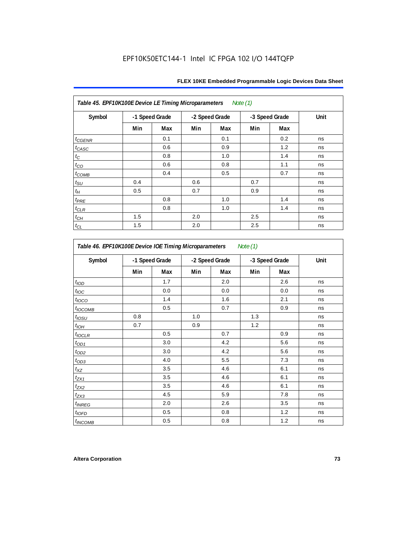| Table 45. EPF10K100E Device LE Timing Microparameters Note (1) |                |     |     |                |     |                |      |  |  |  |  |
|----------------------------------------------------------------|----------------|-----|-----|----------------|-----|----------------|------|--|--|--|--|
| Symbol                                                         | -1 Speed Grade |     |     | -2 Speed Grade |     | -3 Speed Grade | Unit |  |  |  |  |
|                                                                | Min            | Max | Min | Max            | Min | Max            |      |  |  |  |  |
| $t_{GENR}$                                                     |                | 0.1 |     | 0.1            |     | 0.2            | ns   |  |  |  |  |
| $t_{CASC}$                                                     |                | 0.6 |     | 0.9            |     | 1.2            | ns   |  |  |  |  |
| $t_C$                                                          |                | 0.8 |     | 1.0            |     | 1.4            | ns   |  |  |  |  |
| $t_{CO}$                                                       |                | 0.6 |     | 0.8            |     | 1.1            | ns   |  |  |  |  |
| $t_{COMB}$                                                     |                | 0.4 |     | 0.5            |     | 0.7            | ns   |  |  |  |  |
| $t_{\text{SU}}$                                                | 0.4            |     | 0.6 |                | 0.7 |                | ns   |  |  |  |  |
| $t_H$                                                          | 0.5            |     | 0.7 |                | 0.9 |                | ns   |  |  |  |  |
| $t_{PRE}$                                                      |                | 0.8 |     | 1.0            |     | 1.4            | ns   |  |  |  |  |
| $t_{\text{CLR}}$                                               |                | 0.8 |     | 1.0            |     | 1.4            | ns   |  |  |  |  |
| $t_{CH}$                                                       | 1.5            |     | 2.0 |                | 2.5 |                | ns   |  |  |  |  |
| $t_{CL}$                                                       | 1.5            |     | 2.0 |                | 2.5 |                | ns   |  |  |  |  |

| Symbol                   |     | -1 Speed Grade | -2 Speed Grade |     |     | -3 Speed Grade | Unit |
|--------------------------|-----|----------------|----------------|-----|-----|----------------|------|
|                          | Min | Max            | Min            | Max | Min | Max            |      |
| t <sub>IOD</sub>         |     | 1.7            |                | 2.0 |     | 2.6            | ns   |
| $t_{\text{IOC}}$         |     | 0.0            |                | 0.0 |     | 0.0            | ns   |
| $t_{\text{IOCO}}$        |     | 1.4            |                | 1.6 |     | 2.1            | ns   |
| t <sub>IOCOMB</sub>      |     | 0.5            |                | 0.7 |     | 0.9            | ns   |
| t <sub>iosu</sub>        | 0.8 |                | 1.0            |     | 1.3 |                | ns   |
| $t_{IOH}$                | 0.7 |                | 0.9            |     | 1.2 |                | ns   |
| $t_{IOCLR}$              |     | 0.5            |                | 0.7 |     | 0.9            | ns   |
| $t_{OD1}$                |     | 3.0            |                | 4.2 |     | 5.6            | ns   |
| $t_{OD2}$                |     | 3.0            |                | 4.2 |     | 5.6            | ns   |
| $t_{OD3}$                |     | 4.0            |                | 5.5 |     | 7.3            | ns   |
| $t_{XZ}$                 |     | 3.5            |                | 4.6 |     | 6.1            | ns   |
| $t_{ZX1}$                |     | 3.5            |                | 4.6 |     | 6.1            | ns   |
| $t_{ZX2}$                |     | 3.5            |                | 4.6 |     | 6.1            | ns   |
| $t_{ZX3}$                |     | 4.5            |                | 5.9 |     | 7.8            | ns   |
| <i>t<sub>INREG</sub></i> |     | 2.0            |                | 2.6 |     | 3.5            | ns   |
| $t_{IOED}$               |     | 0.5            |                | 0.8 |     | 1.2            | ns   |
| <sup>t</sup> INCOMB      |     | 0.5            |                | 0.8 |     | 1.2            | ns   |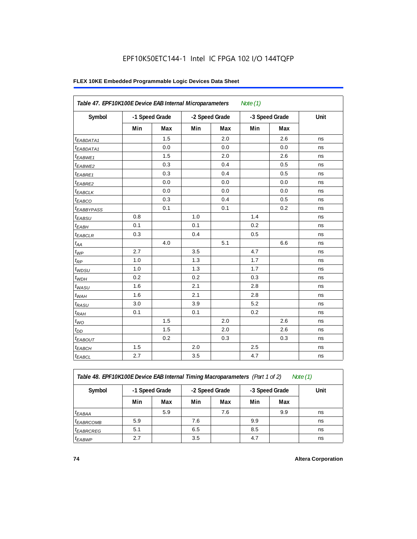# **FLEX 10KE Embedded Programmable Logic Devices Data Sheet**

| Table 47. EPF10K100E Device EAB Internal Microparameters |     |                |     |                | Note $(1)$ |                |      |
|----------------------------------------------------------|-----|----------------|-----|----------------|------------|----------------|------|
| Symbol                                                   |     | -1 Speed Grade |     | -2 Speed Grade |            | -3 Speed Grade | Unit |
|                                                          | Min | Max            | Min | Max            | Min        | Max            |      |
| <sup>t</sup> EABDATA1                                    |     | 1.5            |     | 2.0            |            | 2.6            | ns   |
| $t_{EABDATA1}$                                           |     | 0.0            |     | 0.0            |            | 0.0            | ns   |
| $t_{EABWE1}$                                             |     | 1.5            |     | 2.0            |            | 2.6            | ns   |
| t <sub>EABWE2</sub>                                      |     | 0.3            |     | 0.4            |            | 0.5            | ns   |
| t <sub>EABRE1</sub>                                      |     | 0.3            |     | 0.4            |            | 0.5            | ns   |
| $t_{EABRE2}$                                             |     | 0.0            |     | 0.0            |            | 0.0            | ns   |
| $t_{EABCLK}$                                             |     | 0.0            |     | 0.0            |            | 0.0            | ns   |
| $t_{EABCO}$                                              |     | 0.3            |     | 0.4            |            | 0.5            | ns   |
| t <sub>EABBYPASS</sub>                                   |     | 0.1            |     | 0.1            |            | 0.2            | ns   |
| $t_{EABSU}$                                              | 0.8 |                | 1.0 |                | 1.4        |                | ns   |
| $t_{EABH}$                                               | 0.1 |                | 0.1 |                | 0.2        |                | ns   |
| $t_{EABCLR}$                                             | 0.3 |                | 0.4 |                | 0.5        |                | ns   |
| $t_{AA}$                                                 |     | 4.0            |     | 5.1            |            | 6.6            | ns   |
| $t_{WP}$                                                 | 2.7 |                | 3.5 |                | 4.7        |                | ns   |
| $t_{RP}$                                                 | 1.0 |                | 1.3 |                | 1.7        |                | ns   |
| $t_{WDSU}$                                               | 1.0 |                | 1.3 |                | 1.7        |                | ns   |
| $t_{WDH}$                                                | 0.2 |                | 0.2 |                | 0.3        |                | ns   |
| $t_{WASU}$                                               | 1.6 |                | 2.1 |                | 2.8        |                | ns   |
| $t_{WAH}$                                                | 1.6 |                | 2.1 |                | 2.8        |                | ns   |
| $t_{RASU}$                                               | 3.0 |                | 3.9 |                | 5.2        |                | ns   |
| $t_{RAH}$                                                | 0.1 |                | 0.1 |                | 0.2        |                | ns   |
| $t_{WO}$                                                 |     | 1.5            |     | 2.0            |            | 2.6            | ns   |
| $t_{DD}$                                                 |     | 1.5            |     | 2.0            |            | 2.6            | ns   |
| $t_{EABOUT}$                                             |     | 0.2            |     | 0.3            |            | 0.3            | ns   |
| t <sub>EABCH</sub>                                       | 1.5 |                | 2.0 |                | 2.5        |                | ns   |
| $t_{EABCL}$                                              | 2.7 |                | 3.5 |                | 4.7        |                | ns   |

*Table 48. EPF10K100E Device EAB Internal Timing Macroparameters (Part 1 of 2) Note (1)*

| Symbol         | -1 Speed Grade |     |     | -2 Speed Grade |     | -3 Speed Grade | Unit |
|----------------|----------------|-----|-----|----------------|-----|----------------|------|
|                | Min            | Max | Min | Max            | Min | Max            |      |
| $t_{EABA}$     |                | 5.9 |     | 7.6            |     | 9.9            | ns   |
| $t_{EABRCOMB}$ | 5.9            |     | 7.6 |                | 9.9 |                | ns   |
| $t_{EABRCREG}$ | 5.1            |     | 6.5 |                | 8.5 |                | ns   |
| $t_{EABWP}$    | 2.7            |     | 3.5 |                | 4.7 |                | ns   |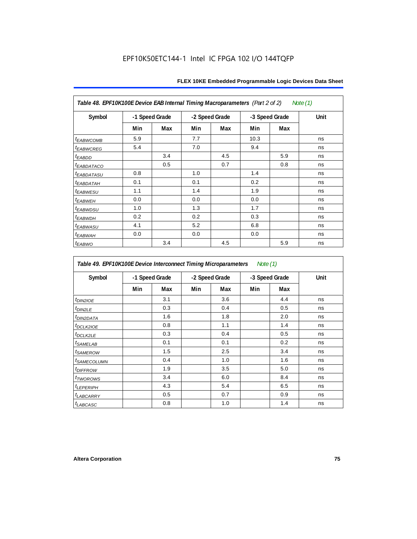| Table 48. EPF10K100E Device EAB Internal Timing Macroparameters (Part 2 of 2)<br>Note (1) |     |                |     |                |      |                |      |  |  |  |
|-------------------------------------------------------------------------------------------|-----|----------------|-----|----------------|------|----------------|------|--|--|--|
| Symbol                                                                                    |     | -1 Speed Grade |     | -2 Speed Grade |      | -3 Speed Grade | Unit |  |  |  |
|                                                                                           | Min | Max            | Min | Max            | Min  | Max            |      |  |  |  |
| <b>t</b> EABWCOMB                                                                         | 5.9 |                | 7.7 |                | 10.3 |                | ns   |  |  |  |
| <sup>t</sup> EABWCREG                                                                     | 5.4 |                | 7.0 |                | 9.4  |                | ns   |  |  |  |
| t <sub>EABDD</sub>                                                                        |     | 3.4            |     | 4.5            |      | 5.9            | ns   |  |  |  |
| <sup>t</sup> EABDATACO                                                                    |     | 0.5            |     | 0.7            |      | 0.8            | ns   |  |  |  |
| <sup>t</sup> EABDATASU                                                                    | 0.8 |                | 1.0 |                | 1.4  |                | ns   |  |  |  |
| <sup>t</sup> EABDATAH                                                                     | 0.1 |                | 0.1 |                | 0.2  |                | ns   |  |  |  |
| <sup>t</sup> EABWESU                                                                      | 1.1 |                | 1.4 |                | 1.9  |                | ns   |  |  |  |
| <sup>t</sup> EABWEH                                                                       | 0.0 |                | 0.0 |                | 0.0  |                | ns   |  |  |  |
| t <sub>EABWDSU</sub>                                                                      | 1.0 |                | 1.3 |                | 1.7  |                | ns   |  |  |  |
| <sup>t</sup> EABWDH                                                                       | 0.2 |                | 0.2 |                | 0.3  |                | ns   |  |  |  |
| <i>t<sub>EABWASU</sub></i>                                                                | 4.1 |                | 5.2 |                | 6.8  |                | ns   |  |  |  |
| <sup>t</sup> ЕАВWАН                                                                       | 0.0 |                | 0.0 |                | 0.0  |                | ns   |  |  |  |
| $t_{EABWO}$                                                                               |     | 3.4            |     | 4.5            |      | 5.9            | ns   |  |  |  |

*Table 49. EPF10K100E Device Interconnect Timing Microparameters Note (1)*

| Symbol                        | -1 Speed Grade |     |     | -2 Speed Grade |     | -3 Speed Grade |    |
|-------------------------------|----------------|-----|-----|----------------|-----|----------------|----|
|                               | Min            | Max | Min | Max            | Min | Max            |    |
| $tD$ IN2IOE                   |                | 3.1 |     | 3.6            |     | 4.4            | ns |
| t <sub>DIN2LE</sub>           |                | 0.3 |     | 0.4            |     | 0.5            | ns |
| <sup>t</sup> DIN2DATA         |                | 1.6 |     | 1.8            |     | 2.0            | ns |
| $t_{DCLK2IOE}$                |                | 0.8 |     | 1.1            |     | 1.4            | ns |
| $t$ DCLK2LE                   |                | 0.3 |     | 0.4            |     | 0.5            | ns |
| <sup>t</sup> SAMELAB          |                | 0.1 |     | 0.1            |     | 0.2            | ns |
| <i>t</i> SAMEROW              |                | 1.5 |     | 2.5            |     | 3.4            | ns |
| <i>t<sub>SAMECOLUMN</sub></i> |                | 0.4 |     | 1.0            |     | 1.6            | ns |
| <i>t<sub>DIFFROW</sub></i>    |                | 1.9 |     | 3.5            |     | 5.0            | ns |
| <i>t</i> TWOROWS              |                | 3.4 |     | 6.0            |     | 8.4            | ns |
| <b><i>LEPERIPH</i></b>        |                | 4.3 |     | 5.4            |     | 6.5            | ns |
| t <sub>LABCARRY</sub>         |                | 0.5 |     | 0.7            |     | 0.9            | ns |
| $t_{LABCASC}$                 |                | 0.8 |     | 1.0            |     | 1.4            | ns |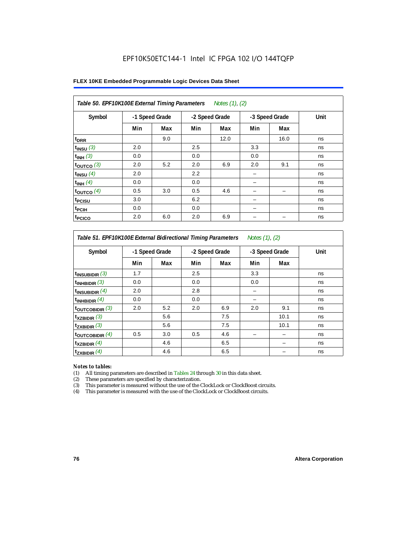| FLEX 10KE Embedded Programmable Logic Devices Data Sheet |  |
|----------------------------------------------------------|--|
|----------------------------------------------------------|--|

| Table 50. EPF10K100E External Timing Parameters Notes (1), (2) |                |     |     |                |     |                |      |  |  |  |
|----------------------------------------------------------------|----------------|-----|-----|----------------|-----|----------------|------|--|--|--|
| Symbol                                                         | -1 Speed Grade |     |     | -2 Speed Grade |     | -3 Speed Grade | Unit |  |  |  |
|                                                                | Min            | Max | Min | Max            | Min | Max            |      |  |  |  |
| t <sub>DRR</sub>                                               |                | 9.0 |     | 12.0           |     | 16.0           | ns   |  |  |  |
| $t_{INSU}$ (3)                                                 | 2.0            |     | 2.5 |                | 3.3 |                | ns   |  |  |  |
| $t_{INH}$ (3)                                                  | 0.0            |     | 0.0 |                | 0.0 |                | ns   |  |  |  |
| $t_{OUTCO}$ (3)                                                | 2.0            | 5.2 | 2.0 | 6.9            | 2.0 | 9.1            | ns   |  |  |  |
| $t_{INSU}$ (4)                                                 | 2.0            |     | 2.2 |                |     |                | ns   |  |  |  |
| $t_{INH}$ (4)                                                  | 0.0            |     | 0.0 |                |     |                | ns   |  |  |  |
| $t_{OUTCO}$ (4)                                                | 0.5            | 3.0 | 0.5 | 4.6            |     | -              | ns   |  |  |  |
| t <sub>PCISU</sub>                                             | 3.0            |     | 6.2 |                |     |                | ns   |  |  |  |
| t <sub>PCIH</sub>                                              | 0.0            |     | 0.0 |                |     |                | ns   |  |  |  |
| t <sub>PCICO</sub>                                             | 2.0            | 6.0 | 2.0 | 6.9            |     |                | ns   |  |  |  |

*Table 51. EPF10K100E External Bidirectional Timing Parameters Notes (1), (2)*

| Symbol                      |     | -1 Speed Grade |     | -2 Speed Grade |     | -3 Speed Grade | Unit |
|-----------------------------|-----|----------------|-----|----------------|-----|----------------|------|
|                             | Min | Max            | Min | Max            | Min | Max            |      |
| $t_{INSUBIDIR}$ (3)         | 1.7 |                | 2.5 |                | 3.3 |                | ns   |
| $t_{INHBIDIR}$ (3)          | 0.0 |                | 0.0 |                | 0.0 |                | ns   |
| $t_{INSUBIDIR}(4)$          | 2.0 |                | 2.8 |                |     |                | ns   |
| $t_{INHBIDIR}$ $(4)$        | 0.0 |                | 0.0 |                |     |                | ns   |
| $t_{\text{OUTCOBIDIR}}$ (3) | 2.0 | 5.2            | 2.0 | 6.9            | 2.0 | 9.1            | ns   |
| $t_{XZBIDIR}$ (3)           |     | 5.6            |     | 7.5            |     | 10.1           | ns   |
| $t_{ZXBIDIR}$ (3)           |     | 5.6            |     | 7.5            |     | 10.1           | ns   |
| $t_{\text{OUTCOBIDIR}}$ (4) | 0.5 | 3.0            | 0.5 | 4.6            |     |                | ns   |
| $t_{XZBIDIR}$ (4)           |     | 4.6            |     | 6.5            |     |                | ns   |
| $t_{ZXBIDIR}$ (4)           |     | 4.6            |     | 6.5            |     |                | ns   |

#### *Notes to tables:*

(1) All timing parameters are described in Tables 24 through 30 in this data sheet.

(2) These parameters are specified by characterization.

(3) This parameter is measured without the use of the ClockLock or ClockBoost circuits.

(4) This parameter is measured with the use of the ClockLock or ClockBoost circuits.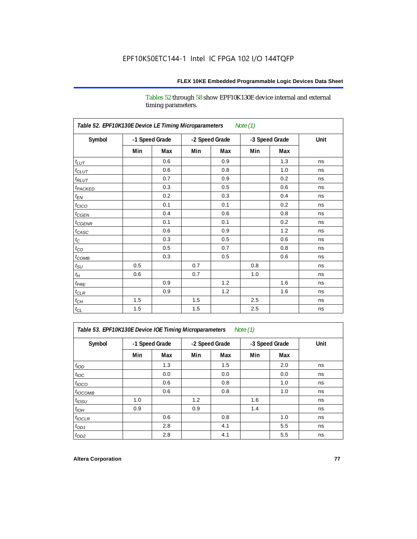Tables 52 through 58 show EPF10K130E device internal and external timing parameters.

| Table 52. EPF10K130E Device LE Timing Microparameters<br>Note (1) |     |                |     |                |     |                |      |  |  |  |
|-------------------------------------------------------------------|-----|----------------|-----|----------------|-----|----------------|------|--|--|--|
| Symbol                                                            |     | -1 Speed Grade |     | -2 Speed Grade |     | -3 Speed Grade | Unit |  |  |  |
|                                                                   | Min | Max            | Min | Max            | Min | Max            |      |  |  |  |
| $t_{LUT}$                                                         |     | 0.6            |     | 0.9            |     | 1.3            | ns   |  |  |  |
| $t_{CLUT}$                                                        |     | 0.6            |     | 0.8            |     | 1.0            | ns   |  |  |  |
| $t_{RLUT}$                                                        |     | 0.7            |     | 0.9            |     | 0.2            | ns   |  |  |  |
| t <sub>PACKED</sub>                                               |     | 0.3            |     | 0.5            |     | 0.6            | ns   |  |  |  |
| $t_{EN}$                                                          |     | 0.2            |     | 0.3            |     | 0.4            | ns   |  |  |  |
| $t_{CICO}$                                                        |     | 0.1            |     | 0.1            |     | 0.2            | ns   |  |  |  |
| $t_{CSEN}$                                                        |     | 0.4            |     | 0.6            |     | 0.8            | ns   |  |  |  |
| $t_{CGENR}$                                                       |     | 0.1            |     | 0.1            |     | 0.2            | ns   |  |  |  |
| $t_{CASC}$                                                        |     | 0.6            |     | 0.9            |     | 1.2            | ns   |  |  |  |
| $t_{\rm C}$                                                       |     | 0.3            |     | 0.5            |     | 0.6            | ns   |  |  |  |
| $t_{CO}$                                                          |     | 0.5            |     | 0.7            |     | 0.8            | ns   |  |  |  |
| $t_{COMB}$                                                        |     | 0.3            |     | 0.5            |     | 0.6            | ns   |  |  |  |
| $t_{\rm SU}$                                                      | 0.5 |                | 0.7 |                | 0.8 |                | ns   |  |  |  |
| $t_H$                                                             | 0.6 |                | 0.7 |                | 1.0 |                | ns   |  |  |  |
| $t_{PRE}$                                                         |     | 0.9            |     | 1.2            |     | 1.6            | ns   |  |  |  |
| $t_{CLR}$                                                         |     | 0.9            |     | 1.2            |     | 1.6            | ns   |  |  |  |
| $t_{CH}$                                                          | 1.5 |                | 1.5 |                | 2.5 |                | ns   |  |  |  |
| $t_{\rm CL}$                                                      | 1.5 |                | 1.5 |                | 2.5 |                | ns   |  |  |  |

*Table 53. EPF10K130E Device IOE Timing Microparameters Note (1)*

| Symbol           |     | -1 Speed Grade |     | -2 Speed Grade |     | -3 Speed Grade | Unit |
|------------------|-----|----------------|-----|----------------|-----|----------------|------|
|                  | Min | Max            | Min | Max            | Min | Max            |      |
| t <sub>IOD</sub> |     | 1.3            |     | 1.5            |     | 2.0            | ns   |
| $t_{\text{IOC}}$ |     | 0.0            |     | 0.0            |     | 0.0            | ns   |
| $t_{IOCO}$       |     | 0.6            |     | 0.8            |     | 1.0            | ns   |
| $t_{IOCOMB}$     |     | 0.6            |     | 0.8            |     | 1.0            | ns   |
| $t_{IOSU}$       | 1.0 |                | 1.2 |                | 1.6 |                | ns   |
| $t_{IOH}$        | 0.9 |                | 0.9 |                | 1.4 |                | ns   |
| $t_{IOCLR}$      |     | 0.6            |     | 0.8            |     | 1.0            | ns   |
| $t_{OD1}$        |     | 2.8            |     | 4.1            |     | 5.5            | ns   |
| $t_{OD2}$        |     | 2.8            |     | 4.1            |     | 5.5            | ns   |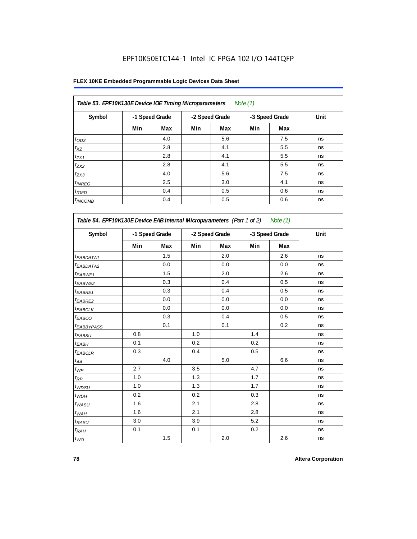| Table 53. EPF10K130E Device IOE Timing Microparameters<br>Note $(1)$ |                |     |     |                |     |                |      |  |  |  |  |
|----------------------------------------------------------------------|----------------|-----|-----|----------------|-----|----------------|------|--|--|--|--|
| Symbol                                                               | -1 Speed Grade |     |     | -2 Speed Grade |     | -3 Speed Grade | Unit |  |  |  |  |
|                                                                      | Min            | Max | Min | Max            | Min | Max            |      |  |  |  |  |
| $t_{OD3}$                                                            |                | 4.0 |     | 5.6            |     | 7.5            | ns   |  |  |  |  |
| $t_{XZ}$                                                             |                | 2.8 |     | 4.1            |     | 5.5            | ns   |  |  |  |  |
| $t_{ZX1}$                                                            |                | 2.8 |     | 4.1            |     | 5.5            | ns   |  |  |  |  |
| $t_{ZX2}$                                                            |                | 2.8 |     | 4.1            |     | 5.5            | ns   |  |  |  |  |
| $t_{ZX3}$                                                            |                | 4.0 |     | 5.6            |     | 7.5            | ns   |  |  |  |  |
| $t_{INREG}$                                                          |                | 2.5 |     | 3.0            |     | 4.1            | ns   |  |  |  |  |
| $t_{IOFD}$                                                           |                | 0.4 |     | 0.5            |     | 0.6            | ns   |  |  |  |  |
| $t_{INCOMB}$                                                         |                | 0.4 |     | 0.5            |     | 0.6            | ns   |  |  |  |  |

| Symbol                       | -1 Speed Grade |         | -2 Speed Grade |     | -3 Speed Grade |     | Unit |
|------------------------------|----------------|---------|----------------|-----|----------------|-----|------|
|                              | Min            | Max     | Min            | Max | Min            | Max |      |
| $t_{EABDATA1}$               |                | 1.5     |                | 2.0 |                | 2.6 | ns   |
| $t_{EABDATA2}$               |                | 0.0     |                | 0.0 |                | 0.0 | ns   |
| t <sub>EABWE1</sub>          |                | 1.5     |                | 2.0 |                | 2.6 | ns   |
| <sup>t</sup> EABWE2          |                | 0.3     |                | 0.4 |                | 0.5 | ns   |
| t <sub>EABRE1</sub>          |                | 0.3     |                | 0.4 |                | 0.5 | ns   |
| <sup>t</sup> EABRE2          |                | 0.0     |                | 0.0 |                | 0.0 | ns   |
| t <sub>EABCLK</sub>          |                | 0.0     |                | 0.0 |                | 0.0 | ns   |
| t <sub>EABCO</sub>           |                | 0.3     |                | 0.4 |                | 0.5 | ns   |
| <sup>t</sup> EABBYPASS       |                | 0.1     |                | 0.1 |                | 0.2 | ns   |
| t <sub>EABSU</sub>           | 0.8            |         | 1.0            |     | 1.4            |     | ns   |
| t <sub>ЕАВН</sub>            | 0.1            |         | 0.2            |     | 0.2            |     | ns   |
| t <sub>EABCLR</sub>          | 0.3            |         | 0.4            |     | 0.5            |     | ns   |
| $t_{\mathcal{A}\mathcal{A}}$ |                | 4.0     |                | 5.0 |                | 6.6 | ns   |
| $t_{\mathcal{WP}}$           | 2.7            |         | 3.5            |     | 4.7            |     | ns   |
| $t_{\mathsf{RP}}$            | 1.0            |         | 1.3            |     | 1.7            |     | ns   |
| $t_{WDSU}$                   | 1.0            |         | 1.3            |     | 1.7            |     | ns   |
| $t_{WDH}$                    | 0.2            |         | 0.2            |     | 0.3            |     | ns   |
| $t_{WASU}$                   | 1.6            |         | 2.1            |     | 2.8            |     | ns   |
| $t_{WAH}$                    | 1.6            |         | 2.1            |     | 2.8            |     | ns   |
| $t_{RASU}$                   | 3.0            |         | 3.9            |     | 5.2            |     | ns   |
| $t_{RAH}$                    | 0.1            |         | 0.1            |     | 0.2            |     | ns   |
| $t_{WO}$                     |                | $1.5\,$ |                | 2.0 |                | 2.6 | ns   |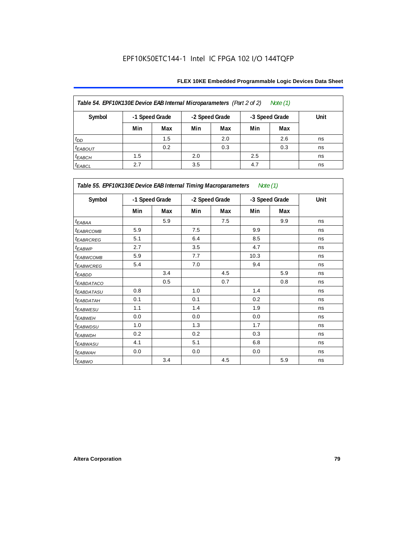| Table 54. EPF10K130E Device EAB Internal Microparameters (Part 2 of 2)<br>Note $(1)$ |     |                |                |     |                |      |    |  |  |  |
|--------------------------------------------------------------------------------------|-----|----------------|----------------|-----|----------------|------|----|--|--|--|
| Symbol                                                                               |     | -1 Speed Grade | -2 Speed Grade |     | -3 Speed Grade | Unit |    |  |  |  |
|                                                                                      | Min | Max            | Min            | Max | Min            | Max  |    |  |  |  |
| $t_{DD}$                                                                             |     | 1.5            |                | 2.0 |                | 2.6  | ns |  |  |  |
| $t_{EABOUT}$                                                                         |     | 0.2            |                | 0.3 |                | 0.3  | ns |  |  |  |
| $t_{EABCH}$                                                                          | 1.5 |                | 2.0            |     | 2.5            |      | ns |  |  |  |
| $t_{EABCL}$                                                                          | 2.7 |                | 3.5            |     | 4.7            |      | ns |  |  |  |

| Table 55. EPF10K130E Device EAB Internal Timing Macroparameters Note (1) |     |                |                |     |                |     |             |  |  |  |
|--------------------------------------------------------------------------|-----|----------------|----------------|-----|----------------|-----|-------------|--|--|--|
| Symbol                                                                   |     | -1 Speed Grade | -2 Speed Grade |     | -3 Speed Grade |     | <b>Unit</b> |  |  |  |
|                                                                          | Min | Max            | Min            | Max | Min            | Max |             |  |  |  |
| $t_{EABA}$                                                               |     | 5.9            |                | 7.5 |                | 9.9 | ns          |  |  |  |
| <b>t</b> EABRCOMB                                                        | 5.9 |                | 7.5            |     | 9.9            |     | ns          |  |  |  |
| <sup>t</sup> EABRCREG                                                    | 5.1 |                | 6.4            |     | 8.5            |     | ns          |  |  |  |
| <sup>t</sup> EABWP                                                       | 2.7 |                | 3.5            |     | 4.7            |     | ns          |  |  |  |
| <sup>t</sup> ЕАВWСОМВ                                                    | 5.9 |                | 7.7            |     | 10.3           |     | ns          |  |  |  |
| t <sub>EABWCREG</sub>                                                    | 5.4 |                | 7.0            |     | 9.4            |     | ns          |  |  |  |
| t <sub>EABDD</sub>                                                       |     | 3.4            |                | 4.5 |                | 5.9 | ns          |  |  |  |
| <b><i>EABDATACO</i></b>                                                  |     | 0.5            |                | 0.7 |                | 0.8 | ns          |  |  |  |
| <sup>t</sup> EABDATASU                                                   | 0.8 |                | 1.0            |     | 1.4            |     | ns          |  |  |  |
| <sup>t</sup> EABDATAH                                                    | 0.1 |                | 0.1            |     | 0.2            |     | ns          |  |  |  |
| <sup>t</sup> EABWESU                                                     | 1.1 |                | 1.4            |     | 1.9            |     | ns          |  |  |  |
| <sup>t</sup> EABWEH                                                      | 0.0 |                | 0.0            |     | 0.0            |     | ns          |  |  |  |
| <sup>t</sup> EABWDSU                                                     | 1.0 |                | 1.3            |     | 1.7            |     | ns          |  |  |  |
| <sup>t</sup> EABWDH                                                      | 0.2 |                | 0.2            |     | 0.3            |     | ns          |  |  |  |
| t <sub>EABWASU</sub>                                                     | 4.1 |                | 5.1            |     | 6.8            |     | ns          |  |  |  |
| <sup>t</sup> EABWAH                                                      | 0.0 |                | 0.0            |     | 0.0            |     | ns          |  |  |  |
| t <sub>EABWO</sub>                                                       |     | 3.4            |                | 4.5 |                | 5.9 | ns          |  |  |  |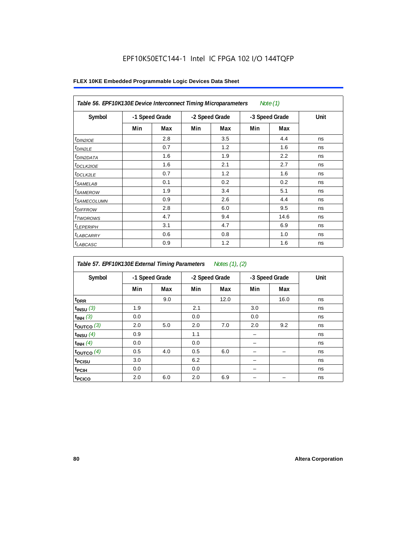| Table 56. EPF10K130E Device Interconnect Timing Microparameters<br>Note $(1)$ |                |     |                |     |                |      |      |  |  |  |
|-------------------------------------------------------------------------------|----------------|-----|----------------|-----|----------------|------|------|--|--|--|
| Symbol                                                                        | -1 Speed Grade |     | -2 Speed Grade |     | -3 Speed Grade |      | Unit |  |  |  |
|                                                                               | Min            | Max | Min            | Max | Min            | Max  |      |  |  |  |
| $t_{DIN2IOE}$                                                                 |                | 2.8 |                | 3.5 |                | 4.4  | ns   |  |  |  |
| $t_{DIN2LE}$                                                                  |                | 0.7 |                | 1.2 |                | 1.6  | ns   |  |  |  |
| <sup>t</sup> DIN2DATA                                                         |                | 1.6 |                | 1.9 |                | 2.2  | ns   |  |  |  |
| $t_{DCLK2IOE}$                                                                |                | 1.6 |                | 2.1 |                | 2.7  | ns   |  |  |  |
| <sup>t</sup> DCLK2LE                                                          |                | 0.7 |                | 1.2 |                | 1.6  | ns   |  |  |  |
| <sup>t</sup> SAMELAB                                                          |                | 0.1 |                | 0.2 |                | 0.2  | ns   |  |  |  |
| <sup>t</sup> SAMEROW                                                          |                | 1.9 |                | 3.4 |                | 5.1  | ns   |  |  |  |
| <sup>t</sup> SAMECOLUMN                                                       |                | 0.9 |                | 2.6 |                | 4.4  | ns   |  |  |  |
| <i>t<sub>DIFFROW</sub></i>                                                    |                | 2.8 |                | 6.0 |                | 9.5  | ns   |  |  |  |
| <sup>t</sup> TWOROWS                                                          |                | 4.7 |                | 9.4 |                | 14.6 | ns   |  |  |  |
| <sup>t</sup> LEPERIPH                                                         |                | 3.1 |                | 4.7 |                | 6.9  | ns   |  |  |  |
| <sup>t</sup> LABCARRY                                                         |                | 0.6 |                | 0.8 |                | 1.0  | ns   |  |  |  |
| t <sub>LABCASC</sub>                                                          |                | 0.9 |                | 1.2 |                | 1.6  | ns   |  |  |  |

| Symbol             |     | -1 Speed Grade |     | -2 Speed Grade |     | -3 Speed Grade | Unit |
|--------------------|-----|----------------|-----|----------------|-----|----------------|------|
|                    | Min | Max            | Min | Max            | Min | Max            |      |
| t <sub>DRR</sub>   |     | 9.0            |     | 12.0           |     | 16.0           | ns   |
| $t_{INSU}$ (3)     | 1.9 |                | 2.1 |                | 3.0 |                | ns   |
| $t_{INH}$ (3)      | 0.0 |                | 0.0 |                | 0.0 |                | ns   |
| $t_{OUT}$ co $(3)$ | 2.0 | 5.0            | 2.0 | 7.0            | 2.0 | 9.2            | ns   |
| $t_{INSU}$ (4)     | 0.9 |                | 1.1 |                |     |                | ns   |
| $t_{INH}$ (4)      | 0.0 |                | 0.0 |                |     |                | ns   |
| toutco $(4)$       | 0.5 | 4.0            | 0.5 | 6.0            |     |                | ns   |
| t <sub>PCISU</sub> | 3.0 |                | 6.2 |                |     |                | ns   |
| <sup>t</sup> PCIH  | 0.0 |                | 0.0 |                |     |                | ns   |
| t <sub>PCICO</sub> | 2.0 | 6.0            | 2.0 | 6.9            |     |                | ns   |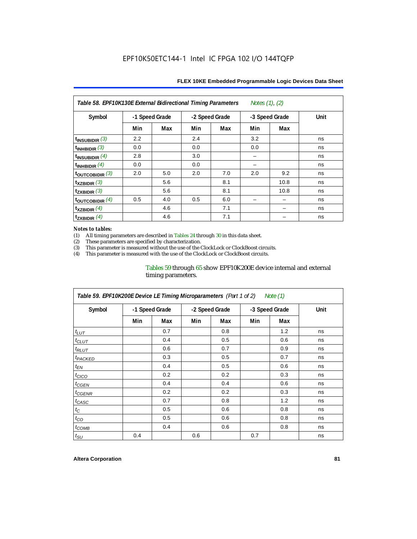| Table 58. EPF10K130E External Bidirectional Timing Parameters<br>Notes $(1)$ , $(2)$ |                |     |     |                |     |                |      |  |  |  |
|--------------------------------------------------------------------------------------|----------------|-----|-----|----------------|-----|----------------|------|--|--|--|
| Symbol                                                                               | -1 Speed Grade |     |     | -2 Speed Grade |     | -3 Speed Grade | Unit |  |  |  |
|                                                                                      | Min            | Max | Min | Max            | Min | Max            |      |  |  |  |
| $t_{INSUBIDIR}$ (3)                                                                  | 2.2            |     | 2.4 |                | 3.2 |                | ns   |  |  |  |
| $t_{INHBIDIR}$ (3)                                                                   | 0.0            |     | 0.0 |                | 0.0 |                | ns   |  |  |  |
| $t_{INSUBIDIR}(4)$                                                                   | 2.8            |     | 3.0 |                |     |                | ns   |  |  |  |
| $t_{INHBIDIR}(4)$                                                                    | 0.0            |     | 0.0 |                |     |                | ns   |  |  |  |
| $t_{\text{OUTCOBIDIR}}$ (3)                                                          | 2.0            | 5.0 | 2.0 | 7.0            | 2.0 | 9.2            | ns   |  |  |  |
| $t_{XZBIDIR}$ (3)                                                                    |                | 5.6 |     | 8.1            |     | 10.8           | ns   |  |  |  |
| $t_{ZXBIDIR}$ (3)                                                                    |                | 5.6 |     | 8.1            |     | 10.8           | ns   |  |  |  |
| toutcobidir $(4)$                                                                    | 0.5            | 4.0 | 0.5 | 6.0            |     |                | ns   |  |  |  |
| $\mathsf{t}_{\mathsf{XZBIDIR}}$ (4)                                                  |                | 4.6 |     | 7.1            |     |                | ns   |  |  |  |
| $t_{ZXBIDIR}$ (4)                                                                    |                | 4.6 |     | 7.1            |     |                | ns   |  |  |  |

#### *Notes to tables:*

(1) All timing parameters are described in Tables 24 through 30 in this data sheet.<br>(2) These parameters are specified by characterization.

(2) These parameters are specified by characterization.<br>
(3) This parameter is measured without the use of the C

This parameter is measured without the use of the ClockLock or ClockBoost circuits.

(4) This parameter is measured with the use of the ClockLock or ClockBoost circuits.

#### Tables 59 through 65 show EPF10K200E device internal and external timing parameters.

| Table 59. EPF10K200E Device LE Timing Microparameters (Part 1 of 2) Note (1) |                |     |     |                |     |                |      |  |  |  |
|------------------------------------------------------------------------------|----------------|-----|-----|----------------|-----|----------------|------|--|--|--|
| Symbol                                                                       | -1 Speed Grade |     |     | -2 Speed Grade |     | -3 Speed Grade | Unit |  |  |  |
|                                                                              | Min            | Max | Min | Max            | Min | Max            |      |  |  |  |
| $t_{LUT}$                                                                    |                | 0.7 |     | 0.8            |     | 1.2            | ns   |  |  |  |
| $t_{CLUT}$                                                                   |                | 0.4 |     | 0.5            |     | 0.6            | ns   |  |  |  |
| $t_{RLUT}$                                                                   |                | 0.6 |     | 0.7            |     | 0.9            | ns   |  |  |  |
| <sup>t</sup> PACKED                                                          |                | 0.3 |     | 0.5            |     | 0.7            | ns   |  |  |  |
| $t_{EN}$                                                                     |                | 0.4 |     | 0.5            |     | 0.6            | ns   |  |  |  |
| $t_{CICO}$                                                                   |                | 0.2 |     | 0.2            |     | 0.3            | ns   |  |  |  |
| $t_{GEN}$                                                                    |                | 0.4 |     | 0.4            |     | 0.6            | ns   |  |  |  |
| <sup>t</sup> CGENR                                                           |                | 0.2 |     | 0.2            |     | 0.3            | ns   |  |  |  |
| $t_{CASC}$                                                                   |                | 0.7 |     | 0.8            |     | 1.2            | ns   |  |  |  |
| $t_{\rm C}$                                                                  |                | 0.5 |     | 0.6            |     | 0.8            | ns   |  |  |  |
| $t_{CO}$                                                                     |                | 0.5 |     | 0.6            |     | 0.8            | ns   |  |  |  |
| $t_{COMB}$                                                                   |                | 0.4 |     | 0.6            |     | 0.8            | ns   |  |  |  |
| $t_{\text{SU}}$                                                              | 0.4            |     | 0.6 |                | 0.7 |                | ns   |  |  |  |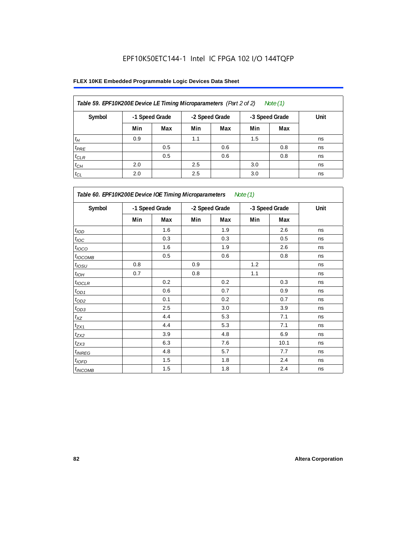| Table 59. EPF10K200E Device LE Timing Microparameters (Part 2 of 2) |                |     |                |     |                | Note (1) |      |
|---------------------------------------------------------------------|----------------|-----|----------------|-----|----------------|----------|------|
| Symbol                                                              | -1 Speed Grade |     | -2 Speed Grade |     | -3 Speed Grade |          | Unit |
|                                                                     | Min            | Max | Min            | Max | Min            | Max      |      |
| $t_H$                                                               | 0.9            |     | 1.1            |     | 1.5            |          | ns   |
| $t_{PRE}$                                                           |                | 0.5 |                | 0.6 |                | 0.8      | ns   |
| $t_{CLR}$                                                           |                | 0.5 |                | 0.6 |                | 0.8      | ns   |
| $t_{CH}$                                                            | 2.0            |     | 2.5            |     | 3.0            |          | ns   |
| $t_{CL}$                                                            | 2.0            |     | 2.5            |     | 3.0            |          | ns   |

| Table 60. EPF10K200E Device IOE Timing Microparameters<br>Note (1) |                |     |                |     |                |      |      |  |  |  |
|--------------------------------------------------------------------|----------------|-----|----------------|-----|----------------|------|------|--|--|--|
| Symbol                                                             | -1 Speed Grade |     | -2 Speed Grade |     | -3 Speed Grade |      | Unit |  |  |  |
|                                                                    | Min            | Max | Min            | Max | Min            | Max  |      |  |  |  |
| t <sub>IOD</sub>                                                   |                | 1.6 |                | 1.9 |                | 2.6  | ns   |  |  |  |
| $t_{\text{IOC}}$                                                   |                | 0.3 |                | 0.3 |                | 0.5  | ns   |  |  |  |
| $t_{IOCO}$                                                         |                | 1.6 |                | 1.9 |                | 2.6  | ns   |  |  |  |
| $t_{IOCOMB}$                                                       |                | 0.5 |                | 0.6 |                | 0.8  | ns   |  |  |  |
| $t_{IOSU}$                                                         | 0.8            |     | 0.9            |     | 1.2            |      | ns   |  |  |  |
| $t_{IOH}$                                                          | 0.7            |     | 0.8            |     | 1.1            |      | ns   |  |  |  |
| $t_{IOCLR}$                                                        |                | 0.2 |                | 0.2 |                | 0.3  | ns   |  |  |  |
| $t_{OD1}$                                                          |                | 0.6 |                | 0.7 |                | 0.9  | ns   |  |  |  |
| $t_{OD2}$                                                          |                | 0.1 |                | 0.2 |                | 0.7  | ns   |  |  |  |
| $t_{OD3}$                                                          |                | 2.5 |                | 3.0 |                | 3.9  | ns   |  |  |  |
| $t_{\mathsf{XZ}}$                                                  |                | 4.4 |                | 5.3 |                | 7.1  | ns   |  |  |  |
| $t_{ZX1}$                                                          |                | 4.4 |                | 5.3 |                | 7.1  | ns   |  |  |  |
| $t_{ZX2}$                                                          |                | 3.9 |                | 4.8 |                | 6.9  | ns   |  |  |  |
| $t_{ZX3}$                                                          |                | 6.3 |                | 7.6 |                | 10.1 | ns   |  |  |  |
| $t_{INREG}$                                                        |                | 4.8 |                | 5.7 |                | 7.7  | ns   |  |  |  |
| $t_{IOED}$                                                         |                | 1.5 |                | 1.8 |                | 2.4  | ns   |  |  |  |
| $t_{INCOMB}$                                                       |                | 1.5 |                | 1.8 |                | 2.4  | ns   |  |  |  |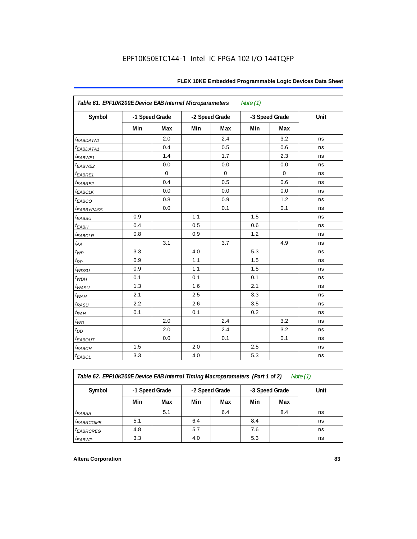| Symbol                  | -1 Speed Grade |             | -2 Speed Grade |           | -3 Speed Grade |             | Unit |
|-------------------------|----------------|-------------|----------------|-----------|----------------|-------------|------|
|                         | Min            | Max         | Min            | Max       | Min            | Max         |      |
| <i>EABDATA1</i>         |                | 2.0         |                | 2.4       |                | 3.2         | ns   |
| <i><b>EABDATA1</b></i>  |                | 0.4         |                | 0.5       |                | 0.6         | ns   |
| $t_{EABWE1}$            |                | 1.4         |                | 1.7       |                | 2.3         | ns   |
| t <sub>EABWE2</sub>     |                | 0.0         |                | 0.0       |                | 0.0         | ns   |
| $t_{EABRE1}$            |                | $\mathbf 0$ |                | $\pmb{0}$ |                | $\mathbf 0$ | ns   |
| $t_{EABRE2}$            |                | 0.4         |                | 0.5       |                | 0.6         | ns   |
| $t_{EABCLK}$            |                | 0.0         |                | 0.0       |                | 0.0         | ns   |
| $t_{EABCO}$             |                | 0.8         |                | 0.9       |                | 1.2         | ns   |
| <b><i>EABBYPASS</i></b> |                | 0.0         |                | 0.1       |                | 0.1         | ns   |
| $t_{EABSU}$             | 0.9            |             | 1.1            |           | 1.5            |             | ns   |
| $t_{EABH}$              | 0.4            |             | 0.5            |           | 0.6            |             | ns   |
| $t_{EABCLR}$            | 0.8            |             | 0.9            |           | 1.2            |             | ns   |
| $t_{AA}$                |                | 3.1         |                | 3.7       |                | 4.9         | ns   |
| $t_{WP}$                | 3.3            |             | 4.0            |           | 5.3            |             | ns   |
| $t_{RP}$                | 0.9            |             | 1.1            |           | 1.5            |             | ns   |
| t <sub>WDSU</sub>       | 0.9            |             | 1.1            |           | 1.5            |             | ns   |
| $t_{WDH}$               | 0.1            |             | 0.1            |           | 0.1            |             | ns   |
| t <sub>WASU</sub>       | 1.3            |             | 1.6            |           | 2.1            |             | ns   |
| $t_{WAH}$               | 2.1            |             | 2.5            |           | 3.3            |             | ns   |
| t <sub>RASU</sub>       | 2.2            |             | 2.6            |           | 3.5            |             | ns   |
| $t_{RAH}$               | 0.1            |             | 0.1            |           | 0.2            |             | ns   |
| $t_{WO}$                |                | 2.0         |                | 2.4       |                | 3.2         | ns   |
| $t_{DD}$                |                | 2.0         |                | 2.4       |                | 3.2         | ns   |
| $t_{EABOUT}$            |                | 0.0         |                | 0.1       |                | 0.1         | ns   |
| $t_{EABCH}$             | 1.5            |             | 2.0            |           | 2.5            |             | ns   |
| $t_{EABCL}$             | 3.3            |             | 4.0            |           | 5.3            |             | ns   |

*Table 62. EPF10K200E Device EAB Internal Timing Macroparameters (Part 1 of 2) Note (1)*

| Note (1) |  |
|----------|--|
|          |  |

|                         |                |     |                |     |                |     | Unit |
|-------------------------|----------------|-----|----------------|-----|----------------|-----|------|
| Symbol                  | -1 Speed Grade |     | -2 Speed Grade |     | -3 Speed Grade |     |      |
|                         | Min            | Max | Min            | Max | Min            | Max |      |
| $t_{EABA}$              |                | 5.1 |                | 6.4 |                | 8.4 | ns   |
| <i><b>EABRCOMB</b></i>  | 5.1            |     | 6.4            |     | 8.4            |     | ns   |
| <i><b>LEABRCREG</b></i> | 4.8            |     | 5.7            |     | 7.6            |     | ns   |
| <sup>t</sup> EABWP      | 3.3            |     | 4.0            |     | 5.3            |     | ns   |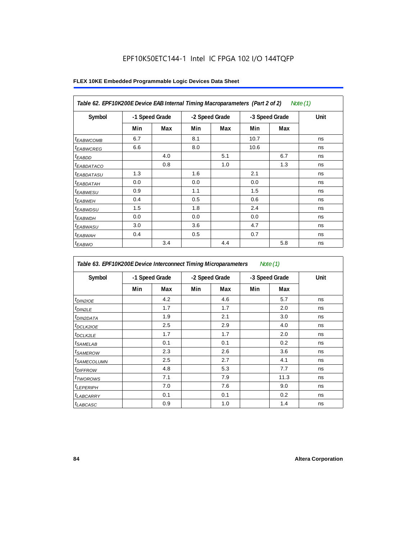| Table 62. EPF10K200E Device EAB Internal Timing Macroparameters (Part 2 of 2)<br>Note (1) |     |                |                |     |                |     |      |  |
|-------------------------------------------------------------------------------------------|-----|----------------|----------------|-----|----------------|-----|------|--|
| Symbol                                                                                    |     | -1 Speed Grade | -2 Speed Grade |     | -3 Speed Grade |     | Unit |  |
|                                                                                           | Min | Max            | Min            | Max | Min            | Max |      |  |
| <sup>t</sup> EABWCOMB                                                                     | 6.7 |                | 8.1            |     | 10.7           |     | ns   |  |
| <sup>t</sup> EABWCREG                                                                     | 6.6 |                | 8.0            |     | 10.6           |     | ns   |  |
| <sup>t</sup> EABDD                                                                        |     | 4.0            |                | 5.1 |                | 6.7 | ns   |  |
| <i>EABDATACO</i>                                                                          |     | 0.8            |                | 1.0 |                | 1.3 | ns   |  |
| <sup>t</sup> EABDATASU                                                                    | 1.3 |                | 1.6            |     | 2.1            |     | ns   |  |
| <sup>t</sup> EABDATAH                                                                     | 0.0 |                | 0.0            |     | 0.0            |     | ns   |  |
| <sup>t</sup> EABWESU                                                                      | 0.9 |                | 1.1            |     | 1.5            |     | ns   |  |
| <sup>t</sup> EABWEH                                                                       | 0.4 |                | 0.5            |     | 0.6            |     | ns   |  |
| <sup>t</sup> EABWDSU                                                                      | 1.5 |                | 1.8            |     | 2.4            |     | ns   |  |
| <sup>t</sup> EABWDH                                                                       | 0.0 |                | 0.0            |     | 0.0            |     | ns   |  |
| <sup>t</sup> EABWASU                                                                      | 3.0 |                | 3.6            |     | 4.7            |     | ns   |  |
| <sup>t</sup> EABWAH                                                                       | 0.4 |                | 0.5            |     | 0.7            |     | ns   |  |
| $t_{EABWO}$                                                                               |     | 3.4            |                | 4.4 |                | 5.8 | ns   |  |

| Table 63. EPF10K200E Device Interconnect Timing Microparameters<br>Note $(1)$ |     |                |                |     |                |      |      |  |  |
|-------------------------------------------------------------------------------|-----|----------------|----------------|-----|----------------|------|------|--|--|
| Symbol                                                                        |     | -1 Speed Grade | -2 Speed Grade |     | -3 Speed Grade |      | Unit |  |  |
|                                                                               | Min | Max            | Min            | Max | Min            | Max  |      |  |  |
| $t_{DINZIOE}$                                                                 |     | 4.2            |                | 4.6 |                | 5.7  | ns   |  |  |
| t <sub>DIN2LE</sub>                                                           |     | 1.7            |                | 1.7 |                | 2.0  | ns   |  |  |
| <sup>t</sup> DIN2DATA                                                         |     | 1.9            |                | 2.1 |                | 3.0  | ns   |  |  |
| <sup>t</sup> DCLK2IOE                                                         |     | 2.5            |                | 2.9 |                | 4.0  | ns   |  |  |
| <sup>t</sup> DCLK2LE                                                          |     | 1.7            |                | 1.7 |                | 2.0  | ns   |  |  |
| <sup>t</sup> SAMELAB                                                          |     | 0.1            |                | 0.1 |                | 0.2  | ns   |  |  |
| <i>t</i> SAMEROW                                                              |     | 2.3            |                | 2.6 |                | 3.6  | ns   |  |  |
| <sup>t</sup> SAMECOLUMN                                                       |     | 2.5            |                | 2.7 |                | 4.1  | ns   |  |  |
| <sup>t</sup> DIFFROW                                                          |     | 4.8            |                | 5.3 |                | 7.7  | ns   |  |  |
| <sup>t</sup> TWOROWS                                                          |     | 7.1            |                | 7.9 |                | 11.3 | ns   |  |  |
| <sup>t</sup> LEPERIPH                                                         |     | 7.0            |                | 7.6 |                | 9.0  | ns   |  |  |
| <sup>t</sup> LABCARRY                                                         |     | 0.1            |                | 0.1 |                | 0.2  | ns   |  |  |
| t <sub>LABCASC</sub>                                                          |     | 0.9            |                | 1.0 |                | 1.4  | ns   |  |  |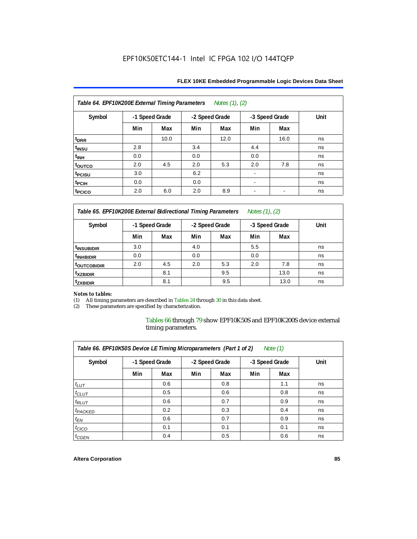| Table 64. EPF10K200E External Timing Parameters Notes (1), (2) |                |      |     |                |                          |                          |      |  |  |
|----------------------------------------------------------------|----------------|------|-----|----------------|--------------------------|--------------------------|------|--|--|
| Symbol                                                         | -1 Speed Grade |      |     | -2 Speed Grade |                          | -3 Speed Grade           | Unit |  |  |
|                                                                | Min            | Max  | Min | Max            | Min                      | Max                      |      |  |  |
| t <sub>DRR</sub>                                               |                | 10.0 |     | 12.0           |                          | 16.0                     | ns   |  |  |
| t <sub>INSU</sub>                                              | 2.8            |      | 3.4 |                | 4.4                      |                          | ns   |  |  |
| $t_{\text{INH}}$                                               | 0.0            |      | 0.0 |                | 0.0                      |                          | ns   |  |  |
| toutco                                                         | 2.0            | 4.5  | 2.0 | 5.3            | 2.0                      | 7.8                      | ns   |  |  |
| t <sub>PCISU</sub>                                             | 3.0            |      | 6.2 |                |                          |                          | ns   |  |  |
| t <sub>PCIH</sub>                                              | 0.0            |      | 0.0 |                | ۰                        |                          | ns   |  |  |
| t <sub>PCICO</sub>                                             | 2.0            | 6.0  | 2.0 | 8.9            | $\overline{\phantom{a}}$ | $\overline{\phantom{a}}$ | ns   |  |  |

*Table 65. EPF10K200E External Bidirectional Timing Parameters Notes (1), (2)*

| Symbol                  | -1 Speed Grade |     | -2 Speed Grade |     | -3 Speed Grade |      | Unit |  |
|-------------------------|----------------|-----|----------------|-----|----------------|------|------|--|
|                         | Min            | Max | Min            | Max | Min            | Max  |      |  |
| <sup>t</sup> INSUBIDIR  | 3.0            |     | 4.0            |     | 5.5            |      | ns   |  |
| <sup>t</sup> INHBIDIR   | 0.0            |     | 0.0            |     | 0.0            |      | ns   |  |
| <sup>T</sup> OUTCOBIDIR | 2.0            | 4.5 | 2.0            | 5.3 | 2.0            | 7.8  | ns   |  |
| <sup>t</sup> xzbidir    |                | 8.1 |                | 9.5 |                | 13.0 | ns   |  |
| <sup>T</sup> ZXBIDIR    |                | 8.1 |                | 9.5 |                | 13.0 | ns   |  |

# *Notes to tables:*

(1) All timing parameters are described in Tables 24 through 30 in this data sheet.<br>(2) These parameters are specified by characterization.

These parameters are specified by characterization.

Tables 66 through 79 show EPF10K50S and EPF10K200S device external timing parameters.

| Table 66. EPF10K50S Device LE Timing Microparameters (Part 1 of 2)<br>Note $(1)$ |     |                |     |                |     |                |      |  |  |
|----------------------------------------------------------------------------------|-----|----------------|-----|----------------|-----|----------------|------|--|--|
| Symbol                                                                           |     | -1 Speed Grade |     | -2 Speed Grade |     | -3 Speed Grade | Unit |  |  |
|                                                                                  | Min | Max            | Min | Max            | Min | Max            |      |  |  |
| $t_{LUT}$                                                                        |     | 0.6            |     | 0.8            |     | 1.1            | ns   |  |  |
| $t_{CLUT}$                                                                       |     | 0.5            |     | 0.6            |     | 0.8            | ns   |  |  |
| $t_{RLUT}$                                                                       |     | 0.6            |     | 0.7            |     | 0.9            | ns   |  |  |
| <sup>t</sup> PACKED                                                              |     | 0.2            |     | 0.3            |     | 0.4            | ns   |  |  |
| $t_{EN}$                                                                         |     | 0.6            |     | 0.7            |     | 0.9            | ns   |  |  |
| $t_{CICO}$                                                                       |     | 0.1            |     | 0.1            |     | 0.1            | ns   |  |  |
| $t_{GEN}$                                                                        |     | 0.4            |     | 0.5            |     | 0.6            | ns   |  |  |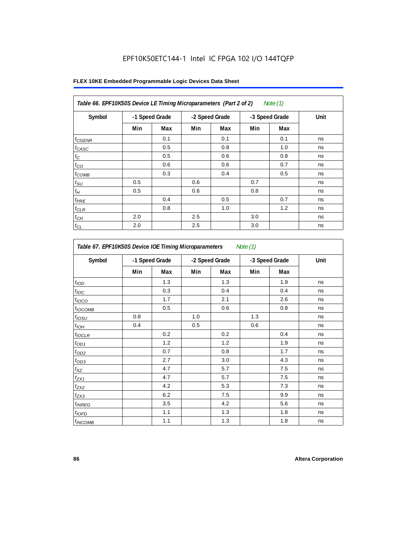| Table 66. EPF10K50S Device LE Timing Microparameters (Part 2 of 2)<br>Note (1) |     |                |     |                |     |                |      |  |
|--------------------------------------------------------------------------------|-----|----------------|-----|----------------|-----|----------------|------|--|
| Symbol                                                                         |     | -1 Speed Grade |     | -2 Speed Grade |     | -3 Speed Grade | Unit |  |
|                                                                                | Min | Max            | Min | Max            | Min | Max            |      |  |
| $t_{GENR}$                                                                     |     | 0.1            |     | 0.1            |     | 0.1            | ns   |  |
| $t_{CASC}$                                                                     |     | 0.5            |     | 0.8            |     | 1.0            | ns   |  |
| $t_{\rm C}$                                                                    |     | 0.5            |     | 0.6            |     | 0.8            | ns   |  |
| $t_{CO}$                                                                       |     | 0.6            |     | 0.6            |     | 0.7            | ns   |  |
| $t_{COMB}$                                                                     |     | 0.3            |     | 0.4            |     | 0.5            | ns   |  |
| $t_{\text{SU}}$                                                                | 0.5 |                | 0.6 |                | 0.7 |                | ns   |  |
| $t_H\,$                                                                        | 0.5 |                | 0.6 |                | 0.8 |                | ns   |  |
| $t_{PRE}$                                                                      |     | 0.4            |     | 0.5            |     | 0.7            | ns   |  |
| $t_{CLR}$                                                                      |     | 0.8            |     | 1.0            |     | 1.2            | ns   |  |
| $t_{\mathit{CH}}$                                                              | 2.0 |                | 2.5 |                | 3.0 |                | ns   |  |
| $t_{CL}$                                                                       | 2.0 |                | 2.5 |                | 3.0 |                | ns   |  |

| Table 67. EPF10K50S Device IOE Timing Microparameters<br>Note (1) |     |                |     |                |     |                |      |  |  |
|-------------------------------------------------------------------|-----|----------------|-----|----------------|-----|----------------|------|--|--|
| Symbol                                                            |     | -1 Speed Grade |     | -2 Speed Grade |     | -3 Speed Grade | Unit |  |  |
|                                                                   | Min | Max            | Min | Max            | Min | Max            |      |  |  |
| t <sub>IOD</sub>                                                  |     | 1.3            |     | 1.3            |     | 1.9            | ns   |  |  |
| $t_{\text{IOC}}$                                                  |     | 0.3            |     | 0.4            |     | 0.4            | ns   |  |  |
| t <sub>IOCO</sub>                                                 |     | 1.7            |     | 2.1            |     | 2.6            | ns   |  |  |
| $t_{IOCOMB}$                                                      |     | 0.5            |     | 0.6            |     | 0.8            | ns   |  |  |
| t <sub>iosu</sub>                                                 | 0.8 |                | 1.0 |                | 1.3 |                | ns   |  |  |
| $t_{IOM}$                                                         | 0.4 |                | 0.5 |                | 0.6 |                | ns   |  |  |
| $t_{IOCLR}$                                                       |     | 0.2            |     | 0.2            |     | 0.4            | ns   |  |  |
| $t_{OD1}$                                                         |     | 1.2            |     | 1.2            |     | 1.9            | ns   |  |  |
| $t_{OD2}$                                                         |     | 0.7            |     | 0.8            |     | 1.7            | ns   |  |  |
| $t_{OD3}$                                                         |     | 2.7            |     | 3.0            |     | 4.3            | ns   |  |  |
| $t_{\mathsf{XZ}}$                                                 |     | 4.7            |     | 5.7            |     | 7.5            | ns   |  |  |
| $t_{ZX1}$                                                         |     | 4.7            |     | 5.7            |     | 7.5            | ns   |  |  |
| $t_{ZX2}$                                                         |     | 4.2            |     | 5.3            |     | 7.3            | ns   |  |  |
| $t_{ZX3}$                                                         |     | 6.2            |     | 7.5            |     | 9.9            | ns   |  |  |
| <i>t</i> <sub>INREG</sub>                                         |     | 3.5            |     | 4.2            |     | 5.6            | ns   |  |  |
| $t_{IOFD}$                                                        |     | 1.1            |     | 1.3            |     | 1.8            | ns   |  |  |
| $t_{INCOMB}$                                                      |     | 1.1            |     | 1.3            |     | 1.8            | ns   |  |  |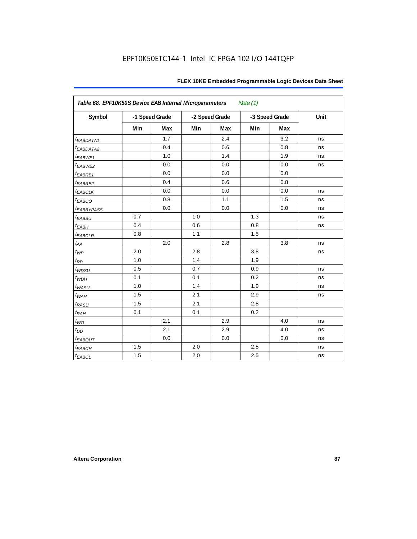| Table 68. EPF10K50S Device EAB Internal Microparameters<br>Note $(1)$ |                |     |     |                |     |                |      |  |  |
|-----------------------------------------------------------------------|----------------|-----|-----|----------------|-----|----------------|------|--|--|
| Symbol                                                                | -1 Speed Grade |     |     | -2 Speed Grade |     | -3 Speed Grade | Unit |  |  |
|                                                                       | Min            | Max | Min | Max            | Min | Max            |      |  |  |
| t <sub>EABDATA1</sub>                                                 |                | 1.7 |     | 2.4            |     | 3.2            | ns   |  |  |
| t <sub>EABDATA2</sub>                                                 |                | 0.4 |     | 0.6            |     | 0.8            | ns   |  |  |
| $t_{EABWE1}$                                                          |                | 1.0 |     | 1.4            |     | 1.9            | ns   |  |  |
| t <sub>EABWE2</sub>                                                   |                | 0.0 |     | 0.0            |     | 0.0            | ns   |  |  |
| $t_{EABRE1}$                                                          |                | 0.0 |     | 0.0            |     | 0.0            |      |  |  |
| t <sub>EABRE2</sub>                                                   |                | 0.4 |     | 0.6            |     | 0.8            |      |  |  |
| <b><i>EABCLK</i></b>                                                  |                | 0.0 |     | 0.0            |     | 0.0            | ns   |  |  |
| $t_{EABCO}$                                                           |                | 0.8 |     | 1.1            |     | 1.5            | ns   |  |  |
| <b><i>EABBYPASS</i></b>                                               |                | 0.0 |     | 0.0            |     | 0.0            | ns   |  |  |
| $t_{EABSU}$                                                           | 0.7            |     | 1.0 |                | 1.3 |                | ns   |  |  |
| $t_{EABH}$                                                            | 0.4            |     | 0.6 |                | 0.8 |                | ns   |  |  |
| $t_{EABCLR}$                                                          | 0.8            |     | 1.1 |                | 1.5 |                |      |  |  |
| $t_{AA}$                                                              |                | 2.0 |     | 2.8            |     | 3.8            | ns   |  |  |
| $t_{WP}$                                                              | 2.0            |     | 2.8 |                | 3.8 |                | ns   |  |  |
| $t_{\!R\!P}$                                                          | 1.0            |     | 1.4 |                | 1.9 |                |      |  |  |
| $t_{WDSU}$                                                            | 0.5            |     | 0.7 |                | 0.9 |                | ns   |  |  |
| $t_{WDH}$                                                             | 0.1            |     | 0.1 |                | 0.2 |                | ns   |  |  |
| $t_{WASU}$                                                            | 1.0            |     | 1.4 |                | 1.9 |                | ns   |  |  |
| $t_{W\!AH}$                                                           | 1.5            |     | 2.1 |                | 2.9 |                | ns   |  |  |
| $t_{RASU}$                                                            | 1.5            |     | 2.1 |                | 2.8 |                |      |  |  |
| $t_{RAH}$                                                             | 0.1            |     | 0.1 |                | 0.2 |                |      |  |  |
| $t_{WO}$                                                              |                | 2.1 |     | 2.9            |     | 4.0            | ns   |  |  |
| $t_{DD}$                                                              |                | 2.1 |     | 2.9            |     | 4.0            | ns   |  |  |
| $t_{EABOUT}$                                                          |                | 0.0 |     | 0.0            |     | 0.0            | ns   |  |  |
| $t_{EABCH}$                                                           | 1.5            |     | 2.0 |                | 2.5 |                | ns   |  |  |
| $t_{EABCL}$                                                           | 1.5            |     | 2.0 |                | 2.5 |                | ns   |  |  |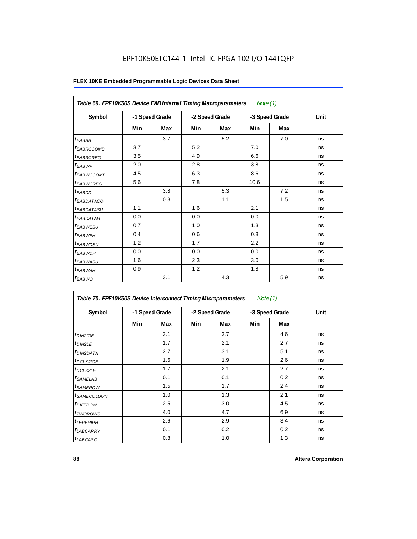| Table 69. EPF10K50S Device EAB Internal Timing Macroparameters |     |                |     |                | Note $(1)$ |                |      |
|----------------------------------------------------------------|-----|----------------|-----|----------------|------------|----------------|------|
| Symbol                                                         |     | -1 Speed Grade |     | -2 Speed Grade |            | -3 Speed Grade | Unit |
|                                                                | Min | Max            | Min | Max            | Min        | Max            |      |
| <sup>t</sup> EABAA                                             |     | 3.7            |     | 5.2            |            | 7.0            | ns   |
| <sup>I</sup> EABRCCOMB                                         | 3.7 |                | 5.2 |                | 7.0        |                | ns   |
| <sup>t</sup> EABRCREG                                          | 3.5 |                | 4.9 |                | 6.6        |                | ns   |
| t <sub>EABWP</sub>                                             | 2.0 |                | 2.8 |                | 3.8        |                | ns   |
| <sup>t</sup> ЕАВWССОМВ                                         | 4.5 |                | 6.3 |                | 8.6        |                | ns   |
| <sup>t</sup> EABWCREG                                          | 5.6 |                | 7.8 |                | 10.6       |                | ns   |
| <sup>t</sup> EABDD                                             |     | 3.8            |     | 5.3            |            | 7.2            | ns   |
| <sup>t</sup> EABDATACO                                         |     | 0.8            |     | 1.1            |            | 1.5            | ns   |
| <sup>t</sup> EABDATASU                                         | 1.1 |                | 1.6 |                | 2.1        |                | ns   |
| <sup>t</sup> EABDATAH                                          | 0.0 |                | 0.0 |                | 0.0        |                | ns   |
| <sup>I</sup> EABWESU                                           | 0.7 |                | 1.0 |                | 1.3        |                | ns   |
| <sup>t</sup> EABWEH                                            | 0.4 |                | 0.6 |                | 0.8        |                | ns   |
| <sup>t</sup> EABWDSU                                           | 1.2 |                | 1.7 |                | 2.2        |                | ns   |
| <sup>t</sup> EABWDH                                            | 0.0 |                | 0.0 |                | 0.0        |                | ns   |
| <sup>t</sup> EABWASU                                           | 1.6 |                | 2.3 |                | 3.0        |                | ns   |
| <sup>t</sup> EABWAH                                            | 0.9 |                | 1.2 |                | 1.8        |                | ns   |
| $t_{EABWO}$                                                    |     | 3.1            |     | 4.3            |            | 5.9            | ns   |

| Table 70. EPF10K50S Device Interconnect Timing Microparameters<br>Note $(1)$ |                |     |                |     |                |     |      |  |  |  |
|------------------------------------------------------------------------------|----------------|-----|----------------|-----|----------------|-----|------|--|--|--|
| Symbol                                                                       | -1 Speed Grade |     | -2 Speed Grade |     | -3 Speed Grade |     | Unit |  |  |  |
|                                                                              | Min            | Max | Min            | Max | Min            | Max |      |  |  |  |
| $t_{DIN2IOE}$                                                                |                | 3.1 |                | 3.7 |                | 4.6 | ns   |  |  |  |
| <sup>t</sup> DIN2LE                                                          |                | 1.7 |                | 2.1 |                | 2.7 | ns   |  |  |  |
| <sup>t</sup> DIN2DATA                                                        |                | 2.7 |                | 3.1 |                | 5.1 | ns   |  |  |  |
| <sup>t</sup> DCLK2IOE                                                        |                | 1.6 |                | 1.9 |                | 2.6 | ns   |  |  |  |
| <sup>t</sup> DCLK2LE                                                         |                | 1.7 |                | 2.1 |                | 2.7 | ns   |  |  |  |
| <sup>t</sup> SAMELAB                                                         |                | 0.1 |                | 0.1 |                | 0.2 | ns   |  |  |  |
| <sup>t</sup> SAMEROW                                                         |                | 1.5 |                | 1.7 |                | 2.4 | ns   |  |  |  |
| <sup>t</sup> SAMECOLUMN                                                      |                | 1.0 |                | 1.3 |                | 2.1 | ns   |  |  |  |
| <i>t<sub>DIFFROW</sub></i>                                                   |                | 2.5 |                | 3.0 |                | 4.5 | ns   |  |  |  |
| <sup>t</sup> TWOROWS                                                         |                | 4.0 |                | 4.7 |                | 6.9 | ns   |  |  |  |
| <sup>t</sup> LEPERIPH                                                        |                | 2.6 |                | 2.9 |                | 3.4 | ns   |  |  |  |
| <sup>t</sup> LABCARRY                                                        |                | 0.1 |                | 0.2 |                | 0.2 | ns   |  |  |  |
| <sup>t</sup> LABCASC                                                         |                | 0.8 |                | 1.0 |                | 1.3 | ns   |  |  |  |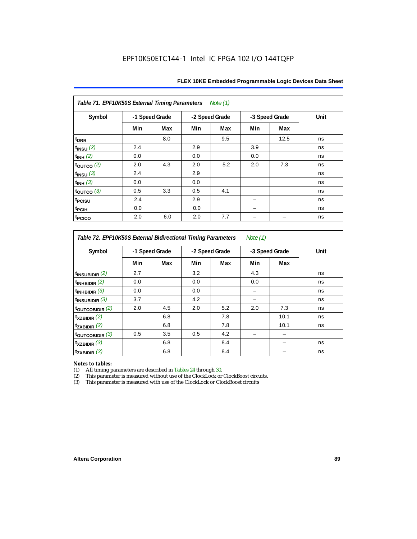| Table 71. EPF10K50S External Timing Parameters Note (1) |                |     |     |                |     |                |      |  |  |  |  |
|---------------------------------------------------------|----------------|-----|-----|----------------|-----|----------------|------|--|--|--|--|
| Symbol                                                  | -1 Speed Grade |     |     | -2 Speed Grade |     | -3 Speed Grade | Unit |  |  |  |  |
|                                                         | Min            | Max | Min | Max            | Min | Max            |      |  |  |  |  |
| t <sub>DRR</sub>                                        |                | 8.0 |     | 9.5            |     | 12.5           | ns   |  |  |  |  |
| $t_{INSU}$ (2)                                          | 2.4            |     | 2.9 |                | 3.9 |                | ns   |  |  |  |  |
| $t_{INH}$ (2)                                           | 0.0            |     | 0.0 |                | 0.0 |                | ns   |  |  |  |  |
| $t_{OUTCO}$ (2)                                         | 2.0            | 4.3 | 2.0 | 5.2            | 2.0 | 7.3            | ns   |  |  |  |  |
| $t_{INSU}$ (3)                                          | 2.4            |     | 2.9 |                |     |                | ns   |  |  |  |  |
| $t_{INH}$ (3)                                           | 0.0            |     | 0.0 |                |     |                | ns   |  |  |  |  |
| $t_{\text{OUTCO}}$ (3)                                  | 0.5            | 3.3 | 0.5 | 4.1            |     |                | ns   |  |  |  |  |
| t <sub>PCISU</sub>                                      | 2.4            |     | 2.9 |                |     |                | ns   |  |  |  |  |
| <sup>t</sup> PCIH                                       | 0.0            |     | 0.0 |                |     |                | ns   |  |  |  |  |
| t <sub>PCICO</sub>                                      | 2.0            | 6.0 | 2.0 | 7.7            |     |                | ns   |  |  |  |  |

*Table 72. EPF10K50S External Bidirectional Timing Parameters Note (1)*

| Symbol              |     | -1 Speed Grade |     | -2 Speed Grade |     | -3 Speed Grade | Unit |
|---------------------|-----|----------------|-----|----------------|-----|----------------|------|
|                     | Min | Max            | Min | Max            | Min | Max            |      |
| $t_{INSUBIDIR}$ (2) | 2.7 |                | 3.2 |                | 4.3 |                | ns   |
| $t_{INHBIDIR}$ (2)  | 0.0 |                | 0.0 |                | 0.0 |                | ns   |
| $t_{INHBIDIR}$ (3)  | 0.0 |                | 0.0 |                | -   |                | ns   |
| $t_{INSUBIDIR}$ (3) | 3.7 |                | 4.2 |                | -   |                | ns   |
| toutcobidir $(2)$   | 2.0 | 4.5            | 2.0 | 5.2            | 2.0 | 7.3            | ns   |
| $t_{XZBIDIR}$ $(2)$ |     | 6.8            |     | 7.8            |     | 10.1           | ns   |
| $t_{ZXBIDIR}$ (2)   |     | 6.8            |     | 7.8            |     | 10.1           | ns   |
| toutcobidir $(3)$   | 0.5 | 3.5            | 0.5 | 4.2            |     |                |      |
| $t_{XZBIDIR}$ (3)   |     | 6.8            |     | 8.4            |     |                | ns   |
| $t_{ZXBIDIR}$ (3)   |     | 6.8            |     | 8.4            |     |                | ns   |

*Notes to tables:* All timing parameters are described in Tables 24 through 30.

(2) This parameter is measured without use of the ClockLock or ClockBoost circuits.<br>(3) This parameter is measured with use of the ClockLock or ClockBoost circuits

This parameter is measured with use of the ClockLock or ClockBoost circuits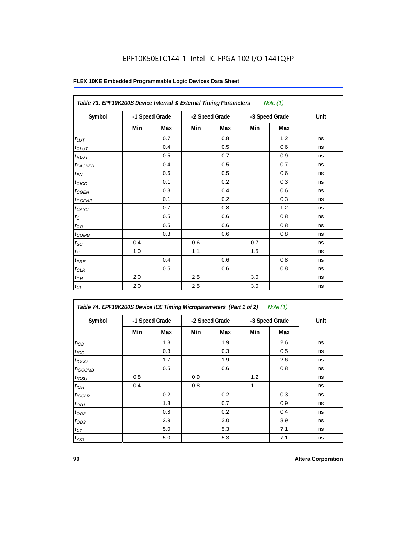|                     | Table 73. EPF10K200S Device Internal & External Timing Parameters<br>Note $(1)$ |     |                |     |                |     |      |  |  |  |  |
|---------------------|---------------------------------------------------------------------------------|-----|----------------|-----|----------------|-----|------|--|--|--|--|
| Symbol              | -1 Speed Grade                                                                  |     | -2 Speed Grade |     | -3 Speed Grade |     | Unit |  |  |  |  |
|                     | Min                                                                             | Max | Min            | Max | Min            | Max |      |  |  |  |  |
| $t_{LUT}$           |                                                                                 | 0.7 |                | 0.8 |                | 1.2 | ns   |  |  |  |  |
| $t_{CLUT}$          |                                                                                 | 0.4 |                | 0.5 |                | 0.6 | ns   |  |  |  |  |
| $t_{RLUT}$          |                                                                                 | 0.5 |                | 0.7 |                | 0.9 | ns   |  |  |  |  |
| t <sub>PACKED</sub> |                                                                                 | 0.4 |                | 0.5 |                | 0.7 | ns   |  |  |  |  |
| $t_{EN}$            |                                                                                 | 0.6 |                | 0.5 |                | 0.6 | ns   |  |  |  |  |
| $t_{CICO}$          |                                                                                 | 0.1 |                | 0.2 |                | 0.3 | ns   |  |  |  |  |
| $t_{CGEN}$          |                                                                                 | 0.3 |                | 0.4 |                | 0.6 | ns   |  |  |  |  |
| $t_{\text{GENR}}$   |                                                                                 | 0.1 |                | 0.2 |                | 0.3 | ns   |  |  |  |  |
| $t_{CASC}$          |                                                                                 | 0.7 |                | 0.8 |                | 1.2 | ns   |  |  |  |  |
| $t_{\rm C}$         |                                                                                 | 0.5 |                | 0.6 |                | 0.8 | ns   |  |  |  |  |
| $t_{CO}$            |                                                                                 | 0.5 |                | 0.6 |                | 0.8 | ns   |  |  |  |  |
| $t_{COMB}$          |                                                                                 | 0.3 |                | 0.6 |                | 0.8 | ns   |  |  |  |  |
| $t_{\rm SU}$        | 0.4                                                                             |     | 0.6            |     | 0.7            |     | ns   |  |  |  |  |
| $t_H\,$             | 1.0                                                                             |     | 1.1            |     | 1.5            |     | ns   |  |  |  |  |
| $t_{PRE}$           |                                                                                 | 0.4 |                | 0.6 |                | 0.8 | ns   |  |  |  |  |
| $t_{CLR}$           |                                                                                 | 0.5 |                | 0.6 |                | 0.8 | ns   |  |  |  |  |
| $t_{CH}$            | 2.0                                                                             |     | 2.5            |     | 3.0            |     | ns   |  |  |  |  |
| $t_{CL}$            | 2.0                                                                             |     | 2.5            |     | 3.0            |     | ns   |  |  |  |  |

| Table 74. EPF10K200S Device IOE Timing Microparameters (Part 1 of 2) Note (1) |  |  |  |
|-------------------------------------------------------------------------------|--|--|--|
|-------------------------------------------------------------------------------|--|--|--|

| Symbol           | -1 Speed Grade |     | -2 Speed Grade |     | -3 Speed Grade |     | Unit |
|------------------|----------------|-----|----------------|-----|----------------|-----|------|
|                  | Min            | Max | Min            | Max | Min            | Max |      |
| t <sub>IOD</sub> |                | 1.8 |                | 1.9 |                | 2.6 | ns   |
| $t_{\text{IOC}}$ |                | 0.3 |                | 0.3 |                | 0.5 | ns   |
| $t_{IOCO}$       |                | 1.7 |                | 1.9 |                | 2.6 | ns   |
| $t_{IOCOMB}$     |                | 0.5 |                | 0.6 |                | 0.8 | ns   |
| $t_{IOSU}$       | 0.8            |     | 0.9            |     | 1.2            |     | ns   |
| $t_{IOH}$        | 0.4            |     | 0.8            |     | 1.1            |     | ns   |
| $t_{IOCLR}$      |                | 0.2 |                | 0.2 |                | 0.3 | ns   |
| $t_{OD1}$        |                | 1.3 |                | 0.7 |                | 0.9 | ns   |
| $t_{OD2}$        |                | 0.8 |                | 0.2 |                | 0.4 | ns   |
| $t_{OD3}$        |                | 2.9 |                | 3.0 |                | 3.9 | ns   |
| $t_{XZ}$         |                | 5.0 |                | 5.3 |                | 7.1 | ns   |
| $t_{ZX1}$        |                | 5.0 |                | 5.3 |                | 7.1 | ns   |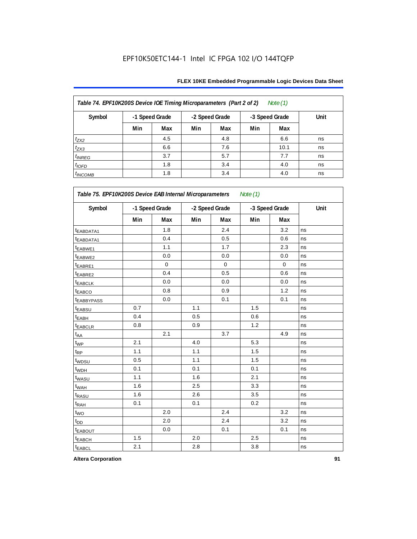| Table 74. EPF10K200S Device IOE Timing Microparameters (Part 2 of 2)<br>Note $(1)$ |                |     |                |     |                |      |      |  |  |  |  |
|------------------------------------------------------------------------------------|----------------|-----|----------------|-----|----------------|------|------|--|--|--|--|
| Symbol                                                                             | -1 Speed Grade |     | -2 Speed Grade |     | -3 Speed Grade |      | Unit |  |  |  |  |
|                                                                                    | Min            | Max | Min            | Max | Min            | Max  |      |  |  |  |  |
| $t_{ZX2}$                                                                          |                | 4.5 |                | 4.8 |                | 6.6  | ns   |  |  |  |  |
| $t_{ZX3}$                                                                          |                | 6.6 |                | 7.6 |                | 10.1 | ns   |  |  |  |  |
| $t_{INREG}$                                                                        |                | 3.7 |                | 5.7 |                | 7.7  | ns   |  |  |  |  |
| $t_{IOFD}$                                                                         |                | 1.8 |                | 3.4 |                | 4.0  | ns   |  |  |  |  |
| $t_{INCOMB}$                                                                       |                | 1.8 |                | 3.4 |                | 4.0  | ns   |  |  |  |  |

| Symbol                | -1 Speed Grade |             | -2 Speed Grade |             | -3 Speed Grade |             | Unit |
|-----------------------|----------------|-------------|----------------|-------------|----------------|-------------|------|
|                       | Min            | Max         | Min            | Max         | Min            | Max         |      |
| t <sub>EABDATA1</sub> |                | 1.8         |                | 2.4         |                | 3.2         | ns   |
| t <sub>EABDATA1</sub> |                | 0.4         |                | 0.5         |                | 0.6         | ns   |
| t <sub>EABWE1</sub>   |                | 1.1         |                | 1.7         |                | 2.3         | ns   |
| t <sub>EABWE2</sub>   |                | 0.0         |                | 0.0         |                | 0.0         | ns   |
| t <sub>EABRE1</sub>   |                | $\mathbf 0$ |                | $\mathbf 0$ |                | $\mathbf 0$ | ns   |
| t <sub>EABRE2</sub>   |                | 0.4         |                | 0.5         |                | 0.6         | ns   |
| <b><i>EABCLK</i></b>  |                | 0.0         |                | 0.0         |                | 0.0         | ns   |
| t <sub>EABCO</sub>    |                | 0.8         |                | 0.9         |                | 1.2         | ns   |
| <b>EABBYPASS</b>      |                | 0.0         |                | 0.1         |                | 0.1         | ns   |
| <sup>t</sup> EABSU    | 0.7            |             | 1.1            |             | 1.5            |             | ns   |
| t <sub>EABH</sub>     | 0.4            |             | 0.5            |             | 0.6            |             | ns   |
| t <sub>EABCLR</sub>   | 0.8            |             | 0.9            |             | 1.2            |             | ns   |
| $t_{AA}$              |                | 2.1         |                | 3.7         |                | 4.9         | ns   |
| $t_{WP}$              | 2.1            |             | 4.0            |             | 5.3            |             | ns   |
| $t_{\mathsf{RP}}$     | 1.1            |             | 1.1            |             | 1.5            |             | ns   |
| t <sub>WDSU</sub>     | 0.5            |             | 1.1            |             | 1.5            |             | ns   |
| t <sub>WDH</sub>      | 0.1            |             | 0.1            |             | 0.1            |             | ns   |
| twasu                 | 1.1            |             | 1.6            |             | 2.1            |             | ns   |
| t <sub>WAH</sub>      | 1.6            |             | 2.5            |             | 3.3            |             | ns   |
| t <sub>RASU</sub>     | 1.6            |             | 2.6            |             | 3.5            |             | ns   |
| t <sub>RAH</sub>      | 0.1            |             | 0.1            |             | 0.2            |             | ns   |
| $t_{WO}$              |                | 2.0         |                | 2.4         |                | 3.2         | ns   |
| $t_{DD}$              |                | 2.0         |                | 2.4         |                | 3.2         | ns   |
| <b><i>EABOUT</i></b>  |                | 0.0         |                | 0.1         |                | 0.1         | ns   |
| t <sub>EABCH</sub>    | 1.5            |             | 2.0            |             | 2.5            |             | ns   |
| $t_{EABCL}$           | 2.1            |             | 2.8            |             | 3.8            |             | ns   |

**Altera Corporation 91**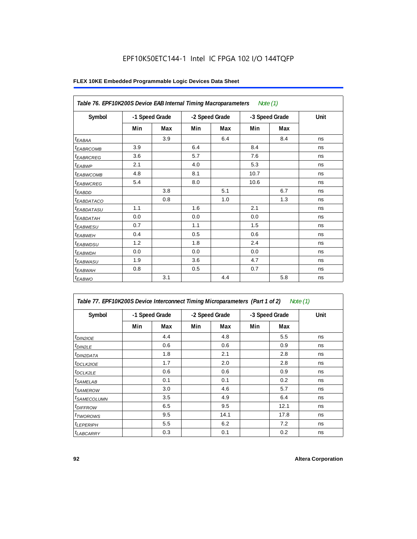|                               | Table 76. EPF10K200S Device EAB Internal Timing Macroparameters Note (1) |     |                |     |                |     |      |  |  |  |  |
|-------------------------------|--------------------------------------------------------------------------|-----|----------------|-----|----------------|-----|------|--|--|--|--|
| Symbol                        | -1 Speed Grade                                                           |     | -2 Speed Grade |     | -3 Speed Grade |     | Unit |  |  |  |  |
|                               | Min                                                                      | Max | Min            | Max | Min            | Max |      |  |  |  |  |
| $t_{EABA}$                    |                                                                          | 3.9 |                | 6.4 |                | 8.4 | ns   |  |  |  |  |
| <sup>t</sup> EA <u>BRCOMB</u> | 3.9                                                                      |     | 6.4            |     | 8.4            |     | ns   |  |  |  |  |
| <sup>t</sup> EABRCREG         | 3.6                                                                      |     | 5.7            |     | 7.6            |     | ns   |  |  |  |  |
| $t_{EABWP}$                   | 2.1                                                                      |     | 4.0            |     | 5.3            |     | ns   |  |  |  |  |
| <sup>t</sup> EABWCOMB         | 4.8                                                                      |     | 8.1            |     | 10.7           |     | ns   |  |  |  |  |
| t <sub>EABWCREG</sub>         | 5.4                                                                      |     | 8.0            |     | 10.6           |     | ns   |  |  |  |  |
| $t_{EABDD}$                   |                                                                          | 3.8 |                | 5.1 |                | 6.7 | ns   |  |  |  |  |
| <i>EABDATACO</i>              |                                                                          | 0.8 |                | 1.0 |                | 1.3 | ns   |  |  |  |  |
| <i>t<sub>EABDATASU</sub></i>  | 1.1                                                                      |     | 1.6            |     | 2.1            |     | ns   |  |  |  |  |
| <sup>t</sup> EABDATAH         | 0.0                                                                      |     | 0.0            |     | 0.0            |     | ns   |  |  |  |  |
| <sup>t</sup> EABWESU          | 0.7                                                                      |     | 1.1            |     | 1.5            |     | ns   |  |  |  |  |
| <sup>t</sup> EABWEH           | 0.4                                                                      |     | 0.5            |     | 0.6            |     | ns   |  |  |  |  |
| t <sub>EABWDSU</sub>          | 1.2                                                                      |     | 1.8            |     | 2.4            |     | ns   |  |  |  |  |
| <sup>t</sup> EABWDH           | 0.0                                                                      |     | 0.0            |     | 0.0            |     | ns   |  |  |  |  |
| <sup>t</sup> EABWASU          | 1.9                                                                      |     | 3.6            |     | 4.7            |     | ns   |  |  |  |  |
| t <sub>EABWAH</sub>           | 0.8                                                                      |     | 0.5            |     | 0.7            |     | ns   |  |  |  |  |
| $t_{EABWO}$                   |                                                                          | 3.1 |                | 4.4 |                | 5.8 | ns   |  |  |  |  |

| Table 77. EPF10K200S Device Interconnect Timing Microparameters (Part 1 of 2)<br>Note (1) |     |                |     |                |     |                |      |  |  |  |
|-------------------------------------------------------------------------------------------|-----|----------------|-----|----------------|-----|----------------|------|--|--|--|
| Symbol                                                                                    |     | -1 Speed Grade |     | -2 Speed Grade |     | -3 Speed Grade | Unit |  |  |  |
|                                                                                           | Min | Max            | Min | Max            | Min | Max            |      |  |  |  |
| <i>t<sub>DIN2IOE</sub></i>                                                                |     | 4.4            |     | 4.8            |     | 5.5            | ns   |  |  |  |
| $t_{DIN2LE}$                                                                              |     | 0.6            |     | 0.6            |     | 0.9            | ns   |  |  |  |
| <sup>t</sup> DIN2DATA                                                                     |     | 1.8            |     | 2.1            |     | 2.8            | ns   |  |  |  |
| <sup>t</sup> DCLK2IOE                                                                     |     | 1.7            |     | 2.0            |     | 2.8            | ns   |  |  |  |
| <sup>t</sup> DCLK2LE                                                                      |     | 0.6            |     | 0.6            |     | 0.9            | ns   |  |  |  |
| <sup>t</sup> SAMELAB                                                                      |     | 0.1            |     | 0.1            |     | 0.2            | ns   |  |  |  |
| <sup>t</sup> SAMEROW                                                                      |     | 3.0            |     | 4.6            |     | 5.7            | ns   |  |  |  |
| <sup>t</sup> SAMECOLUMN                                                                   |     | 3.5            |     | 4.9            |     | 6.4            | ns   |  |  |  |
| <sup>t</sup> DIFFROW                                                                      |     | 6.5            |     | 9.5            |     | 12.1           | ns   |  |  |  |
| <sup>t</sup> TWOROWS                                                                      |     | 9.5            |     | 14.1           |     | 17.8           | ns   |  |  |  |
| <sup>t</sup> LEPERIPH                                                                     |     | 5.5            |     | 6.2            |     | 7.2            | ns   |  |  |  |
| <b>LABCARRY</b>                                                                           |     | 0.3            |     | 0.1            |     | 0.2            | ns   |  |  |  |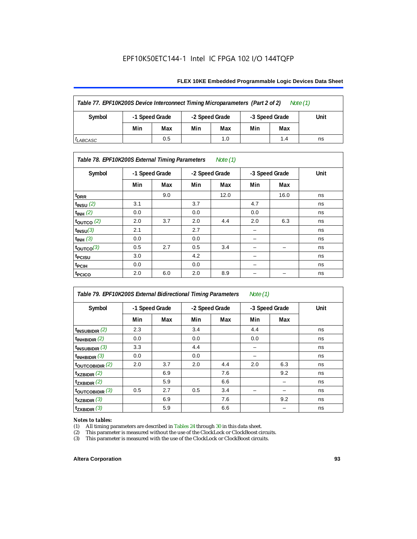#### **FLEX 10KE Embedded Programmable Logic Devices Data Sheet**

| Table 77. EPF10K200S Device Interconnect Timing Microparameters (Part 2 of 2)<br>Note $(1)$ |     |                                  |     |                |     |      |    |  |  |
|---------------------------------------------------------------------------------------------|-----|----------------------------------|-----|----------------|-----|------|----|--|--|
| Symbol                                                                                      |     | -1 Speed Grade<br>-2 Speed Grade |     | -3 Speed Grade |     | Unit |    |  |  |
|                                                                                             | Min | Max                              | Min | Max            | Min | Max  |    |  |  |
| <sup>I</sup> LABCASC                                                                        |     | 0.5                              |     | 1.0            |     | 1.4  | ns |  |  |

# *Table 78. EPF10K200S External Timing Parameters Note (1)*

| Symbol                | -1 Speed Grade |     | -2 Speed Grade |      | -3 Speed Grade |      | Unit |
|-----------------------|----------------|-----|----------------|------|----------------|------|------|
|                       | Min            | Max | Min            | Max  | Min            | Max  |      |
| t <sub>DRR</sub>      |                | 9.0 |                | 12.0 |                | 16.0 | ns   |
| $t_{INSU}$ (2)        | 3.1            |     | 3.7            |      | 4.7            |      | ns   |
| $t_{INH}$ (2)         | 0.0            |     | 0.0            |      | 0.0            |      | ns   |
| $t_{OUTCO}$ (2)       | 2.0            | 3.7 | 2.0            | 4.4  | 2.0            | 6.3  | ns   |
| $t_{INSU}(3)$         | 2.1            |     | 2.7            |      |                |      | ns   |
| $t_{INH}$ (3)         | 0.0            |     | 0.0            |      | -              |      | ns   |
| $t_{\text{OUTCO}}(3)$ | 0.5            | 2.7 | 0.5            | 3.4  | -              | -    | ns   |
| t <sub>PCISU</sub>    | 3.0            |     | 4.2            |      | -              |      | ns   |
| $t_{\rm{PCH}}$        | 0.0            |     | 0.0            |      | -              |      | ns   |
| t <sub>PCICO</sub>    | 2.0            | 6.0 | 2.0            | 8.9  |                |      | ns   |

| Table 79. EPF10K200S External Bidirectional Timing Parameters<br>Note $(1)$ |                |     |                |     |                |     |      |
|-----------------------------------------------------------------------------|----------------|-----|----------------|-----|----------------|-----|------|
| Symbol                                                                      | -1 Speed Grade |     | -2 Speed Grade |     | -3 Speed Grade |     | Unit |
|                                                                             | Min            | Max | Min            | Max | Min            | Max |      |
| $t_{\text{INSUBIDIR}}(2)$                                                   | 2.3            |     | 3.4            |     | 4.4            |     | ns   |
| $t_{INHBIDIR}$ (2)                                                          | 0.0            |     | 0.0            |     | 0.0            |     | ns   |
| $t_{INSUBIDIR}$ (3)                                                         | 3.3            |     | 4.4            |     |                |     | ns   |
| $t_{INHBIDIR}$ (3)                                                          | 0.0            |     | 0.0            |     |                |     | ns   |
| toutcobidir $(2)$                                                           | 2.0            | 3.7 | 2.0            | 4.4 | 2.0            | 6.3 | ns   |
| $t_{XZBIDIR}$ (2)                                                           |                | 6.9 |                | 7.6 |                | 9.2 | ns   |
| $t_{ZXBIDIR}$ (2)                                                           |                | 5.9 |                | 6.6 |                |     | ns   |
| $t_{\text{OUTC}OBIDIR}$ (3)                                                 | 0.5            | 2.7 | 0.5            | 3.4 |                |     | ns   |
| $t_{XZBIDIR}$ (3)                                                           |                | 6.9 |                | 7.6 |                | 9.2 | ns   |
| $t_{ZXBIDIR}$ (3)                                                           |                | 5.9 |                | 6.6 |                |     | ns   |

# *Notes to tables:*<br>(1) All timing p

(1) All timing parameters are described in Tables  $24$  through  $30$  in this data sheet.<br>
(2) This parameter is measured without the use of the ClockLock or ClockBoost ci

(2) This parameter is measured without the use of the ClockLock or ClockBoost circuits.<br>(3) This parameter is measured with the use of the ClockLock or ClockBoost circuits.

This parameter is measured with the use of the ClockLock or ClockBoost circuits.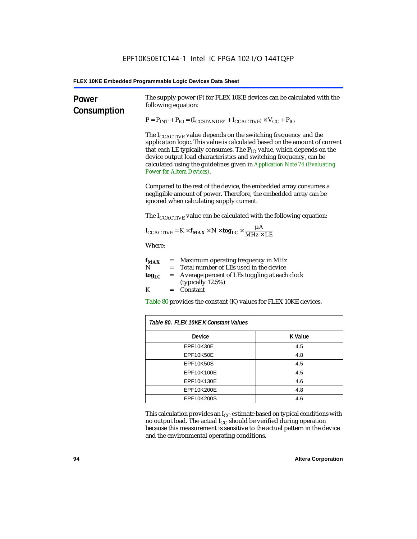| Power<br>Consumption | The supply power (P) for FLEX 10KE devices can be calculated with the<br>following equation:                                                                                                                                                                                                                                                                                                                                 |                |  |  |  |
|----------------------|------------------------------------------------------------------------------------------------------------------------------------------------------------------------------------------------------------------------------------------------------------------------------------------------------------------------------------------------------------------------------------------------------------------------------|----------------|--|--|--|
|                      | $P = P_{INT} + P_{IO} = (I_{COSTANDBY} + I_{CCACTIVE}) \times V_{CC} + P_{IO}$                                                                                                                                                                                                                                                                                                                                               |                |  |  |  |
|                      | The I <sub>CCACTIVE</sub> value depends on the switching frequency and the<br>application logic. This value is calculated based on the amount of current<br>that each LE typically consumes. The $P_{IO}$ value, which depends on the<br>device output load characteristics and switching frequency, can be<br>calculated using the guidelines given in Application Note 74 (Evaluating<br><b>Power for Altera Devices).</b> |                |  |  |  |
|                      | Compared to the rest of the device, the embedded array consumes a<br>negligible amount of power. Therefore, the embedded array can be<br>ignored when calculating supply current.                                                                                                                                                                                                                                            |                |  |  |  |
|                      | The $I_{\text{CCACTIVE}}$ value can be calculated with the following equation:                                                                                                                                                                                                                                                                                                                                               |                |  |  |  |
|                      | $I_{\text{CCACTIVE}} = K \times f_{\text{MAX}} \times N \times \text{tog}_{\text{LC}} \times \frac{\mu A}{\text{MHz} \times \text{LE}}$                                                                                                                                                                                                                                                                                      |                |  |  |  |
|                      | Where:                                                                                                                                                                                                                                                                                                                                                                                                                       |                |  |  |  |
|                      | $=$ Maximum operating frequency in MHz<br>$f_{MAX}$<br>N<br>= Total number of LEs used in the device                                                                                                                                                                                                                                                                                                                         |                |  |  |  |
|                      | Average percent of LEs toggling at each clock<br>$\log_{LC}$<br>$=$<br>(typically 12.5%)                                                                                                                                                                                                                                                                                                                                     |                |  |  |  |
|                      | K<br>$=$ Constant                                                                                                                                                                                                                                                                                                                                                                                                            |                |  |  |  |
|                      | Table 80 provides the constant (K) values for FLEX 10KE devices.                                                                                                                                                                                                                                                                                                                                                             |                |  |  |  |
|                      | Table 80. FLEX 10KE K Constant Values                                                                                                                                                                                                                                                                                                                                                                                        |                |  |  |  |
|                      | Device                                                                                                                                                                                                                                                                                                                                                                                                                       | <b>K</b> Value |  |  |  |
|                      | EPF10K30E                                                                                                                                                                                                                                                                                                                                                                                                                    | 4.5            |  |  |  |
|                      | EPF10K50E<br>4.8                                                                                                                                                                                                                                                                                                                                                                                                             |                |  |  |  |
|                      | <b>EPF10K50S</b><br>4.5                                                                                                                                                                                                                                                                                                                                                                                                      |                |  |  |  |
|                      | EPF10K100E<br>4.5                                                                                                                                                                                                                                                                                                                                                                                                            |                |  |  |  |
|                      | EPF10K130E                                                                                                                                                                                                                                                                                                                                                                                                                   | 4.6            |  |  |  |
|                      | EPF10K200E<br>4.8                                                                                                                                                                                                                                                                                                                                                                                                            |                |  |  |  |
|                      | EPF10K200S                                                                                                                                                                                                                                                                                                                                                                                                                   | 4.6            |  |  |  |

This calculation provides an  $\rm I_{CC}$  estimate based on typical conditions with no output load. The actual I $_{\rm CC}$  should be verified during operation because this measurement is sensitive to the actual pattern in the device and the environmental operating conditions.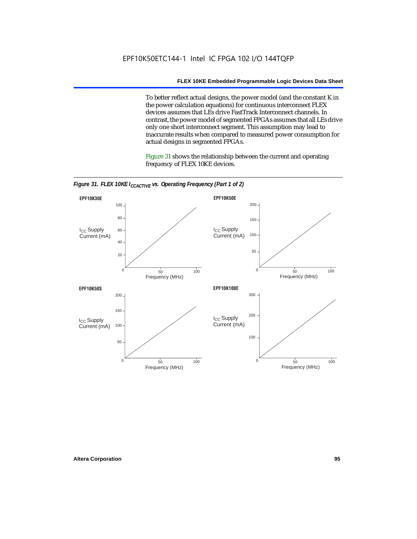To better reflect actual designs, the power model (and the constant K in the power calculation equations) for continuous interconnect FLEX devices assumes that LEs drive FastTrack Interconnect channels. In contrast, the power model of segmented FPGAs assumes that all LEs drive only one short interconnect segment. This assumption may lead to inaccurate results when compared to measured power consumption for actual designs in segmented FPGAs.

Figure 31 shows the relationship between the current and operating frequency of FLEX 10KE devices.



*Figure 31. FLEX 10KE I<sub>CCACTIVE</sub> vs. Operating Frequency (Part 1 of 2)*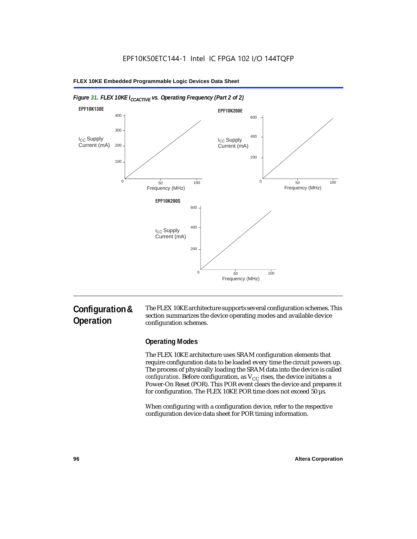

#### *Figure 31. FLEX 10KE I<sub>CCACTIVE</sub> vs. Operating Frequency (Part 2 of 2)*

# **Configuration & Operation**

The FLEX 10KE architecture supports several configuration schemes. This section summarizes the device operating modes and available device configuration schemes.

# **Operating Modes**

The FLEX 10KE architecture uses SRAM configuration elements that require configuration data to be loaded every time the circuit powers up. The process of physically loading the SRAM data into the device is called *configuration.* Before configuration, as  $V_{CC}$  rises, the device initiates a Power-On Reset (POR). This POR event clears the device and prepares it for configuration. The FLEX 10KE POR time does not exceed 50 µs.

When configuring with a configuration device, refer to the respective configuration device data sheet for POR timing information.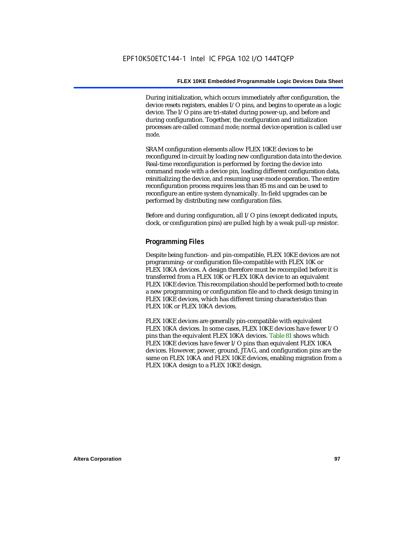During initialization, which occurs immediately after configuration, the device resets registers, enables I/O pins, and begins to operate as a logic device. The I/O pins are tri-stated during power-up, and before and during configuration. Together, the configuration and initialization processes are called *command mode*; normal device operation is called *user mode*.

SRAM configuration elements allow FLEX 10KE devices to be reconfigured in-circuit by loading new configuration data into the device. Real-time reconfiguration is performed by forcing the device into command mode with a device pin, loading different configuration data, reinitializing the device, and resuming user-mode operation. The entire reconfiguration process requires less than 85 ms and can be used to reconfigure an entire system dynamically. In-field upgrades can be performed by distributing new configuration files.

Before and during configuration, all I/O pins (except dedicated inputs, clock, or configuration pins) are pulled high by a weak pull-up resistor.

#### **Programming Files**

Despite being function- and pin-compatible, FLEX 10KE devices are not programming- or configuration file-compatible with FLEX 10K or FLEX 10KA devices. A design therefore must be recompiled before it is transferred from a FLEX 10K or FLEX 10KA device to an equivalent FLEX 10KE device. This recompilation should be performed both to create a new programming or configuration file and to check design timing in FLEX 10KE devices, which has different timing characteristics than FLEX 10K or FLEX 10KA devices.

FLEX 10KE devices are generally pin-compatible with equivalent FLEX 10KA devices. In some cases, FLEX 10KE devices have fewer I/O pins than the equivalent FLEX 10KA devices. Table 81 shows which FLEX 10KE devices have fewer I/O pins than equivalent FLEX 10KA devices. However, power, ground, JTAG, and configuration pins are the same on FLEX 10KA and FLEX 10KE devices, enabling migration from a FLEX 10KA design to a FLEX 10KE design.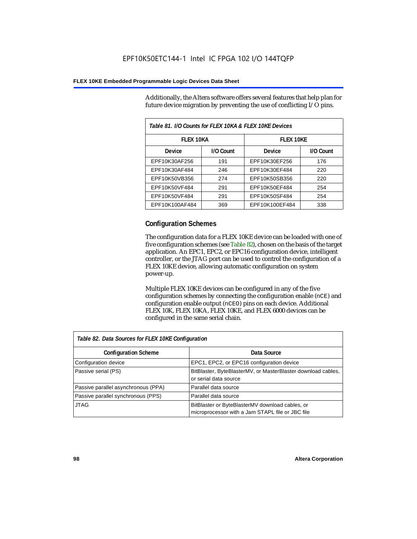Additionally, the Altera software offers several features that help plan for future device migration by preventing the use of conflicting I/O pins.

| Table 81. I/O Counts for FLEX 10KA & FLEX 10KE Devices |           |                |           |
|--------------------------------------------------------|-----------|----------------|-----------|
| <b>FLEX 10KA</b>                                       |           | FI FX 10KF     |           |
| <b>Device</b>                                          | I/O Count | Device         | I/O Count |
| EPF10K30AF256                                          | 191       | EPF10K30EF256  | 176       |
| EPF10K30AF484                                          | 246       | EPF10K30EF484  | 220       |
| EPF10K50VB356                                          | 274       | EPF10K50SB356  | 220       |
| EPF10K50VF484                                          | 291       | EPF10K50EF484  | 254       |
| EPF10K50VF484                                          | 291       | EPF10K50SF484  | 254       |
| EPF10K100AF484                                         | 369       | EPF10K100EF484 | 338       |

## **Configuration Schemes**

The configuration data for a FLEX 10KE device can be loaded with one of five configuration schemes (see Table 82), chosen on the basis of the target application. An EPC1, EPC2, or EPC16 configuration device, intelligent controller, or the JTAG port can be used to control the configuration of a FLEX 10KE device, allowing automatic configuration on system power-up.

Multiple FLEX 10KE devices can be configured in any of the five configuration schemes by connecting the configuration enable (nCE) and configuration enable output (nCEO) pins on each device. Additional FLEX 10K, FLEX 10KA, FLEX 10KE, and FLEX 6000 devices can be configured in the same serial chain.

| Table 82. Data Sources for FLEX 10KE Configuration |                                                                                                     |  |  |
|----------------------------------------------------|-----------------------------------------------------------------------------------------------------|--|--|
| <b>Configuration Scheme</b>                        | Data Source                                                                                         |  |  |
| Configuration device                               | EPC1, EPC2, or EPC16 configuration device                                                           |  |  |
| Passive serial (PS)                                | BitBlaster, ByteBlasterMV, or MasterBlaster download cables,<br>or serial data source               |  |  |
| Passive parallel asynchronous (PPA)                | Parallel data source                                                                                |  |  |
| Passive parallel synchronous (PPS)                 | Parallel data source                                                                                |  |  |
| <b>JTAG</b>                                        | BitBlaster or ByteBlasterMV download cables, or<br>microprocessor with a Jam STAPL file or JBC file |  |  |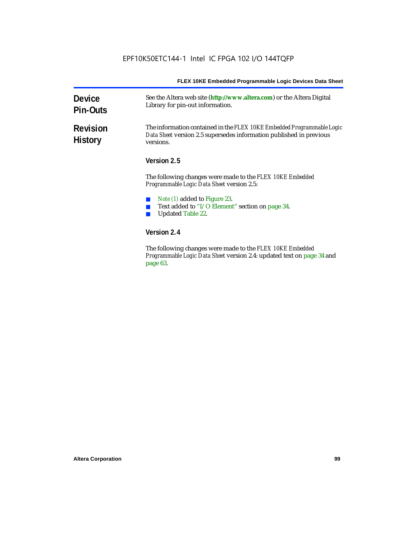| <b>Device</b><br><b>Pin-Outs</b>  | See the Altera web site (http://www.altera.com) or the Altera Digital<br>Library for pin-out information.                                                  |
|-----------------------------------|------------------------------------------------------------------------------------------------------------------------------------------------------------|
| <b>Revision</b><br><b>History</b> | The information contained in the FLEX 10KE Embedded Programmable Logic<br>Data Sheet version 2.5 supersedes information published in previous<br>versions. |
|                                   | Version 2.5                                                                                                                                                |
|                                   | The following changes were made to the FLEX 10KE Embedded<br><i>Programmable Logic Data Sheet version 2.5:</i>                                             |
|                                   | <i>Note (1)</i> added to Figure 23.<br>Text added to "I/O Element" section on page 34.<br><b>Updated Table 22.</b>                                         |
|                                   | Version 2.4                                                                                                                                                |
|                                   | The following changes were made to the FLFY 10KF Embedded                                                                                                  |

The following changes were made to the *FLEX 10KE Embedded Programmable Logic Data Sheet* version 2.4: updated text on page 34 and page 63.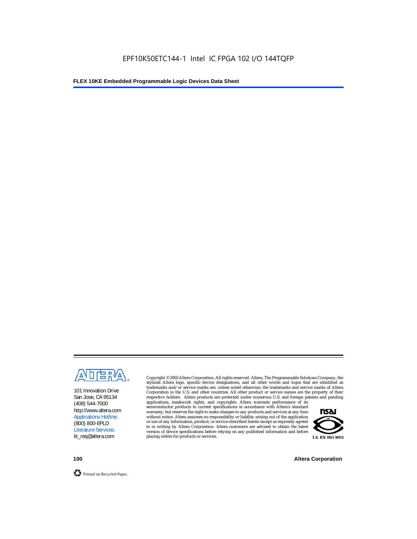

101 Innovation Drive San Jose, CA 95134 (408) 544-7000 http://www.altera.com Applications Hotline: (800) 800-EPLD Literature Services: lit\_req@altera.com

Copyright © 2003 Altera Corporation. All rights reserved. Altera, The Programmable Solutions Company, the stylized Altera logo, specific device designations, and all other words and logos that are identified as trademarks and/or service marks are, unless noted otherwise, the trademarks and service marks of Altera Corporation in the U.S. and other countries. All other product or service names are the property of their respective holders. Altera products are protected under numerous U.S. and foreign patents and pending

applications, maskwork rights, and copyrights. Altera warrants performance of its semiconductor products to current specifications in accordance with Altera's standard warranty, but reserves the right to make changes to any products and services at any time without notice. Altera assumes no responsibility or liability arising out of the application or use of any information, product, or service described herein except as expressly agreed to in writing by Altera Corporation. Altera customers are advised to obtain the latest version of device specifications before relying on any published information and before placing orders for products or services.



**100 Altera Corporation**